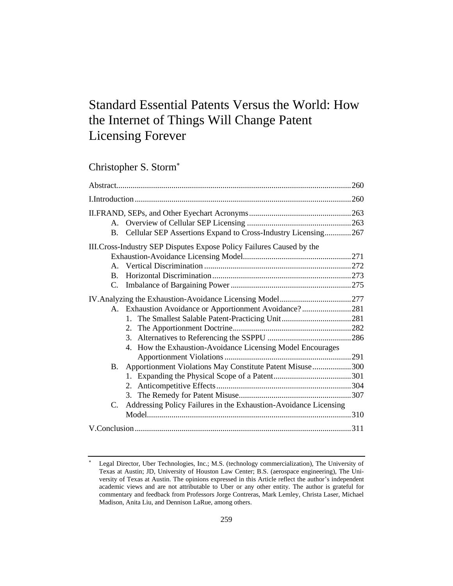# Standard Essential Patents Versus the World: How the Internet of Things Will Change Patent Licensing Forever

| Christopher S. Storm* |  |  |
|-----------------------|--|--|
|-----------------------|--|--|

| Cellular SEP Assertions Expand to Cross-Industry Licensing267<br><b>B.</b>      |  |
|---------------------------------------------------------------------------------|--|
| III. Cross-Industry SEP Disputes Expose Policy Failures Caused by the           |  |
|                                                                                 |  |
|                                                                                 |  |
| $\mathbf{B}$ .                                                                  |  |
| C.                                                                              |  |
|                                                                                 |  |
| A. Exhaustion Avoidance or Apportionment Avoidance?281                          |  |
|                                                                                 |  |
|                                                                                 |  |
|                                                                                 |  |
| 4. How the Exhaustion-Avoidance Licensing Model Encourages                      |  |
|                                                                                 |  |
| B. Apportionment Violations May Constitute Patent Misuse300                     |  |
|                                                                                 |  |
|                                                                                 |  |
|                                                                                 |  |
| Addressing Policy Failures in the Exhaustion-Avoidance Licensing<br>$C_{\cdot}$ |  |
|                                                                                 |  |
|                                                                                 |  |

Legal Director, Uber Technologies, Inc.; M.S. (technology commercialization), The University of Texas at Austin; JD, University of Houston Law Center; B.S. (aerospace engineering), The University of Texas at Austin. The opinions expressed in this Article reflect the author's independent academic views and are not attributable to Uber or any other entity. The author is grateful for commentary and feedback from Professors Jorge Contreras, Mark Lemley, Christa Laser, Michael Madison, Anita Liu, and Dennison LaRue, among others.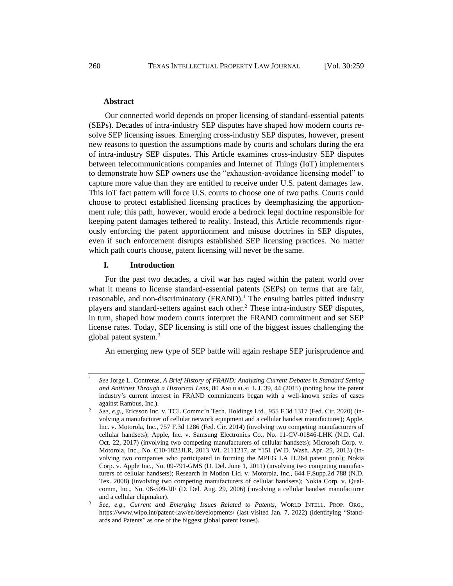#### **Abstract**

Our connected world depends on proper licensing of standard-essential patents (SEPs). Decades of intra-industry SEP disputes have shaped how modern courts resolve SEP licensing issues. Emerging cross-industry SEP disputes, however, present new reasons to question the assumptions made by courts and scholars during the era of intra-industry SEP disputes. This Article examines cross-industry SEP disputes between telecommunications companies and Internet of Things (IoT) implementers to demonstrate how SEP owners use the "exhaustion-avoidance licensing model" to capture more value than they are entitled to receive under U.S. patent damages law. This IoT fact pattern will force U.S. courts to choose one of two paths. Courts could choose to protect established licensing practices by deemphasizing the apportionment rule; this path, however, would erode a bedrock legal doctrine responsible for keeping patent damages tethered to reality. Instead, this Article recommends rigorously enforcing the patent apportionment and misuse doctrines in SEP disputes, even if such enforcement disrupts established SEP licensing practices. No matter which path courts choose, patent licensing will never be the same.

### **I. Introduction**

For the past two decades, a civil war has raged within the patent world over what it means to license standard-essential patents (SEPs) on terms that are fair, reasonable, and non-discriminatory  $(FRAND)^1$ . The ensuing battles pitted industry players and standard-setters against each other.<sup>2</sup> These intra-industry SEP disputes, in turn, shaped how modern courts interpret the FRAND commitment and set SEP license rates. Today, SEP licensing is still one of the biggest issues challenging the global patent system.<sup>3</sup>

<span id="page-1-0"></span>An emerging new type of SEP battle will again reshape SEP jurisprudence and

<sup>1</sup> *See* Jorge L. Contreras, *A Brief History of FRAND: Analyzing Current Debates in Standard Setting and Antitrust Through a Historical Lens*, 80 ANTITRUST L.J. 39, 44 (2015) (noting how the patent industry's current interest in FRAND commitments began with a well-known series of cases against Rambus, Inc.).

<sup>2</sup> *See, e.g.*, Ericsson Inc. v. TCL Commc'n Tech. Holdings Ltd., 955 F.3d 1317 (Fed. Cir. 2020) (involving a manufacturer of cellular network equipment and a cellular handset manufacturer); Apple, Inc. v. Motorola, Inc., 757 F.3d 1286 (Fed. Cir. 2014) (involving two competing manufacturers of cellular handsets); Apple, Inc. v. Samsung Electronics Co., No. 11-CV-01846-LHK (N.D. Cal. Oct. 22, 2017) (involving two competing manufacturers of cellular handsets); Microsoft Corp. v. Motorola, Inc., No. C10-1823JLR, 2013 WL 2111217, at \*151 (W.D. Wash. Apr. 25, 2013) (involving two companies who participated in forming the MPEG LA H.264 patent pool); Nokia Corp. v. Apple Inc., No. 09-791-GMS (D. Del. June 1, 2011) (involving two competing manufacturers of cellular handsets); Research in Motion Lid. v. Motorola, Inc., 644 F.Supp.2d 788 (N.D. Tex. 2008) (involving two competing manufacturers of cellular handsets); Nokia Corp. v. Qualcomm, Inc., No. 06-509-JJF (D. Del. Aug. 29, 2006) (involving a cellular handset manufacturer and a cellular chipmaker).

<sup>3</sup> *See, e.g.*, *Current and Emerging Issues Related to Patents*, WORLD INTELL. PROP. ORG., https://www.wipo.int/patent-law/en/developments/ (last visited Jan. 7, 2022) (identifying "Standards and Patents" as one of the biggest global patent issues).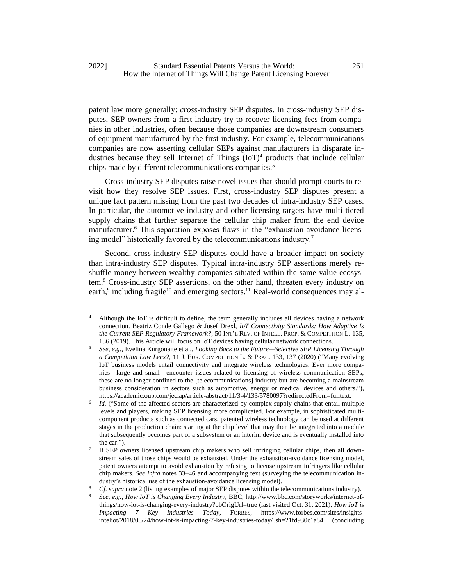patent law more generally: *cross*-industry SEP disputes. In cross-industry SEP disputes, SEP owners from a first industry try to recover licensing fees from companies in other industries, often because those companies are downstream consumers of equipment manufactured by the first industry. For example, telecommunications companies are now asserting cellular SEPs against manufacturers in disparate industries because they sell Internet of Things  $(IoT)<sup>4</sup>$  products that include cellular chips made by different telecommunications companies.<sup>5</sup>

<span id="page-2-2"></span><span id="page-2-0"></span>Cross-industry SEP disputes raise novel issues that should prompt courts to revisit how they resolve SEP issues. First, cross-industry SEP disputes present a unique fact pattern missing from the past two decades of intra-industry SEP cases. In particular, the automotive industry and other licensing targets have multi-tiered supply chains that further separate the cellular chip maker from the end device manufacturer.<sup>6</sup> This separation exposes flaws in the "exhaustion-avoidance licensing model" historically favored by the telecommunications industry.<sup>7</sup>

Second, cross-industry SEP disputes could have a broader impact on society than intra-industry SEP disputes. Typical intra-industry SEP assertions merely reshuffle money between wealthy companies situated within the same value ecosystem.<sup>8</sup> Cross-industry SEP assertions, on the other hand, threaten every industry on earth,<sup>9</sup> including fragile<sup>10</sup> and emerging sectors.<sup>11</sup> Real-world consequences may al-

<span id="page-2-1"></span><sup>4</sup> Although the IoT is difficult to define, the term generally includes all devices having a network connection. Beatriz Conde Gallego & Josef Drexl, *IoT Connectivity Standards: How Adaptive Is the Current SEP Regulatory Framework?*, 50 INT'L REV. OF INTELL. PROP. & COMPETITION L. 135, 136 (2019). This Article will focus on IoT devices having cellular network connections.

<sup>5</sup> *See, e.g.*, Evelina Kurgonaite et al., *Looking Back to the Future—Selective SEP Licensing Through a Competition Law Lens?*, 11 J. EUR. COMPETITION L. & PRAC. 133, 137 (2020) ("Many evolving IoT business models entail connectivity and integrate wireless technologies. Ever more companies—large and small—encounter issues related to licensing of wireless communication SEPs; these are no longer confined to the [telecommunications] industry but are becoming a mainstream business consideration in sectors such as automotive, energy or medical devices and others."), https://academic.oup.com/jeclap/article-abstract/11/3-4/133/5780097?redirectedFrom=fulltext.

<sup>6</sup> *Id.* ("Some of the affected sectors are characterized by complex supply chains that entail multiple levels and players, making SEP licensing more complicated. For example, in sophisticated multicomponent products such as connected cars, patented wireless technology can be used at different stages in the production chain: starting at the chip level that may then be integrated into a module that subsequently becomes part of a subsystem or an interim device and is eventually installed into the car.").

<sup>7</sup> If SEP owners licensed upstream chip makers who sell infringing cellular chips, then all downstream sales of those chips would be exhausted. Under the exhaustion-avoidance licensing model, patent owners attempt to avoid exhaustion by refusing to license upstream infringers like cellular chip makers. *See infra* notes [33–](#page-6-0)[46](#page-8-0) and accompanying text (surveying the telecommunication industry's historical use of the exhaustion-avoidance licensing model).

<sup>8</sup> *Cf. supra* not[e 2](#page-1-0) (listing examples of major SEP disputes within the telecommunications industry).

<sup>9</sup> *See, e.g.*, *How IoT is Changing Every Industry,* BBC, http://www.bbc.com/storyworks/internet-ofthings/how-iot-is-changing-every-industry?obOrigUrl=true (last visited Oct. 31, 2021); *How IoT is Impacting 7 Key Industries Today,* FORBES, https://www.forbes.com/sites/insightsinteliot/2018/08/24/how-iot-is-impacting-7-key-industries-today/?sh=21fd930c1a84 (concluding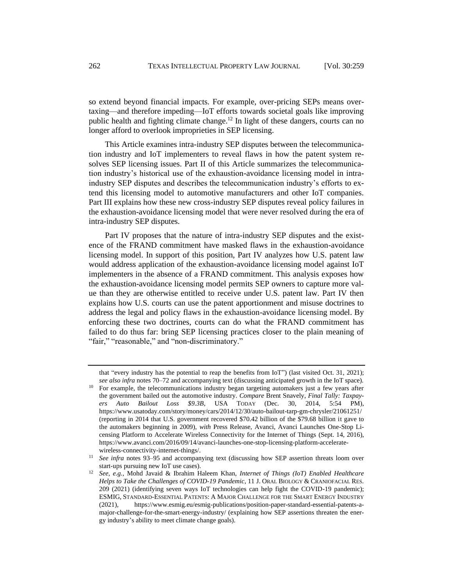so extend beyond financial impacts. For example, over-pricing SEPs means overtaxing—and therefore impeding—IoT efforts towards societal goals like improving public health and fighting climate change.<sup>12</sup> In light of these dangers, courts can no longer afford to overlook improprieties in SEP licensing.

This Article examines intra-industry SEP disputes between the telecommunication industry and IoT implementers to reveal flaws in how the patent system resolves SEP licensing issues. Part II of this Article summarizes the telecommunication industry's historical use of the exhaustion-avoidance licensing model in intraindustry SEP disputes and describes the telecommunication industry's efforts to extend this licensing model to automotive manufacturers and other IoT companies. Part III explains how these new cross-industry SEP disputes reveal policy failures in the exhaustion-avoidance licensing model that were never resolved during the era of intra-industry SEP disputes.

Part IV proposes that the nature of intra-industry SEP disputes and the existence of the FRAND commitment have masked flaws in the exhaustion-avoidance licensing model. In support of this position, Part IV analyzes how U.S. patent law would address application of the exhaustion-avoidance licensing model against IoT implementers in the absence of a FRAND commitment. This analysis exposes how the exhaustion-avoidance licensing model permits SEP owners to capture more value than they are otherwise entitled to receive under U.S. patent law. Part IV then explains how U.S. courts can use the patent apportionment and misuse doctrines to address the legal and policy flaws in the exhaustion-avoidance licensing model. By enforcing these two doctrines, courts can do what the FRAND commitment has failed to do thus far: bring SEP licensing practices closer to the plain meaning of "fair," "reasonable," and "non-discriminatory."

that "every industry has the potential to reap the benefits from IoT") (last visited Oct. 31, 2021); *see also infra* notes 70–72 and accompanying text (discussing anticipated growth in the IoT space).

<sup>10</sup> For example, the telecommunications industry began targeting automakers just a few years after the government bailed out the automotive industry. *Compare* Brent Snavely, *Final Tally: Taxpayers Auto Bailout Loss \$9.3B*, USA TODAY (Dec. 30, 2014, 5:54 PM), https://www.usatoday.com/story/money/cars/2014/12/30/auto-bailout-tarp-gm-chrysler/21061251/ (reporting in 2014 that U.S. government recovered \$70.42 billion of the \$79.68 billion it gave to the automakers beginning in 2009), *with* Press Release, Avanci, Avanci Launches One-Stop Licensing Platform to Accelerate Wireless Connectivity for the Internet of Things (Sept. 14, 2016), https://www.avanci.com/2016/09/14/avanci-launches-one-stop-licensing-platform-acceleratewireless-connectivity-internet-things/.

<sup>&</sup>lt;sup>11</sup> *See infra* notes [93–](#page-16-0)[95](#page-16-1) and accompanying text (discussing how SEP assertion threats loom over start-ups pursuing new IoT use cases).

<sup>12</sup> *See, e.g.*, Mohd Javaid & Ibrahim Haleem Khan, *Internet of Things (IoT) Enabled Healthcare Helps to Take the Challenges of COVID-19 Pandemic*, 11 J. ORAL BIOLOGY & CRANIOFACIAL RES. 209 (2021) (identifying seven ways IoT technologies can help fight the COVID-19 pandemic); ESMIG, STANDARD-ESSENTIAL PATENTS: A MAJOR CHALLENGE FOR THE SMART ENERGY INDUSTRY (2021), https://www.esmig.eu/esmig-publications/position-paper-standard-essential-patents-amajor-challenge-for-the-smart-energy-industry/ (explaining how SEP assertions threaten the energy industry's ability to meet climate change goals).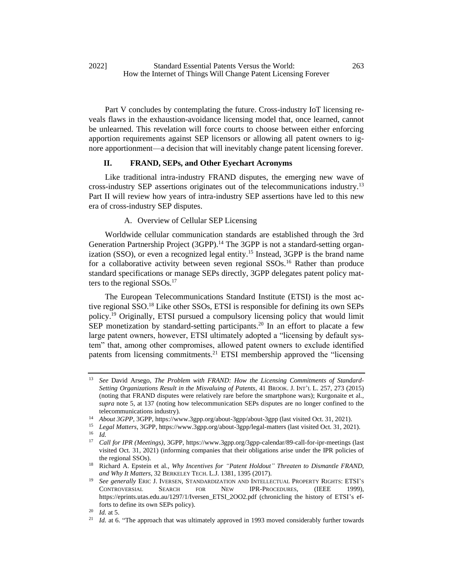Part V concludes by contemplating the future. Cross-industry IoT licensing reveals flaws in the exhaustion-avoidance licensing model that, once learned, cannot be unlearned. This revelation will force courts to choose between either enforcing apportion requirements against SEP licensors or allowing all patent owners to ignore apportionment—a decision that will inevitably change patent licensing forever.

## **II. FRAND, SEPs, and Other Eyechart Acronyms**

Like traditional intra-industry FRAND disputes, the emerging new wave of cross-industry SEP assertions originates out of the telecommunications industry.<sup>13</sup> Part II will review how years of intra-industry SEP assertions have led to this new era of cross-industry SEP disputes.

#### A. Overview of Cellular SEP Licensing

Worldwide cellular communication standards are established through the 3rd Generation Partnership Project (3GPP).<sup>14</sup> The 3GPP is not a standard-setting organization (SSO), or even a recognized legal entity.<sup>15</sup> Instead, 3GPP is the brand name for a collaborative activity between seven regional SSOs.<sup>16</sup> Rather than produce standard specifications or manage SEPs directly, 3GPP delegates patent policy matters to the regional  $SSOs.<sup>17</sup>$ 

The European Telecommunications Standard Institute (ETSI) is the most active regional SSO.<sup>18</sup> Like other SSOs, ETSI is responsible for defining its own SEPs policy.<sup>19</sup> Originally, ETSI pursued a compulsory licensing policy that would limit SEP monetization by standard-setting participants.<sup>20</sup> In an effort to placate a few large patent owners, however, ETSI ultimately adopted a "licensing by default system" that, among other compromises, allowed patent owners to exclude identified patents from licensing commitments.<sup>21</sup> ETSI membership approved the "licensing

<sup>13</sup> *See* David Arsego, *The Problem with FRAND: How the Licensing Commitments of Standard-Setting Organizations Result in the Misvaluing of Patents*, 41 BROOK. J. INT'L L. 257, 273 (2015) (noting that FRAND disputes were relatively rare before the smartphone wars); Kurgonaite et al., *supra* note [5,](#page-2-0) at 137 (noting how telecommunication SEPs disputes are no longer confined to the telecommunications industry).

<sup>&</sup>lt;sup>14</sup> *About 3GPP*, 3GPP, https://www.3gpp.org/about-3gpp/about-3gpp (last visited Oct. 31, 2021).

<sup>15</sup> *Legal Matters*, 3GPP, https://www.3gpp.org/about-3gpp/legal-matters (last visited Oct. 31, 2021). <sup>16</sup> *Id.*

<sup>17</sup> *Call for IPR (Meetings)*, 3GPP, https://www.3gpp.org/3gpp-calendar/89-call-for-ipr-meetings (last visited Oct. 31, 2021) (informing companies that their obligations arise under the IPR policies of the regional SSOs).

<sup>18</sup> Richard A. Epstein et al., *Why Incentives for "Patent Holdout" Threaten to Dismantle FRAND, and Why It Matters*, 32 BERKELEY TECH. L.J. 1381, 1395 (2017).

<sup>19</sup> *See generally* ERIC J. IVERSEN, STANDARDIZATION AND INTELLECTUAL PROPERTY RIGHTS: ETSI'S CONTROVERSIAL SEARCH FOR NEW IPR-PROCEDURES*,* (IEEE 1999), https://eprints.utas.edu.au/1297/1/Iversen\_ETSI\_2OO2.pdf (chronicling the history of ETSI's efforts to define its own SEPs policy).

<sup>20</sup> *Id.* at 5.

<sup>&</sup>lt;sup>21</sup> *Id.* at 6. "The approach that was ultimately approved in 1993 moved considerably further towards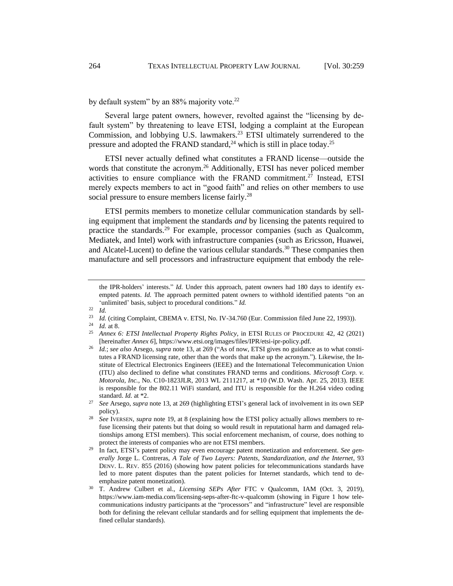by default system" by an 88% majority vote.<sup>22</sup>

Several large patent owners, however, revolted against the "licensing by default system" by threatening to leave ETSI, lodging a complaint at the European Commission, and lobbying U.S. lawmakers.<sup>23</sup> ETSI ultimately surrendered to the pressure and adopted the FRAND standard,  $^{24}$  which is still in place today.<sup>25</sup>

ETSI never actually defined what constitutes a FRAND license—outside the words that constitute the acronym.<sup>26</sup> Additionally, ETSI has never policed member activities to ensure compliance with the FRAND commitment.<sup>27</sup> Instead, ETSI merely expects members to act in "good faith" and relies on other members to use social pressure to ensure members license fairly.<sup>28</sup>

<span id="page-5-0"></span>ETSI permits members to monetize cellular communication standards by selling equipment that implement the standards *and* by licensing the patents required to practice the standards.<sup>29</sup> For example, processor companies (such as Qualcomm, Mediatek, and Intel) work with infrastructure companies (such as Ericsson, Huawei, and Alcatel-Lucent) to define the various cellular standards.<sup>30</sup> These companies then manufacture and sell processors and infrastructure equipment that embody the rele-

the IPR-holders' interests." *Id.* Under this approach, patent owners had 180 days to identify exempted patents. *Id.* The approach permitted patent owners to withhold identified patents "on an 'unlimited' basis, subject to procedural conditions." *Id.*

 $\frac{22}{23}$  *Id.* 

<sup>&</sup>lt;sup>23</sup> *Id.* (citing Complaint, CBEMA v. ETSI, No. IV-34.760 (Eur. Commission filed June 22, 1993)).

 $\frac{24}{25}$  *Id.* at 8.

<sup>25</sup> *Annex 6: ETSI Intellectual Property Rights Policy*, in ETSI RULES OF PROCEDURE 42, 42 (2021) [hereinafter *Annex 6*], https://www.etsi.org/images/files/IPR/etsi-ipr-policy.pdf.

<sup>26</sup> *Id.*; *see also* Arsego, *supra* note 13, at 269 ("As of now, ETSI gives no guidance as to what constitutes a FRAND licensing rate, other than the words that make up the acronym."). Likewise, the Institute of Electrical Electronics Engineers (IEEE) and the International Telecommunication Union (ITU) also declined to define what constitutes FRAND terms and conditions. *Microsoft Corp. v. Motorola, Inc.*, No. C10-1823JLR, 2013 WL 2111217, at \*10 (W.D. Wash. Apr. 25, 2013). IEEE is responsible for the 802.11 WiFi standard, and ITU is responsible for the H.264 video coding standard. *Id.* at \*2.

<sup>27</sup> *See* Arsego, *supra* note 13, at 269 (highlighting ETSI's general lack of involvement in its own SEP policy).

<sup>28</sup> *See* IVERSEN, *supra* note 19, at 8 (explaining how the ETSI policy actually allows members to refuse licensing their patents but that doing so would result in reputational harm and damaged relationships among ETSI members). This social enforcement mechanism, of course, does nothing to protect the interests of companies who are not ETSI members.

<sup>&</sup>lt;sup>29</sup> In fact, ETSI's patent policy may even encourage patent monetization and enforcement. See gen*erally* Jorge L. Contreras, *A Tale of Two Layers: Patents, Standardization, and the Internet*, 93 DENV. L. REV. 855 (2016) (showing how patent policies for telecommunications standards have led to more patent disputes than the patent policies for Internet standards, which tend to deemphasize patent monetization).

<sup>30</sup> T. Andrew Culbert et al., *Licensing SEPs After* FTC v Qualcomm, IAM (Oct. 3, 2019), https://www.iam-media.com/licensing-seps-after-ftc-v-qualcomm (showing in Figure 1 how telecommunications industry participants at the "processors" and "infrastructure" level are responsible both for defining the relevant cellular standards and for selling equipment that implements the defined cellular standards).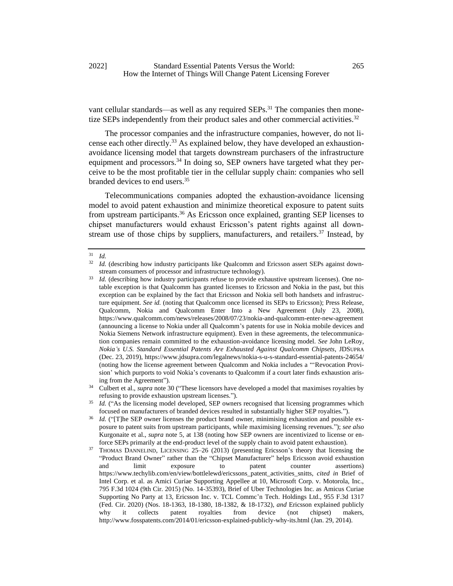vant cellular standards—as well as any required SEPs.<sup>31</sup> The companies then monetize SEPs independently from their product sales and other commercial activities.<sup>32</sup>

<span id="page-6-0"></span>The processor companies and the infrastructure companies, however, do not license each other directly.<sup>33</sup> As explained below, they have developed an exhaustionavoidance licensing model that targets downstream purchasers of the infrastructure equipment and processors.<sup>34</sup> In doing so, SEP owners have targeted what they perceive to be the most profitable tier in the cellular supply chain: companies who sell branded devices to end users.<sup>35</sup>

Telecommunications companies adopted the exhaustion-avoidance licensing model to avoid patent exhaustion and minimize theoretical exposure to patent suits from upstream participants.<sup>36</sup> As Ericsson once explained, granting SEP licenses to chipset manufacturers would exhaust Ericsson's patent rights against all downstream use of those chips by suppliers, manufacturers, and retailers.<sup>37</sup> Instead, by

 $\frac{31}{32}$  *Id.* 

Id. (describing how industry participants like Qualcomm and Ericsson assert SEPs against downstream consumers of processor and infrastructure technology).

<sup>&</sup>lt;sup>33</sup> *Id.* (describing how industry participants refuse to provide exhaustive upstream licenses). One notable exception is that Qualcomm has granted licenses to Ericsson and Nokia in the past, but this exception can be explained by the fact that Ericsson and Nokia sell both handsets and infrastructure equipment. *See id.* (noting that Qualcomm once licensed its SEPs to Ericsson); Press Release, Qualcomm, Nokia and Qualcomm Enter Into a New Agreement (July 23, 2008), https://www.qualcomm.com/news/releases/2008/07/23/nokia-and-qualcomm-enter-new-agreement (announcing a license to Nokia under all Qualcomm's patents for use in Nokia mobile devices and Nokia Siemens Network infrastructure equipment). Even in these agreements, the telecommunication companies remain committed to the exhaustion-avoidance licensing model. *See* John LeRoy, *Nokia's U.S. Standard Essential Patents Are Exhausted Against Qualcomm Chipsets*, JDSUPRA (Dec. 23, 2019), https://www.jdsupra.com/legalnews/nokia-s-u-s-standard-essential-patents-24654/ (noting how the license agreement between Qualcomm and Nokia includes a "'Revocation Provision' which purports to void Nokia's covenants to Qualcomm if a court later finds exhaustion arising from the Agreement").

<sup>34</sup> Culbert et al., *supra* note 30 ("These licensors have developed a model that maximises royalties by refusing to provide exhaustion upstream licenses.").

Id. ("As the licensing model developed, SEP owners recognised that licensing programmes which focused on manufacturers of branded devices resulted in substantially higher SEP royalties.").

*Id.* ("The SEP owner licenses the product brand owner, minimising exhaustion and possible exposure to patent suits from upstream participants, while maximising licensing revenues."); *see also*  Kurgonaite et al., *supra* note [5,](#page-2-0) at 138 (noting how SEP owners are incentivized to license or enforce SEPs primarily at the end-product level of the supply chain to avoid patent exhaustion).

<sup>&</sup>lt;sup>37</sup> THOMAS DANNELIND, LICENSING 25–26 (2013) (presenting Ericsson's theory that licensing the "Product Brand Owner" rather than the "Chipset Manufacturer" helps Ericsson avoid exhaustion and limit exposure to patent counter assertions) [https://www.techylib.com/en/view/bottlelewd/ericssons\\_patent\\_activities\\_snitts,](https://www.techylib.com/en/view/bottlelewd/ericssons_patent_activities_snitts) *cited in* Brief of Intel Corp. et al. as Amici Curiae Supporting Appellee at 10, Microsoft Corp. v. Motorola, Inc., 795 F.3d 1024 (9th Cir. 2015) (No. 14-35393), Brief of Uber Technologies Inc. as Amicus Curiae Supporting No Party at 13, Ericsson Inc. v. TCL Commc'n Tech. Holdings Ltd., 955 F.3d 1317 (Fed. Cir. 2020) (Nos. 18-1363, 18-1380, 18-1382, & 18-1732), *and* Ericsson explained publicly why it collects patent royalties from device (not chipset) makers, http://www.fosspatents.com/2014/01/ericsson-explained-publicly-why-its.html (Jan. 29, 2014).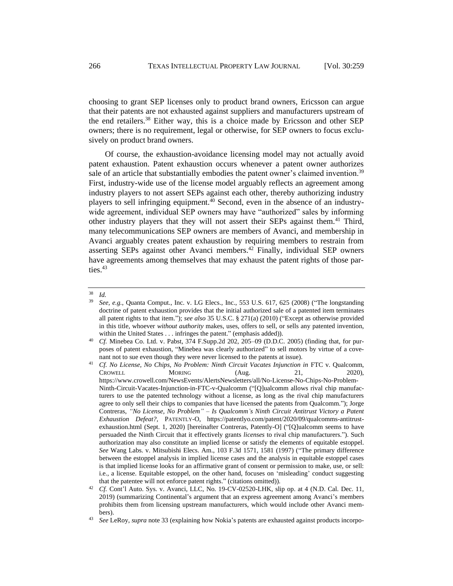choosing to grant SEP licenses only to product brand owners, Ericsson can argue that their patents are not exhausted against suppliers and manufacturers upstream of the end retailers.<sup>38</sup> Either way, this is a choice made by Ericsson and other SEP owners; there is no requirement, legal or otherwise, for SEP owners to focus exclusively on product brand owners.

<span id="page-7-0"></span>Of course, the exhaustion-avoidance licensing model may not actually avoid patent exhaustion. Patent exhaustion occurs whenever a patent owner authorizes sale of an article that substantially embodies the patent owner's claimed invention.<sup>39</sup> First, industry-wide use of the license model arguably reflects an agreement among industry players to not assert SEPs against each other, thereby authorizing industry players to sell infringing equipment.<sup>40</sup> Second, even in the absence of an industrywide agreement, individual SEP owners may have "authorized" sales by informing other industry players that they will not assert their SEPs against them.<sup>41</sup> Third, many telecommunications SEP owners are members of Avanci, and membership in Avanci arguably creates patent exhaustion by requiring members to restrain from asserting SEPs against other Avanci members.<sup>42</sup> Finally, individual SEP owners have agreements among themselves that may exhaust the patent rights of those parties.<sup>43</sup>

 $rac{38}{39}$  *Id.* 

<sup>39</sup> *See, e.g.*, Quanta Comput., Inc. v. LG Elecs., Inc., 553 U.S. 617, 625 (2008) ("The longstanding doctrine of patent exhaustion provides that the initial authorized sale of a patented item terminates all patent rights to that item."); *see also* 35 U.S.C. § 271(a) (2010) ("Except as otherwise provided in this title, whoever *without authority* makes, uses, offers to sell, or sells any patented invention, within the United States . . . infringes the patent." (emphasis added)).

<sup>40</sup> *Cf.* Minebea Co. Ltd. v. Pabst, 374 F.Supp.2d 202, 205–09 (D.D.C. 2005) (finding that, for purposes of patent exhaustion, "Minebea was clearly authorized" to sell motors by virtue of a covenant not to sue even though they were never licensed to the patents at issue).

<sup>41</sup> *Cf. No License, No Chips, No Problem: Ninth Circuit Vacates Injunction in* FTC v. Qualcomm, CROWELL MORING (Aug. 21, 2020), https://www.crowell.com/NewsEvents/AlertsNewsletters/all/No-License-No-Chips-No-Problem-Ninth-Circuit-Vacates-Injunction-in-FTC-v-Qualcomm ("[Q]ualcomm allows rival chip manufacturers to use the patented technology without a license, as long as the rival chip manufacturers agree to only sell their chips to companies that have licensed the patents from Qualcomm."); Jorge Contreras, *"No License, No Problem" – Is Qualcomm's Ninth Circuit Antitrust Victory a Patent Exhaustion Defeat?,* PATENTLY-O, https://patentlyo.com/patent/2020/09/qualcomms-antitrustexhaustion.html (Sept. 1, 2020) [hereinafter Contreras, Patently-O] ("[Q]ualcomm seems to have persuaded the Ninth Circuit that it effectively grants *licenses* to rival chip manufacturers."). Such authorization may also constitute an implied license or satisfy the elements of equitable estoppel. *See* Wang Labs. v. Mitsubishi Elecs. Am., 103 F.3d 1571, 1581 (1997) ("The primary difference between the estoppel analysis in implied license cases and the analysis in equitable estoppel cases is that implied license looks for an affirmative grant of consent or permission to make, use, or sell: i.e., a license. Equitable estoppel, on the other hand, focuses on 'misleading' conduct suggesting that the patentee will not enforce patent rights." (citations omitted)).

<sup>&</sup>lt;sup>42</sup> *Cf.* Cont'l Auto. Sys. v. Avanci, LLC, No. 19-CV-02520-LHK, slip op. at 4 (N.D. Cal. Dec. 11, 2019) (summarizing Continental's argument that an express agreement among Avanci's members prohibits them from licensing upstream manufacturers, which would include other Avanci members).

<sup>43</sup> *See* LeRoy, *supra* note 33 (explaining how Nokia's patents are exhausted against products incorpo-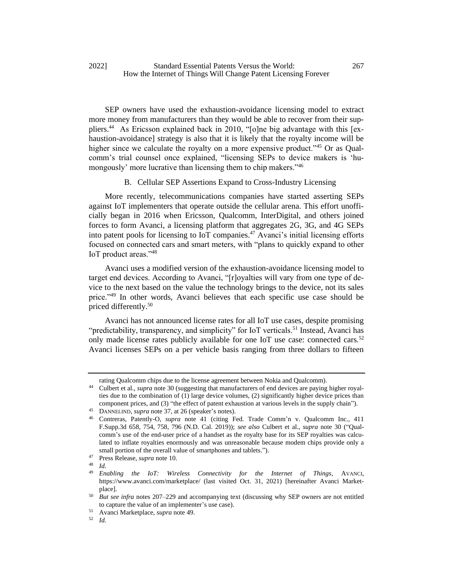<span id="page-8-2"></span>SEP owners have used the exhaustion-avoidance licensing model to extract more money from manufacturers than they would be able to recover from their suppliers.<sup>44</sup> As Ericsson explained back in 2010, "[o]ne big advantage with this [exhaustion-avoidance] strategy is also that it is likely that the royalty income will be higher since we calculate the royalty on a more expensive product.<sup>345</sup> Or as Qualcomm's trial counsel once explained, "licensing SEPs to device makers is 'humongously' more lucrative than licensing them to chip makers."<sup>46</sup>

#### <span id="page-8-0"></span>B. Cellular SEP Assertions Expand to Cross-Industry Licensing

More recently, telecommunications companies have started asserting SEPs against IoT implementers that operate outside the cellular arena. This effort unofficially began in 2016 when Ericsson, Qualcomm, InterDigital, and others joined forces to form Avanci, a licensing platform that aggregates 2G, 3G, and 4G SEPs into patent pools for licensing to IoT companies.<sup>47</sup> Avanci's initial licensing efforts focused on connected cars and smart meters, with "plans to quickly expand to other IoT product areas."<sup>48</sup>

Avanci uses a modified version of the exhaustion-avoidance licensing model to target end devices. According to Avanci, "[r]oyalties will vary from one type of device to the next based on the value the technology brings to the device, not its sales price."<sup>49</sup> In other words, Avanci believes that each specific use case should be priced differently.<sup>50</sup>

<span id="page-8-1"></span>Avanci has not announced license rates for all IoT use cases, despite promising "predictability, transparency, and simplicity" for IoT verticals.<sup>51</sup> Instead, Avanci has only made license rates publicly available for one IoT use case: connected cars.<sup>52</sup> Avanci licenses SEPs on a per vehicle basis ranging from three dollars to fifteen

rating Qualcomm chips due to the license agreement between Nokia and Qualcomm).

<sup>44</sup> Culbert et al., *supra* note 30 (suggesting that manufacturers of end devices are paying higher royalties due to the combination of (1) large device volumes, (2) significantly higher device prices than component prices, and (3) "the effect of patent exhaustion at various levels in the supply chain").

<sup>45</sup> DANNELIND, *supra* note 37, at 26 (speaker's notes).

<sup>46</sup> Contreras, Patently-O, *supra* note [41](#page-7-0) (citing Fed. Trade Comm'n v. Qualcomm Inc., 411 F.Supp.3d 658, 754, 758, 796 (N.D. Cal. 2019)); *see also* Culbert et al., *supra* note 30 ("Qualcomm's use of the end-user price of a handset as the royalty base for its SEP royalties was calculated to inflate royalties enormously and was unreasonable because modem chips provide only a small portion of the overall value of smartphones and tablets.").

<sup>47</sup> Press Release, *supra* not[e 10.](#page-2-1)

*Id.* 

<sup>49</sup> *Enabling the IoT: Wireless Connectivity for the Internet of Things*, AVANCI, https://www.avanci.com/marketplace/ (last visited Oct. 31, 2021) [hereinafter Avanci Marketplace].

<sup>50</sup> *But see infra* notes 207–229 and accompanying text (discussing why SEP owners are not entitled to capture the value of an implementer's use case).

<sup>51</sup> Avanci Marketplace, *supra* not[e 49.](#page-8-1)

<sup>52</sup> *Id.*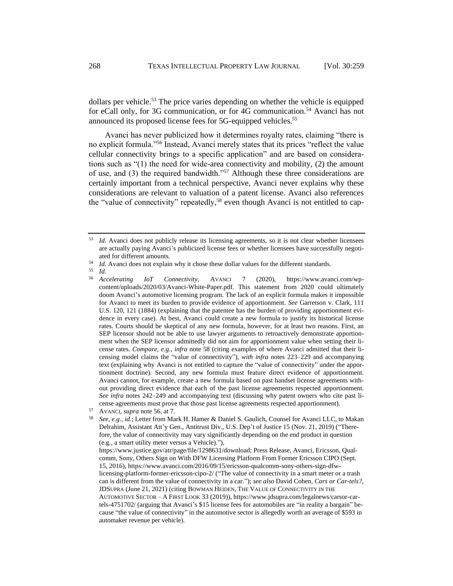dollars per vehicle.<sup>53</sup> The price varies depending on whether the vehicle is equipped for eCall only, for 3G communication, or for 4G communication.<sup>54</sup> Avanci has not announced its proposed license fees for 5G-equipped vehicles.<sup>55</sup>

<span id="page-9-0"></span>Avanci has never publicized how it determines royalty rates, claiming "there is no explicit formula."<sup>56</sup> Instead, Avanci merely states that its prices "reflect the value cellular connectivity brings to a specific application" and are based on considerations such as "(1) the need for wide-area connectivity and mobility, (2) the amount of use, and (3) the required bandwidth."<sup>57</sup> Although these three considerations are certainly important from a technical perspective, Avanci never explains why these considerations are relevant to valuation of a patent license. Avanci also references the "value of connectivity" repeatedly,<sup>58</sup> even though Avanci is not entitled to cap-

<sup>55</sup> *Id.*

<span id="page-9-1"></span><sup>&</sup>lt;sup>53</sup> *Id.* Avanci does not publicly release its licensing agreements, so it is not clear whether licensees are actually paying Avanci's publicized license fees or whether licensees have successfully negotiated for different amounts.

 $^{54}$  *Id.* Avanci does not explain why it chose these dollar values for the different standards.

<sup>56</sup> *Accelerating IoT Connectivity,* AVANCI 7 (2020), https://www.avanci.com/wpcontent/uploads/2020/03/Avanci-White-Paper.pdf. This statement from 2020 could ultimately doom Avanci's automotive licensing program. The lack of an explicit formula makes it impossible for Avanci to meet its burden to provide evidence of apportionment. *See* Garretson v. Clark, 111 U.S. 120, 121 (1884) (explaining that the patentee has the burden of providing apportionment evidence in every case). At best, Avanci could create a new formula to justify its historical license rates. Courts should be skeptical of any new formula, however, for at least two reasons. First, an SEP licensor should not be able to use lawyer arguments to retroactively demonstrate apportionment when the SEP licensor admittedly did not aim for apportionment value when setting their license rates. *Compare, e.g.*, *infra* note 58 (citing examples of where Avanci admitted that their licensing model claims the "value of connectivity"), *with infra* notes 223–229 and accompanying text (explaining why Avanci is not entitled to capture the "value of connectivity" under the apportionment doctrine). Second, any new formula must feature direct evidence of apportionment. Avanci cannot, for example, create a new formula based on past handset license agreements without providing direct evidence that each of the past license agreements respected apportionment. *See infra* notes [242](#page-43-0)[–249](#page-44-0) and accompanying text (discussing why patent owners who cite past license agreements must prove that those past license agreements respected apportionment).

<sup>57</sup> AVANCI*, supra* not[e 56,](#page-9-0) at 7.

<sup>58</sup> *See, e.g.*, *id.*; Letter from Mark H. Hamer & Daniel S. Gaulich, Counsel for Avanci LLC, to Makan Delrahim, Assistant Att'y Gen., Antitrust Div., U.S. Dep't of Justice 15 (Nov. 21, 2019) ("Therefore, the value of connectivity may vary significantly depending on the end product in question (e.g., a smart utility meter versus a Vehicle)."), https://www.justice.gov/atr/page/file/1298631/download; Press Release, Avanci, Ericsson, Qualcomm, Sony, Others Sign on With DFW Licensing Platform From Former Ericsson CIPO (Sept. 15, 2016), https://www.avanci.com/2016/09/15/ericsson-qualcomm-sony-others-sign-dfwlicensing-platform-former-ericsson-cipo-2/ ("The value of connectivity in a smart meter or a trash can is different from the value of connectivity in a car."); *see also* David Cohen*, Cars or Car-tels?*, JDSUPRA (June 21, 2021) (citing BOWMAN HEIDEN, THE VALUE OF CONNECTIVITY IN THE AUTOMOTIVE SECTOR – A FIRST LOOK 33 (2019)), https://www.jdsupra.com/legalnews/carsor-cartels-4751702/ (arguing that Avanci's \$15 license fees for automobiles are "in reality a bargain" because "the value of connectivity" in the automotive sector is allegedly worth an average of \$593 in automaker revenue per vehicle).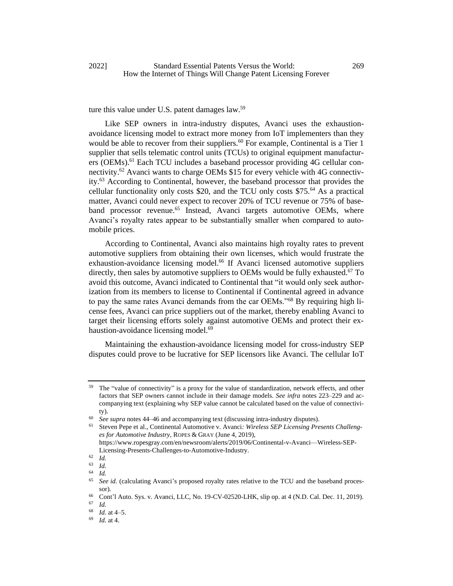ture this value under U.S. patent damages law.<sup>59</sup>

<span id="page-10-1"></span><span id="page-10-0"></span>Like SEP owners in intra-industry disputes, Avanci uses the exhaustionavoidance licensing model to extract more money from IoT implementers than they would be able to recover from their suppliers.<sup>60</sup> For example, Continental is a Tier 1 supplier that sells telematic control units (TCUs) to original equipment manufacturers (OEMs).<sup>61</sup> Each TCU includes a baseband processor providing 4G cellular connectivity.<sup>62</sup> Avanci wants to charge OEMs \$15 for every vehicle with 4G connectivity.<sup>63</sup> According to Continental, however, the baseband processor that provides the cellular functionality only costs \$20, and the TCU only costs \$75.<sup>64</sup> As a practical matter, Avanci could never expect to recover 20% of TCU revenue or 75% of baseband processor revenue.<sup>65</sup> Instead, Avanci targets automotive OEMs, where Avanci's royalty rates appear to be substantially smaller when compared to automobile prices.

<span id="page-10-2"></span>According to Continental, Avanci also maintains high royalty rates to prevent automotive suppliers from obtaining their own licenses, which would frustrate the exhaustion-avoidance licensing model.<sup>66</sup> If Avanci licensed automotive suppliers directly, then sales by automotive suppliers to OEMs would be fully exhausted.<sup>67</sup> To avoid this outcome, Avanci indicated to Continental that "it would only seek authorization from its members to license to Continental if Continental agreed in advance to pay the same rates Avanci demands from the car OEMs."<sup>68</sup> By requiring high license fees, Avanci can price suppliers out of the market, thereby enabling Avanci to target their licensing efforts solely against automotive OEMs and protect their exhaustion-avoidance licensing model.<sup>69</sup>

Maintaining the exhaustion-avoidance licensing model for cross-industry SEP disputes could prove to be lucrative for SEP licensors like Avanci. The cellular IoT

The "value of connectivity" is a proxy for the value of standardization, network effects, and other factors that SEP owners cannot include in their damage models. *See infra* notes 223[–229](#page-41-0) and accompanying text (explaining why SEP value cannot be calculated based on the value of connectivity).

<sup>60</sup> *See supra* note[s 44](#page-8-2)[–46](#page-8-0) and accompanying text (discussing intra-industry disputes).

<sup>61</sup> Steven Pepe et al., Continental Automotive v. Avanci*: Wireless SEP Licensing Presents Challenges for Automotive Industry*, ROPES & GRAY (June 4, 2019),

https://www.ropesgray.com/en/newsroom/alerts/2019/06/Continental-v-Avanci—Wireless-SEP-Licensing-Presents-Challenges-to-Automotive-Industry.

 $\begin{array}{cc} 62 & Id. \\ 63 & Id. \end{array}$ 

 $\begin{array}{cc} 63 & Id. \\ 64 & Id. \end{array}$ 

 $\frac{64}{65}$  *Id.* 

<sup>65</sup> *See id.* (calculating Avanci's proposed royalty rates relative to the TCU and the baseband processor).

<sup>&</sup>lt;sup>66</sup> Cont'l Auto. Sys. v. Avanci, LLC, No. 19-CV-02520-LHK, slip op. at 4 (N.D. Cal. Dec. 11, 2019).

 $\begin{array}{cc} 67 & Id. \\ 68 & Id. \end{array}$ 

*Id.* at 4–5.

<sup>69</sup> *Id.* at 4.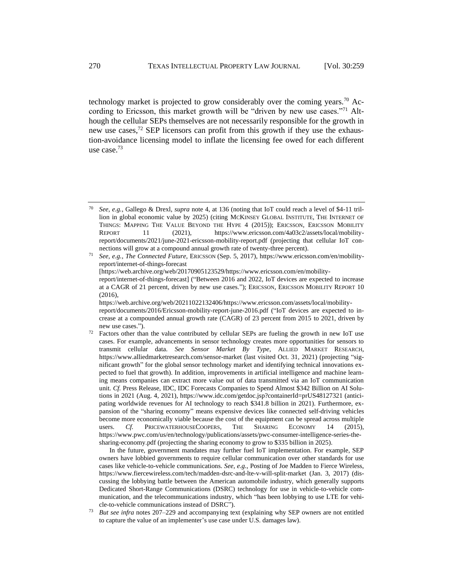technology market is projected to grow considerably over the coming years.<sup>70</sup> According to Ericsson, this market growth will be "driven by new use cases."<sup>71</sup> Although the cellular SEPs themselves are not necessarily responsible for the growth in new use cases,<sup>72</sup> SEP licensors can profit from this growth if they use the exhaustion-avoidance licensing model to inflate the licensing fee owed for each different use case.<sup>73</sup>

<sup>71</sup> *See, e.g.*, *The Connected Future*, ERICSSON (Sep. 5, 2017), https://www.ericsson.com/en/mobilityreport/internet-of-things-forecast [https://web.archive.org/web/20170905123529/https://www.ericsson.com/en/mobilityreport/internet-of-things-forecast] ("Between 2016 and 2022, IoT devices are expected to increase at a CAGR of 21 percent, driven by new use cases."); ERICSSON, ERICSSON MOBILITY REPORT 10  $(2016)$ , https://web.archive.org/web/20211022132406/https://www.ericsson.com/assets/local/mobility-

In the future, government mandates may further fuel IoT implementation. For example, SEP owners have lobbied governments to require cellular communication over other standards for use cases like vehicle-to-vehicle communications. *See, e.g.*, Posting of Joe Madden to Fierce Wireless, https://www.fiercewireless.com/tech/madden-dsrc-and-lte-v-will-split-market (Jan. 3, 2017) (discussing the lobbying battle between the American automobile industry, which generally supports Dedicated Short-Range Communications (DSRC) technology for use in vehicle-to-vehicle communication, and the telecommunications industry, which "has been lobbying to use LTE for vehicle-to-vehicle communications instead of DSRC").

<sup>70</sup> *See, e.g.*, Gallego & Drexl, *supra* note [4,](#page-2-2) at 136 (noting that IoT could reach a level of \$4-11 trillion in global economic value by 2025) (citing MCKINSEY GLOBAL INSTITUTE, THE INTERNET OF THINGS: MAPPING THE VALUE BEYOND THE HYPE 4 (2015)); ERICSSON, ERICSSON MOBILITY REPORT 11 (2021), https://www.ericsson.com/4a03c2/assets/local/mobilityreport/documents/2021/june-2021-ericsson-mobility-report.pdf (projecting that cellular IoT connections will grow at a compound annual growth rate of twenty-three percent).

report/documents/2016/Ericsson-mobility-report-june-2016.pdf ("IoT devices are expected to increase at a compounded annual growth rate (CAGR) of 23 percent from 2015 to 2021, driven by new use cases.").

 $72$  Factors other than the value contributed by cellular SEPs are fueling the growth in new IoT use cases. For example, advancements in sensor technology creates more opportunities for sensors to transmit cellular data. *See Sensor Market By Type*, ALLIED MARKET RESEARCH, https://www.alliedmarketresearch.com/sensor-market (last visited Oct. 31, 2021) (projecting "significant growth" for the global sensor technology market and identifying technical innovations expected to fuel that growth). In addition, improvements in artificial intelligence and machine learning means companies can extract more value out of data transmitted via an IoT communication unit. *Cf.* Press Release, IDC, IDC Forecasts Companies to Spend Almost \$342 Billion on AI Solutions in 2021 (Aug. 4, 2021), https://www.idc.com/getdoc.jsp?containerId=prUS48127321 (anticipating worldwide revenues for AI technology to reach \$341.8 billion in 2021). Furthermore, expansion of the "sharing economy" means expensive devices like connected self-driving vehicles become more economically viable because the cost of the equipment can be spread across multiple users. *Cf.* PRICEWATERHOUSECOOPERS, THE SHARING ECONOMY 14 (2015), https://www.pwc.com/us/en/technology/publications/assets/pwc-consumer-intelligence-series-thesharing-economy.pdf (projecting the sharing economy to grow to \$335 billion in 2025).

<sup>73</sup> *But see infra* notes 207–229 and accompanying text (explaining why SEP owners are not entitled to capture the value of an implementer's use case under U.S. damages law).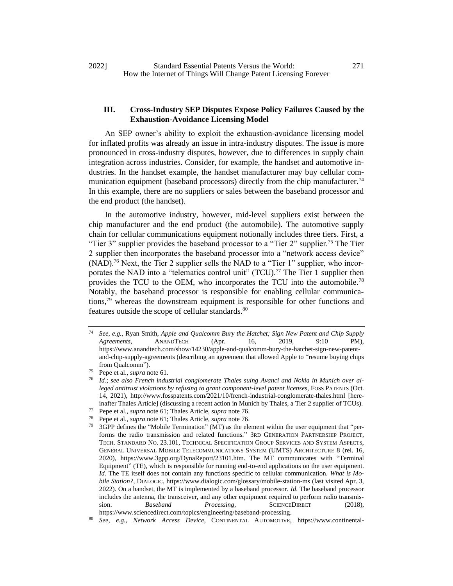## **III. Cross-Industry SEP Disputes Expose Policy Failures Caused by the Exhaustion-Avoidance Licensing Model**

An SEP owner's ability to exploit the exhaustion-avoidance licensing model for inflated profits was already an issue in intra-industry disputes. The issue is more pronounced in cross-industry disputes, however, due to differences in supply chain integration across industries. Consider, for example, the handset and automotive industries. In the handset example, the handset manufacturer may buy cellular communication equipment (baseband processors) directly from the chip manufacturer.<sup>74</sup> In this example, there are no suppliers or sales between the baseband processor and the end product (the handset).

<span id="page-12-1"></span><span id="page-12-0"></span>In the automotive industry, however, mid-level suppliers exist between the chip manufacturer and the end product (the automobile). The automotive supply chain for cellular communications equipment notionally includes three tiers. First, a "Tier 3" supplier provides the baseband processor to a "Tier 2" supplier.<sup>75</sup> The Tier 2 supplier then incorporates the baseband processor into a "network access device" (NAD).<sup>76</sup> Next, the Tier 2 supplier sells the NAD to a "Tier 1" supplier, who incorporates the NAD into a "telematics control unit" (TCU).<sup>77</sup> The Tier 1 supplier then provides the TCU to the OEM, who incorporates the TCU into the automobile.<sup>78</sup> Notably, the baseband processor is responsible for enabling cellular communications,<sup>79</sup> whereas the downstream equipment is responsible for other functions and features outside the scope of cellular standards.<sup>80</sup>

<span id="page-12-3"></span><span id="page-12-2"></span><sup>74</sup> *See, e.g.*, Ryan Smith, *Apple and Qualcomm Bury the Hatchet; Sign New Patent and Chip Supply Agreements*, ANANDTECH (Apr. 16, 2019, 9:10 PM), https://www.anandtech.com/show/14230/apple-and-qualcomm-bury-the-hatchet-sign-new-patentand-chip-supply-agreements (describing an agreement that allowed Apple to "resume buying chips from Qualcomm").

<sup>75</sup> Pepe et al., *supra* note [61.](#page-10-0)

<sup>76</sup> *Id.*; *see also French industrial conglomerate Thales suing Avanci and Nokia in Munich over alleged antitrust violations by refusing to grant component-level patent licenses*, FOSS PATENTS (Oct. 14, 2021), http://www.fosspatents.com/2021/10/french-industrial-conglomerate-thales.html [hereinafter Thales Article] (discussing a recent action in Munich by Thales, a Tier 2 supplier of TCUs).

<sup>77</sup> Pepe et al., *supra* not[e 61;](#page-10-0) Thales Article, *supra* not[e 76.](#page-12-0)

<sup>78</sup> Pepe et al., *supra* not[e 61;](#page-10-0) Thales Article, *supra* not[e 76.](#page-12-0)

<sup>3</sup>GPP defines the "Mobile Termination" (MT) as the element within the user equipment that "performs the radio transmission and related functions." 3RD GENERATION PARTNERSHIP PROJECT, TECH. STANDARD NO. 23.101, TECHNICAL SPECIFICATION GROUP SERVICES AND SYSTEM ASPECTS, GENERAL UNIVERSAL MOBILE TELECOMMUNICATIONS SYSTEM (UMTS) ARCHITECTURE 8 (rel. 16, 2020), https://www.3gpp.org/DynaReport/23101.htm. The MT communicates with "Terminal Equipment" (TE), which is responsible for running end-to-end applications on the user equipment. *Id.* The TE itself does not contain any functions specific to cellular communication. *What is Mobile Station?*, DIALOGIC, <https://www.dialogic.com/glossary/mobile-station-ms> (last visited Apr. 3, 2022). On a handset, the MT is implemented by a baseband processor. *Id.* The baseband processor includes the antenna, the transceiver, and any other equipment required to perform radio transmission. *Baseband Processing*, **SCIENCEDIRECT** (2018), https://www.sciencedirect.com/topics/engineering/baseband-processing.

<sup>80</sup> *See, e.g.*, *Network Access Device*, CONTINENTAL AUTOMOTIVE, https://www.continental-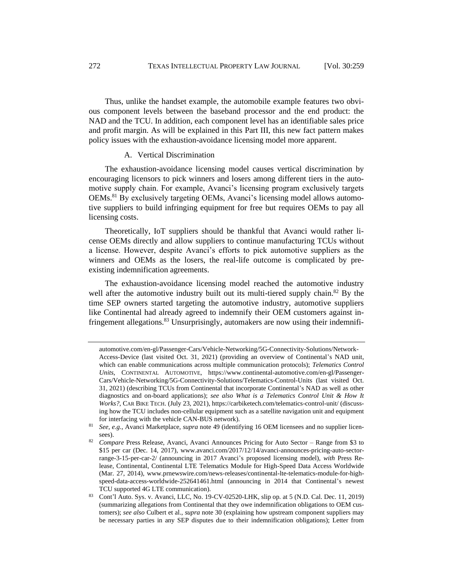Thus, unlike the handset example, the automobile example features two obvious component levels between the baseband processor and the end product: the NAD and the TCU. In addition, each component level has an identifiable sales price and profit margin. As will be explained in this Part III, this new fact pattern makes policy issues with the exhaustion-avoidance licensing model more apparent.

#### A. Vertical Discrimination

The exhaustion-avoidance licensing model causes vertical discrimination by encouraging licensors to pick winners and losers among different tiers in the automotive supply chain. For example, Avanci's licensing program exclusively targets OEMs.<sup>81</sup> By exclusively targeting OEMs, Avanci's licensing model allows automotive suppliers to build infringing equipment for free but requires OEMs to pay all licensing costs.

Theoretically, IoT suppliers should be thankful that Avanci would rather license OEMs directly and allow suppliers to continue manufacturing TCUs without a license. However, despite Avanci's efforts to pick automotive suppliers as the winners and OEMs as the losers, the real-life outcome is complicated by preexisting indemnification agreements.

The exhaustion-avoidance licensing model reached the automotive industry well after the automotive industry built out its multi-tiered supply chain.<sup>82</sup> By the time SEP owners started targeting the automotive industry, automotive suppliers like Continental had already agreed to indemnify their OEM customers against infringement allegations.<sup>83</sup> Unsurprisingly, automakers are now using their indemnifi-

automotive.com/en-gl/Passenger-Cars/Vehicle-Networking/5G-Connectivity-Solutions/Network-Access-Device (last visited Oct. 31, 2021) (providing an overview of Continental's NAD unit, which can enable communications across multiple communication protocols); *Telematics Control Units*, CONTINENTAL AUTOMOTIVE, https://www.continental-automotive.com/en-gl/Passenger-Cars/Vehicle-Networking/5G-Connectivity-Solutions/Telematics-Control-Units (last visited Oct. 31, 2021) (describing TCUs from Continental that incorporate Continental's NAD as well as other diagnostics and on-board applications); *see also What is a Telematics Control Unit & How It Works?*, CAR BIKE TECH. (July 23, 2021), https://carbiketech.com/telematics-control-unit/ (discussing how the TCU includes non-cellular equipment such as a satellite navigation unit and equipment for interfacing with the vehicle CAN-BUS network).

<sup>81</sup> *See, e.g.*, Avanci Marketplace, *supra* note [49](#page-8-1) (identifying 16 OEM licensees and no supplier licensees).

<sup>82</sup> *Compare* Press Release, Avanci, Avanci Announces Pricing for Auto Sector – Range from \$3 to \$15 per car (Dec. 14, 2017), www.avanci.com/2017/12/14/avanci-announces-pricing-auto-sectorrange-3-15-per-car-2/ (announcing in 2017 Avanci's proposed licensing model), *with* Press Release, Continental, Continental LTE Telematics Module for High-Speed Data Access Worldwide (Mar. 27, 2014), www.prnewswire.com/news-releases/continental-lte-telematics-module-for-highspeed-data-access-worldwide-252641461.html (announcing in 2014 that Continental's newest TCU supported 4G LTE communication).

<sup>83</sup> Cont'l Auto. Sys. v. Avanci, LLC, No. 19-CV-02520-LHK, slip op. at 5 (N.D. Cal. Dec. 11, 2019) (summarizing allegations from Continental that they owe indemnification obligations to OEM customers); *see also* Culbert et al., *supra* note 30 (explaining how upstream component suppliers may be necessary parties in any SEP disputes due to their indemnification obligations); Letter from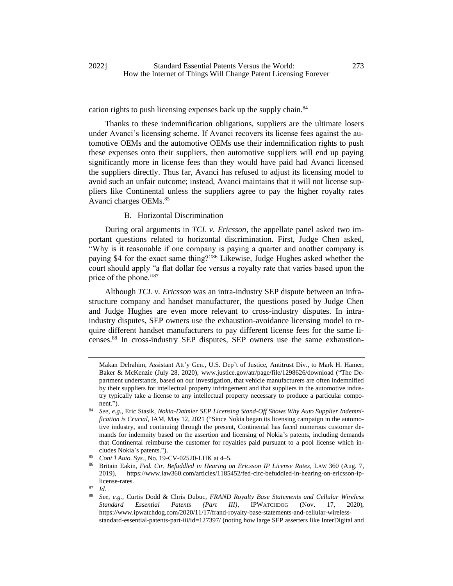## cation rights to push licensing expenses back up the supply chain.<sup>84</sup>

Thanks to these indemnification obligations, suppliers are the ultimate losers under Avanci's licensing scheme. If Avanci recovers its license fees against the automotive OEMs and the automotive OEMs use their indemnification rights to push these expenses onto their suppliers, then automotive suppliers will end up paying significantly more in license fees than they would have paid had Avanci licensed the suppliers directly. Thus far, Avanci has refused to adjust its licensing model to avoid such an unfair outcome; instead, Avanci maintains that it will not license suppliers like Continental unless the suppliers agree to pay the higher royalty rates Avanci charges OEMs.<sup>85</sup>

## B. Horizontal Discrimination

During oral arguments in *TCL v. Ericsson*, the appellate panel asked two important questions related to horizontal discrimination. First, Judge Chen asked, "Why is it reasonable if one company is paying a quarter and another company is paying \$4 for the exact same thing?"<sup>86</sup> Likewise, Judge Hughes asked whether the court should apply "a flat dollar fee versus a royalty rate that varies based upon the price of the phone."<sup>87</sup>

Although *TCL v. Ericsson* was an intra-industry SEP dispute between an infrastructure company and handset manufacturer, the questions posed by Judge Chen and Judge Hughes are even more relevant to cross-industry disputes. In intraindustry disputes, SEP owners use the exhaustion-avoidance licensing model to require different handset manufacturers to pay different license fees for the same licenses.<sup>88</sup> In cross-industry SEP disputes, SEP owners use the same exhaustion-

<span id="page-14-0"></span>Makan Delrahim, Assistant Att'y Gen., U.S. Dep't of Justice, Antitrust Div., to Mark H. Hamer, Baker & McKenzie (July 28, 2020), www.justice.gov/atr/page/file/1298626/download ("The Department understands, based on our investigation, that vehicle manufacturers are often indemnified by their suppliers for intellectual property infringement and that suppliers in the automotive industry typically take a license to any intellectual property necessary to produce a particular component.").

<sup>84</sup> *See, e.g.*, Eric Stasik, *Nokia-Daimler SEP Licensing Stand-Off Shows Why Auto Supplier Indemnification is Crucial*, IAM, May 12, 2021 ("Since Nokia began its licensing campaign in the automotive industry, and continuing through the present, Continental has faced numerous customer demands for indemnity based on the assertion and licensing of Nokia's patents, including demands that Continental reimburse the customer for royalties paid pursuant to a pool license which includes Nokia's patents.").

<sup>85</sup> *Cont'l Auto. Sys.*, No. 19-CV-02520-LHK at 4–5.

<sup>86</sup> Britain Eakin, *Fed. Cir. Befuddled in Hearing on Ericsson IP License Rates*, LAW 360 (Aug. 7, 2019), https://www.law360.com/articles/1185452/fed-circ-befuddled-in-hearing-on-ericsson-iplicense-rates.

 $rac{87}{88}$  *Id.* 

<sup>88</sup> *See, e.g.*, Curtis Dodd & Chris Dubuc, *FRAND Royalty Base Statements and Cellular Wireless Standard Essential Patents (Part III)*, IPWATCHDOG (Nov. 17, 2020), https://www.ipwatchdog.com/2020/11/17/frand-royalty-base-statements-and-cellular-wirelessstandard-essential-patents-part-iii/id=127397/ (noting how large SEP asserters like InterDigital and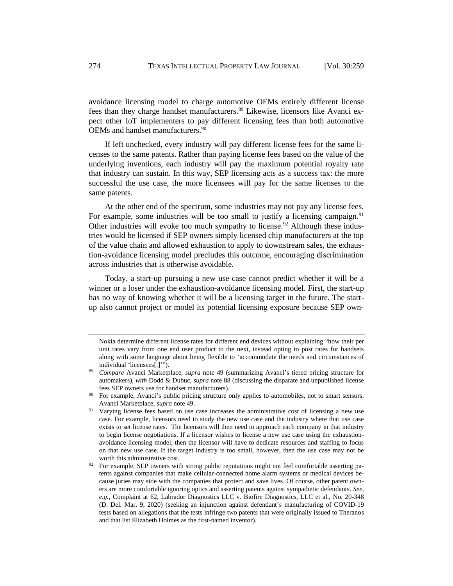avoidance licensing model to charge automotive OEMs entirely different license fees than they charge handset manufacturers.<sup>89</sup> Likewise, licensors like Avanci expect other IoT implementers to pay different licensing fees than both automotive OEMs and handset manufacturers.<sup>90</sup>

If left unchecked, every industry will pay different license fees for the same licenses to the same patents. Rather than paying license fees based on the value of the underlying inventions, each industry will pay the maximum potential royalty rate that industry can sustain. In this way, SEP licensing acts as a success tax: the more successful the use case, the more licensees will pay for the same licenses to the same patents.

At the other end of the spectrum, some industries may not pay any license fees. For example, some industries will be too small to justify a licensing campaign.<sup>91</sup> Other industries will evoke too much sympathy to license.<sup>92</sup> Although these industries would be licensed if SEP owners simply licensed chip manufacturers at the top of the value chain and allowed exhaustion to apply to downstream sales, the exhaustion-avoidance licensing model precludes this outcome, encouraging discrimination across industries that is otherwise avoidable.

Today, a start-up pursuing a new use case cannot predict whether it will be a winner or a loser under the exhaustion-avoidance licensing model. First, the start-up has no way of knowing whether it will be a licensing target in the future. The startup also cannot project or model its potential licensing exposure because SEP own-

Nokia determine different license rates for different end devices without explaining "how their per unit rates vary from one end user product to the next, instead opting to post rates for handsets along with some language about being flexible to 'accommodate the needs and circumstances of individual 'licensees[.]'").

<sup>89</sup> *Compare* Avanci Marketplace, *supra* note [49](#page-8-1) (summarizing Avanci's tiered pricing structure for automakers), *with* Dodd & Dubuc, *supra* not[e 88](#page-14-0) (discussing the disparate and unpublished license fees SEP owners use for handset manufacturers).

For example, Avanci's public pricing structure only applies to automobiles, not to smart sensors. Avanci Marketplace, *supra* not[e 49.](#page-8-1)

<sup>&</sup>lt;sup>91</sup> Varying license fees based on use case increases the administrative cost of licensing a new use case. For example, licensors need to study the new use case and the industry where that use case exists to set license rates. The licensors will then need to approach each company in that industry to begin license negotiations. If a licensor wishes to license a new use case using the exhaustionavoidance licensing model, then the licensor will have to dedicate resources and staffing to focus on that new use case. If the target industry is too small, however, then the use case may not be worth this administrative cost.

 $92$  For example, SEP owners with strong public reputations might not feel comfortable asserting patents against companies that make cellular-connected home alarm systems or medical devices because juries may side with the companies that protect and save lives. Of course, other patent owners are more comfortable ignoring optics and asserting patents against sympathetic defendants. *See, e.g.*, Complaint at 62, Labrador Diagnostics LLC v. Biofire Diagnostics, LLC et al., No. 20-348 (D. Del. Mar. 9, 2020) (seeking an injunction against defendant's manufacturing of COVID-19 tests based on allegations that the tests infringe two patents that were originally issued to Theranos and that list Elizabeth Holmes as the first-named inventor).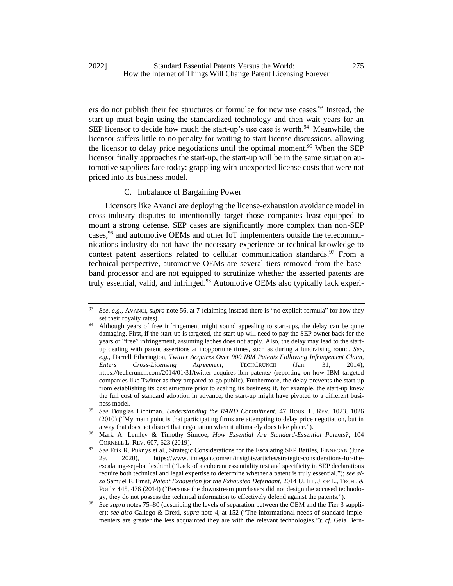ers do not publish their fee structures or formulae for new use cases.<sup>93</sup> Instead, the start-up must begin using the standardized technology and then wait years for an SEP licensor to decide how much the start-up's use case is worth. $94$  Meanwhile, the licensor suffers little to no penalty for waiting to start license discussions, allowing the licensor to delay price negotiations until the optimal moment.<sup>95</sup> When the SEP licensor finally approaches the start-up, the start-up will be in the same situation automotive suppliers face today: grappling with unexpected license costs that were not priced into its business model.

## <span id="page-16-2"></span><span id="page-16-1"></span><span id="page-16-0"></span>C. Imbalance of Bargaining Power

<span id="page-16-3"></span>Licensors like Avanci are deploying the license-exhaustion avoidance model in cross-industry disputes to intentionally target those companies least-equipped to mount a strong defense. SEP cases are significantly more complex than non-SEP cases,<sup>96</sup> and automotive OEMs and other IoT implementers outside the telecommunications industry do not have the necessary experience or technical knowledge to contest patent assertions related to cellular communication standards.  $97$  From a technical perspective, automotive OEMs are several tiers removed from the baseband processor and are not equipped to scrutinize whether the asserted patents are truly essential, valid, and infringed.<sup>98</sup> Automotive OEMs also typically lack experi-

<sup>93</sup> *See, e.g.*, AVANCI, *supra* note [56,](#page-9-0) at 7 (claiming instead there is "no explicit formula" for how they set their royalty rates).

<sup>94</sup> Although years of free infringement might sound appealing to start-ups, the delay can be quite damaging. First, if the start-up is targeted, the start-up will need to pay the SEP owner back for the years of "free" infringement, assuming laches does not apply. Also, the delay may lead to the startup dealing with patent assertions at inopportune times, such as during a fundraising round. *See, e.g.*, Darrell Etherington, *Twitter Acquires Over 900 IBM Patents Following Infringement Claim, Enters Cross-Licensing Agreement*, TECHCRUNCH (Jan. 31, 2014), https://techcrunch.com/2014/01/31/twitter-acquires-ibm-patents/ (reporting on how IBM targeted companies like Twitter as they prepared to go public). Furthermore, the delay prevents the start-up from establishing its cost structure prior to scaling its business; if, for example, the start-up knew the full cost of standard adoption in advance, the start-up might have pivoted to a different business model.

<sup>95</sup> *See* Douglas Lichtman, *Understanding the RAND Commitment*, 47 HOUS. L. REV. 1023, 1026 (2010) ("My main point is that participating firms are attempting to delay price negotiation, but in a way that does not distort that negotiation when it ultimately does take place.").

<sup>96</sup> Mark A. Lemley & Timothy Simcoe, *How Essential Are Standard-Essential Patents?*, 104 CORNELL L. REV. 607, 623 (2019).

<sup>&</sup>lt;sup>97</sup> *See* Erik R. Puknys et al., Strategic Considerations for the Escalating SEP Battles, FINNEGAN (June 29. 2020). https://www.finnegan.com/en/insights/articles/strategic-considerations-for-the-29, 2020), https://www.finnegan.com/en/insights/articles/strategic-considerations-for-theescalating-sep-battles.html ("Lack of a coherent essentiality test and specificity in SEP declarations require both technical and legal expertise to determine whether a patent is truly essential."); *see also* Samuel F. Ernst, *Patent Exhaustion for the Exhausted Defendant*, 2014 U. ILL. J. OF L., TECH., & POL'Y 445, 476 (2014) ("Because the downstream purchasers did not design the accused technology, they do not possess the technical information to effectively defend against the patents.").

<sup>98</sup> *See supra* notes [75](#page-12-1)[–80](#page-12-2) (describing the levels of separation between the OEM and the Tier 3 supplier); *see also* Gallego & Drexl, *supra* note [4,](#page-2-2) at 152 ("The informational needs of standard implementers are greater the less acquainted they are with the relevant technologies."); *cf.* Gaia Bern-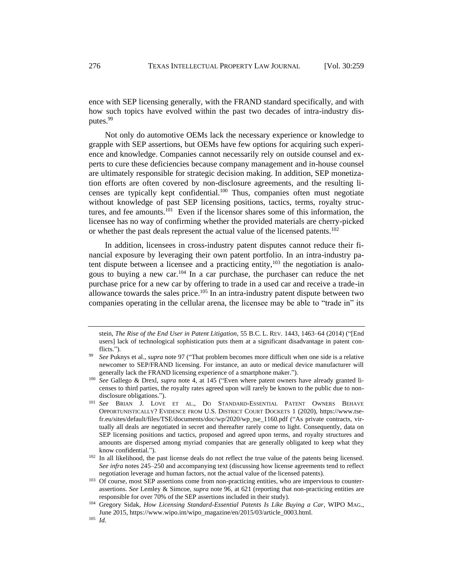ence with SEP licensing generally, with the FRAND standard specifically, and with how such topics have evolved within the past two decades of intra-industry disputes.<sup>99</sup>

Not only do automotive OEMs lack the necessary experience or knowledge to grapple with SEP assertions, but OEMs have few options for acquiring such experience and knowledge. Companies cannot necessarily rely on outside counsel and experts to cure these deficiencies because company management and in-house counsel are ultimately responsible for strategic decision making. In addition, SEP monetization efforts are often covered by non-disclosure agreements, and the resulting licenses are typically kept confidential. $100$  Thus, companies often must negotiate without knowledge of past SEP licensing positions, tactics, terms, royalty structures, and fee amounts.<sup>101</sup> Even if the licensor shares some of this information, the licensee has no way of confirming whether the provided materials are cherry-picked or whether the past deals represent the actual value of the licensed patents.<sup>102</sup>

In addition, licensees in cross-industry patent disputes cannot reduce their financial exposure by leveraging their own patent portfolio. In an intra-industry patent dispute between a licensee and a practicing entity,  $103$  the negotiation is analogous to buying a new car.<sup>104</sup> In a car purchase, the purchaser can reduce the net purchase price for a new car by offering to trade in a used car and receive a trade-in allowance towards the sales price.<sup>105</sup> In an intra-industry patent dispute between two companies operating in the cellular arena, the licensee may be able to "trade in" its

stein, *The Rise of the End User in Patent Litigation*, 55 B.C. L. REV. 1443, 1463–64 (2014) ("[End users] lack of technological sophistication puts them at a significant disadvantage in patent conflicts.").

<sup>99</sup> *See* Puknys et al., *supra* not[e 97](#page-16-2) ("That problem becomes more difficult when one side is a relative newcomer to SEP/FRAND licensing. For instance, an auto or medical device manufacturer will generally lack the FRAND licensing experience of a smartphone maker.").

<sup>100</sup> *See* Gallego & Drexl, *supra* note [4,](#page-2-2) at 145 ("Even where patent owners have already granted licenses to third parties, the royalty rates agreed upon will rarely be known to the public due to nondisclosure obligations.").

<sup>101</sup> *See* BRIAN J. LOVE ET AL., DO STANDARD-ESSENTIAL PATENT OWNERS BEHAVE OPPORTUNISTICALLY? EVIDENCE FROM U.S. DISTRICT COURT DOCKETS 1 (2020), https://www.tsefr.eu/sites/default/files/TSE/documents/doc/wp/2020/wp\_tse\_1160.pdf ("As private contracts, virtually all deals are negotiated in secret and thereafter rarely come to light. Consequently, data on SEP licensing positions and tactics, proposed and agreed upon terms, and royalty structures and amounts are dispersed among myriad companies that are generally obligated to keep what they know confidential.").

<sup>&</sup>lt;sup>102</sup> In all likelihood, the past license deals do not reflect the true value of the patents being licensed. *See infra* notes [245](#page-44-1)[–250](#page-44-2) and accompanying text (discussing how license agreements tend to reflect negotiation leverage and human factors, not the actual value of the licensed patents).

<sup>&</sup>lt;sup>103</sup> Of course, most SEP assertions come from non-practicing entities, who are impervious to counterassertions. *See* Lemley & Simcoe, *supra* note [96,](#page-16-3) at 621 (reporting that non-practicing entities are responsible for over 70% of the SEP assertions included in their study).

<sup>104</sup> Gregory Sidak, *How Licensing Standard-Essential Patents Is Like Buying a Car*, WIPO MAG., June 2015, https://www.wipo.int/wipo\_magazine/en/2015/03/article\_0003.html.

<sup>105</sup> *Id.*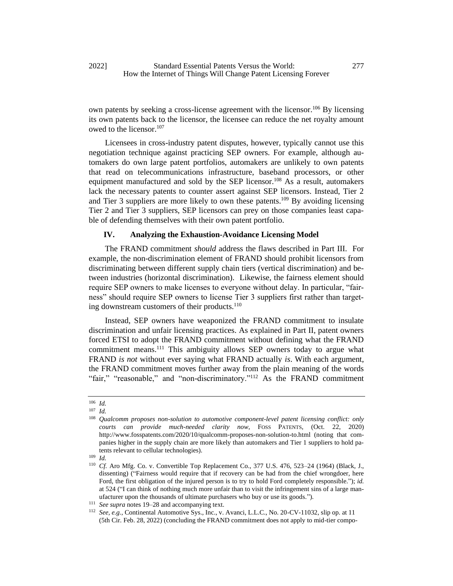own patents by seeking a cross-license agreement with the licensor.<sup>106</sup> By licensing its own patents back to the licensor, the licensee can reduce the net royalty amount owed to the licensor.<sup>107</sup>

Licensees in cross-industry patent disputes, however, typically cannot use this negotiation technique against practicing SEP owners. For example, although automakers do own large patent portfolios, automakers are unlikely to own patents that read on telecommunications infrastructure, baseband processors, or other equipment manufactured and sold by the SEP licensor.<sup>108</sup> As a result, automakers lack the necessary patents to counter assert against SEP licensors. Instead, Tier 2 and Tier 3 suppliers are more likely to own these patents.<sup>109</sup> By avoiding licensing Tier 2 and Tier 3 suppliers, SEP licensors can prey on those companies least capable of defending themselves with their own patent portfolio.

## **IV. Analyzing the Exhaustion-Avoidance Licensing Model**

The FRAND commitment *should* address the flaws described in Part III. For example, the non-discrimination element of FRAND should prohibit licensors from discriminating between different supply chain tiers (vertical discrimination) and between industries (horizontal discrimination). Likewise, the fairness element should require SEP owners to make licenses to everyone without delay. In particular, "fairness" should require SEP owners to license Tier 3 suppliers first rather than targeting downstream customers of their products.<sup>110</sup>

Instead, SEP owners have weaponized the FRAND commitment to insulate discrimination and unfair licensing practices. As explained in Part II, patent owners forced ETSI to adopt the FRAND commitment without defining what the FRAND commitment means.<sup>111</sup> This ambiguity allows SEP owners today to argue what FRAND *is not* without ever saying what FRAND actually *is*. With each argument, the FRAND commitment moves further away from the plain meaning of the words "fair," "reasonable," and "non-discriminatory."<sup>112</sup> As the FRAND commitment

<span id="page-18-0"></span><sup>106</sup> *Id.*

<sup>107</sup> *Id.*

<sup>108</sup> *Qualcomm proposes non-solution to automotive component-level patent licensing conflict: only courts can provide much-needed clarity now*, FOSS PATENTS, (Oct. 22, 2020) http://www.fosspatents.com/2020/10/qualcomm-proposes-non-solution-to.html (noting that companies higher in the supply chain are more likely than automakers and Tier 1 suppliers to hold patents relevant to cellular technologies).

<sup>109</sup> *Id.*

<sup>110</sup> *Cf.* Aro Mfg. Co. v. Convertible Top Replacement Co., 377 U.S. 476, 523–24 (1964) (Black, J., dissenting) ("Fairness would require that if recovery can be had from the chief wrongdoer, here Ford, the first obligation of the injured person is to try to hold Ford completely responsible."); *id.*  at 524 ("I can think of nothing much more unfair than to visit the infringement sins of a large manufacturer upon the thousands of ultimate purchasers who buy or use its goods.").

<sup>111</sup> *See supra* notes 19–28 and accompanying text.

<sup>112</sup> *See, e.g.*, Continental Automotive Sys., Inc., v. Avanci, L.L.C., No. 20-CV-11032, slip op. at 11 (5th Cir. Feb. 28, 2022) (concluding the FRAND commitment does not apply to mid-tier compo-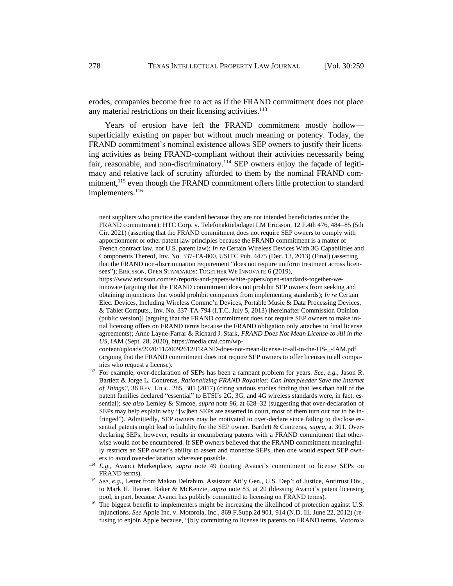erodes, companies become free to act as if the FRAND commitment does not place any material restrictions on their licensing activities.<sup>113</sup>

Years of erosion have left the FRAND commitment mostly hollow superficially existing on paper but without much meaning or potency. Today, the FRAND commitment's nominal existence allows SEP owners to justify their licensing activities as being FRAND-compliant without their activities necessarily being fair, reasonable, and non-discriminatory.<sup>114</sup> SEP owners enjoy the façade of legitimacy and relative lack of scrutiny afforded to them by the nominal FRAND commitment,<sup>115</sup> even though the FRAND commitment offers little protection to standard implementers.<sup>116</sup>

nent suppliers who practice the standard because they are not intended beneficiaries under the FRAND commitment); HTC Corp. v. Telefonaktiebolaget LM Ericsson, 12 F.4th 476, 484–85 (5th Cir. 2021) (asserting that the FRAND commitment does not require SEP owners to comply with apportionment or other patent law principles because the FRAND commitment is a matter of French contract law, not U.S. patent law); *In re* Certain Wireless Devices With 3G Capabilities and Components Thereof, Inv. No. 337-TA-800, USITC Pub. 4475 (Dec. 13, 2013) (Final) (asserting that the FRAND non-discrimination requirement "does not require uniform treatment across licensees"); ERICSSON, OPEN STANDARDS: TOGETHER WE INNOVATE 6 (2019),

https://www.ericsson.com/en/reports-and-papers/white-papers/open-standards-together-weinnovate (arguing that the FRAND commitment does not prohibit SEP owners from seeking and obtaining injunctions that would prohibit companies from implementing standards); *In re* Certain Elec. Devices, Including Wireless Commc'n Devices, Portable Music & Data Processing Devices, & Tablet Computs., Inv. No. 337-TA-794 (I.T.C. July 5, 2013) [hereinafter Commission Opinion (public version)] (arguing that the FRAND commitment does not require SEP owners to make initial licensing offers on FRAND terms because the FRAND obligation only attaches to final license agreements); Anne Layne-Farrar & Richard J. Stark, *FRAND Does Not Mean License-to-All in the US*, IAM (Sept. 28, 2020), https://media.crai.com/wp-

content/uploads/2020/11/20092612/FRAND-does-not-mean-license-to-all-in-the-US-\_-IAM.pdf (arguing that the FRAND commitment does not require SEP owners to offer licenses to all companies who request a license).

<sup>113</sup> For example, over-declaration of SEPs has been a rampant problem for years. *See, e.g.*, Jason R. Bartlett & Jorge L. Contreras, *Rationalizing FRAND Royalties: Can Interpleader Save the Internet of Things?*, 36 REV. LITIG. 285, 301 (2017) (citing various studies finding that less than half of the patent families declared "essential" to ETSI's 2G, 3G, and 4G wireless standards were, in fact, essential); *see also* Lemley & Simcoe, *supra* note [96,](#page-16-3) at 628–32 (suggesting that over-declaration of SEPs may help explain why "[w]hen SEPs are asserted in court, most of them turn out not to be infringed"). Admittedly, SEP owners may be motivated to over-declare since failing to disclose essential patents might lead to liability for the SEP owner. Bartlett & Contreras, *supra*, at 301. Overdeclaring SEPs, however, results in encumbering patents with a FRAND commitment that otherwise would not be encumbered. If SEP owners believed that the FRAND commitment meaningfully restricts an SEP owner's ability to assert and monetize SEPs, then one would expect SEP owners to avoid over-declaration wherever possible.

<sup>114</sup> *E.g.*, Avanci Marketplace, *supra* note [49](#page-8-1) (touting Avanci's commitment to license SEPs on FRAND terms).

<sup>115</sup> *See, e.g.*, Letter from Makan Delrahim, Assistant Att'y Gen., U.S. Dep't of Justice, Antitrust Div., to Mark H. Hamer, Baker & McKenzie, *supra* note 83, at 20 (blessing Avanci's patent licensing pool, in part, because Avanci has publicly committed to licensing on FRAND terms).

<sup>&</sup>lt;sup>116</sup> The biggest benefit to implementers might be increasing the likelihood of protection against U.S. injunctions. *See* Apple Inc. v. Motorola, Inc., 869 F.Supp.2d 901, 914 (N.D. Ill. June 22, 2012) (refusing to enjoin Apple because, "[b]y committing to license its patents on FRAND terms, Motorola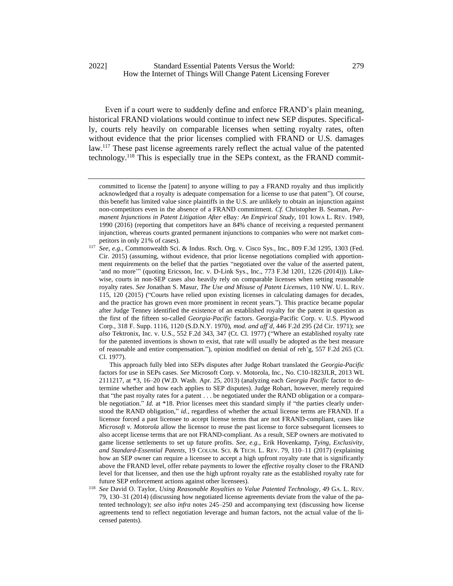Even if a court were to suddenly define and enforce FRAND's plain meaning, historical FRAND violations would continue to infect new SEP disputes. Specifically, courts rely heavily on comparable licenses when setting royalty rates, often without evidence that the prior licenses complied with FRAND or U.S. damages law.<sup>117</sup> These past license agreements rarely reflect the actual value of the patented technology.<sup>118</sup> This is especially true in the SEPs context, as the FRAND commit-

This approach fully bled into SEPs disputes after Judge Robart translated the *Georgia-Pacific*  factors for use in SEPs cases. *See* Microsoft Corp. v. Motorola, Inc., No. C10-1823JLR, 2013 WL 2111217, at \*3, 16–20 (W.D. Wash. Apr. 25, 2013) (analyzing each *Georgia Pacific* factor to determine whether and how each applies to SEP disputes). Judge Robart, however, merely required that "the past royalty rates for a patent . . . be negotiated under the RAND obligation or a comparable negotiation." *Id.* at \*18. Prior licenses meet this standard simply if "the parties clearly understood the RAND obligation," *id.*, regardless of whether the actual license terms are FRAND. If a licensor forced a past licensee to accept license terms that are not FRAND-compliant, cases like *Microsoft v. Motorola* allow the licensor to reuse the past license to force subsequent licensees to also accept license terms that are not FRAND-compliant. As a result, SEP owners are motivated to game license settlements to set up future profits. *See, e.g.*, Erik Hovenkamp, *Tying, Exclusivity, and Standard-Essential Patents*, 19 COLUM. SCI. & TECH. L. REV. 79, 110–11 (2017) (explaining how an SEP owner can require a licensee to accept a high upfront royalty rate that is significantly above the FRAND level, offer rebate payments to lower the *effective* royalty closer to the FRAND level for that licensee, and then use the high upfront royalty rate as the established royalty rate for future SEP enforcement actions against other licensees).

<sup>118</sup> *See* David O. Taylor, *Using Reasonable Royalties to Value Patented Technology*, 49 GA. L. REV. 79, 130–31 (2014) (discussing how negotiated license agreements deviate from the value of the patented technology); *see also infra* notes [245](#page-44-1)[–250](#page-44-2) and accompanying text (discussing how license agreements tend to reflect negotiation leverage and human factors, not the actual value of the licensed patents).

<span id="page-20-0"></span>committed to license the [patent] to anyone willing to pay a FRAND royalty and thus implicitly acknowledged that a royalty is adequate compensation for a license to use that patent"). Of course, this benefit has limited value since plaintiffs in the U.S. are unlikely to obtain an injunction against non-competitors even in the absence of a FRAND commitment. *Cf.* Christopher B. Seaman, *Permanent Injunctions in Patent Litigation After* eBay*: An Empirical Study*, 101 IOWA L. REV. 1949, 1990 (2016) (reporting that competitors have an 84% chance of receiving a requested permanent injunction, whereas courts granted permanent injunctions to companies who were not market competitors in only 21% of cases).

<sup>117</sup> *See, e.g.*, Commonwealth Sci. & Indus. Rsch. Org. v. Cisco Sys., Inc., 809 F.3d 1295, 1303 (Fed. Cir. 2015) (assuming, without evidence, that prior license negotiations complied with apportionment requirements on the belief that the parties "negotiated over the value of the asserted patent, 'and no more'" (quoting Ericsson, Inc. v. D-Link Sys., Inc., 773 F.3d 1201, 1226 (2014))). Likewise, courts in non-SEP cases also heavily rely on comparable licenses when setting reasonable royalty rates. *See* Jonathan S. Masur, *The Use and Misuse of Patent Licenses*, 110 NW. U. L. REV. 115, 120 (2015) ("Courts have relied upon existing licenses in calculating damages for decades, and the practice has grown even more prominent in recent years."). This practice became popular after Judge Tenney identified the existence of an established royalty for the patent in question as the first of the fifteen so-called *Georgia-Pacific* factors. Georgia-Pacific Corp. v. U.S. Plywood Corp., 318 F. Supp. 1116, 1120 (S.D.N.Y. 1970), *mod. and aff'd*, 446 F.2d 295 (2d Cir. 1971); *see also* Tektronix, Inc. v. U.S., 552 F.2d 343, 347 (Ct. Cl. 1977) ("Where an established royalty rate for the patented inventions is shown to exist, that rate will usually be adopted as the best measure of reasonable and entire compensation."), opinion modified on denial of reh'g, 557 F.2d 265 (Ct. Cl. 1977).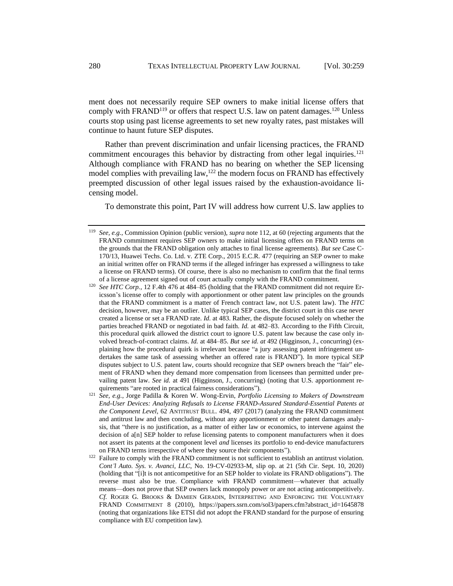ment does not necessarily require SEP owners to make initial license offers that comply with FRAND<sup>119</sup> or offers that respect U.S. law on patent damages.<sup>120</sup> Unless courts stop using past license agreements to set new royalty rates, past mistakes will continue to haunt future SEP disputes.

Rather than prevent discrimination and unfair licensing practices, the FRAND commitment encourages this behavior by distracting from other legal inquiries.<sup>121</sup> Although compliance with FRAND has no bearing on whether the SEP licensing model complies with prevailing law,  $122$  the modern focus on FRAND has effectively preempted discussion of other legal issues raised by the exhaustion-avoidance licensing model.

<span id="page-21-0"></span>To demonstrate this point, Part IV will address how current U.S. law applies to

<sup>119</sup> *See, e.g.*, Commission Opinion (public version), *supra* not[e 112,](#page-18-0) at 60 (rejecting arguments that the FRAND commitment requires SEP owners to make initial licensing offers on FRAND terms on the grounds that the FRAND obligation only attaches to final license agreements). *But see* Case C-170/13, Huawei Techs. Co. Ltd. v. ZTE Corp., 2015 E.C.R. 477 (requiring an SEP owner to make an initial written offer on FRAND terms if the alleged infringer has expressed a willingness to take a license on FRAND terms). Of course, there is also no mechanism to confirm that the final terms of a license agreement signed out of court actually comply with the FRAND commitment.

<sup>&</sup>lt;sup>120</sup> *See HTC Corp.*, 12 F.4th 476 at 484–85 (holding that the FRAND commitment did not require Ericsson's license offer to comply with apportionment or other patent law principles on the grounds that the FRAND commitment is a matter of French contract law, not U.S. patent law). The *HTC*  decision, however, may be an outlier. Unlike typical SEP cases, the district court in this case never created a license or set a FRAND rate. *Id.* at 483. Rather, the dispute focused solely on whether the parties breached FRAND or negotiated in bad faith. *Id.* at 482–83. According to the Fifth Circuit, this procedural quirk allowed the district court to ignore U.S. patent law because the case only involved breach-of-contract claims. *Id.* at 484–85. *But see id. at* 492 (Higginson, J., concurring) (explaining how the procedural quirk is irrelevant because "a jury assessing patent infringement undertakes the same task of assessing whether an offered rate is FRAND"). In more typical SEP disputes subject to U.S. patent law, courts should recognize that SEP owners breach the "fair" element of FRAND when they demand more compensation from licensees than permitted under prevailing patent law. *See id.* at 491 (Higginson, J., concurring) (noting that U.S. apportionment requirements "are rooted in practical fairness considerations").

<sup>121</sup> *See, e.g.*, Jorge Padilla & Koren W. Wong-Ervin, *Portfolio Licensing to Makers of Downstream End-User Devices: Analyzing Refusals to License FRAND-Assured Standard-Essential Patents at the Component Level*, 62 ANTITRUST BULL. 494, 497 (2017) (analyzing the FRAND commitment and antitrust law and then concluding, without any apportionment or other patent damages analysis, that "there is no justification, as a matter of either law or economics, to intervene against the decision of a[n] SEP holder to refuse licensing patents to component manufacturers when it does not assert its patents at the component level *and* licenses its portfolio to end-device manufacturers on FRAND terms irrespective of where they source their components").

<sup>&</sup>lt;sup>122</sup> Failure to comply with the FRAND commitment is not sufficient to establish an antitrust violation. *Cont'l Auto. Sys. v. Avanci, LLC*, No. 19-CV-02933-M, slip op. at 21 (5th Cir. Sept. 10, 2020) (holding that "[i]t is not anticompetitive for an SEP holder to violate its FRAND obligations"). The reverse must also be true. Compliance with FRAND commitment—whatever that actually means—does not prove that SEP owners lack monopoly power or are not acting anticompetitively. *Cf.* ROGER G. BROOKS & DAMIEN GERADIN, INTERPRETING AND ENFORCING THE VOLUNTARY FRAND COMMITMENT 8 (2010), https://papers.ssrn.com/sol3/papers.cfm?abstract\_id=1645878 (noting that organizations like ETSI did not adopt the FRAND standard for the purpose of ensuring compliance with EU competition law).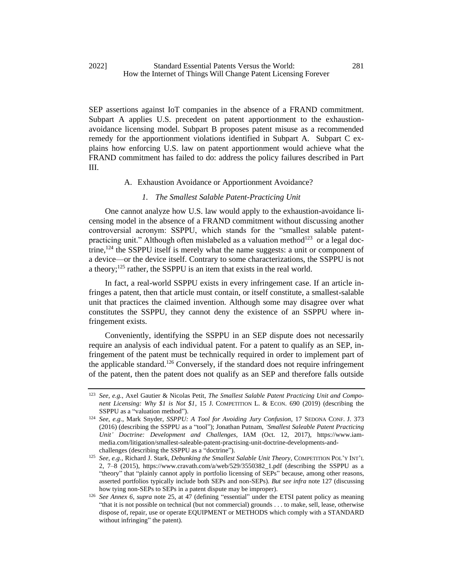SEP assertions against IoT companies in the absence of a FRAND commitment. Subpart A applies U.S. precedent on patent apportionment to the exhaustionavoidance licensing model. Subpart B proposes patent misuse as a recommended remedy for the apportionment violations identified in Subpart A. Subpart C explains how enforcing U.S. law on patent apportionment would achieve what the FRAND commitment has failed to do: address the policy failures described in Part III.

#### A. Exhaustion Avoidance or Apportionment Avoidance?

#### *1. The Smallest Salable Patent-Practicing Unit*

One cannot analyze how U.S. law would apply to the exhaustion-avoidance licensing model in the absence of a FRAND commitment without discussing another controversial acronym: SSPPU, which stands for the "smallest salable patentpracticing unit." Although often mislabeled as a valuation method<sup>123</sup> or a legal doctrine,<sup>124</sup> the SSPPU itself is merely what the name suggests: a unit or component of a device—or the device itself. Contrary to some characterizations, the SSPPU is not a theory; $125$  rather, the SSPPU is an item that exists in the real world.

In fact, a real-world SSPPU exists in every infringement case. If an article infringes a patent, then that article must contain, or itself constitute, a smallest-salable unit that practices the claimed invention. Although some may disagree over what constitutes the SSPPU, they cannot deny the existence of an SSPPU where infringement exists.

Conveniently, identifying the SSPPU in an SEP dispute does not necessarily require an analysis of each individual patent. For a patent to qualify as an SEP, infringement of the patent must be technically required in order to implement part of the applicable standard.<sup>126</sup> Conversely, if the standard does not require infringement of the patent, then the patent does not qualify as an SEP and therefore falls outside

<sup>123</sup> *See, e.g.*, Axel Gautier & Nicolas Petit, *The Smallest Salable Patent Practicing Unit and Component Licensing: Why \$1 is Not \$1*, 15 J. COMPETITION L. & ECON. 690 (2019) (describing the SSPPU as a "valuation method").

<sup>124</sup> *See, e.g.*, Mark Snyder, *SSPPU: A Tool for Avoiding Jury Confusion*, 17 SEDONA CONF. J. 373 (2016) (describing the SSPPU as a "tool"); Jonathan Putnam, *'Smallest Saleable Patent Practicing Unit' Doctrine: Development and Challenges*, IAM (Oct. 12, 2017), https://www.iammedia.com/litigation/smallest-saleable-patent-practising-unit-doctrine-developments-andchallenges (describing the SSPPU as a "doctrine").

<sup>125</sup> *See, e.g.*, Richard J. Stark, *Debunking the Smallest Salable Unit Theory*, COMPETITION POL'Y INT'L 2, 7–8 (2015), https://www.cravath.com/a/web/529/3550382\_1.pdf (describing the SSPPU as a "theory" that "plainly cannot apply in portfolio licensing of SEPs" because, among other reasons, asserted portfolios typically include both SEPs and non-SEPs). *But see infra* note [127](#page-23-0) (discussing how tying non-SEPs to SEPs in a patent dispute may be improper).

<sup>126</sup> *See Annex 6*, *supra* note 25, at 47 (defining "essential" under the ETSI patent policy as meaning "that it is not possible on technical (but not commercial) grounds . . . to make, sell, lease, otherwise dispose of, repair, use or operate EQUIPMENT or METHODS which comply with a STANDARD without infringing" the patent).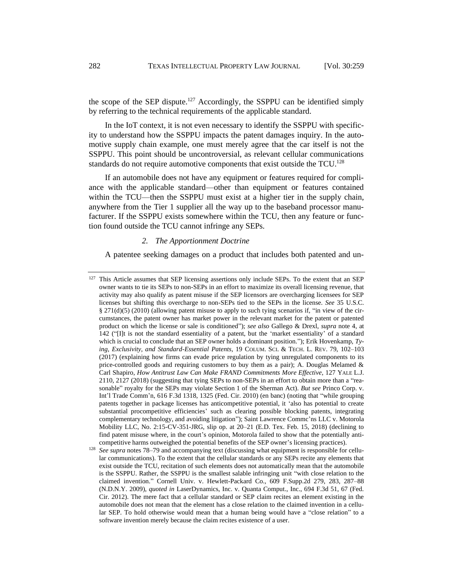<span id="page-23-0"></span>the scope of the SEP dispute.<sup>127</sup> Accordingly, the SSPPU can be identified simply by referring to the technical requirements of the applicable standard.

In the IoT context, it is not even necessary to identify the SSPPU with specificity to understand how the SSPPU impacts the patent damages inquiry. In the automotive supply chain example, one must merely agree that the car itself is not the SSPPU. This point should be uncontroversial, as relevant cellular communications standards do not require automotive components that exist outside the TCU.<sup>128</sup>

If an automobile does not have any equipment or features required for compliance with the applicable standard—other than equipment or features contained within the TCU—then the SSPPU must exist at a higher tier in the supply chain, anywhere from the Tier 1 supplier all the way up to the baseband processor manufacturer. If the SSPPU exists somewhere within the TCU, then any feature or function found outside the TCU cannot infringe any SEPs.

#### <span id="page-23-1"></span>*2. The Apportionment Doctrine*

A patentee seeking damages on a product that includes both patented and un-

<sup>&</sup>lt;sup>127</sup> This Article assumes that SEP licensing assertions only include SEPs. To the extent that an SEP owner wants to tie its SEPs to non-SEPs in an effort to maximize its overall licensing revenue, that activity may also qualify as patent misuse if the SEP licensors are overcharging licensees for SEP licenses but shifting this overcharge to non-SEPs tied to the SEPs in the license. *See* 35 U.S.C. § 271(d)(5) (2010) (allowing patent misuse to apply to such tying scenarios if, "in view of the circumstances, the patent owner has market power in the relevant market for the patent or patented product on which the license or sale is conditioned"); *see also* Gallego & Drexl, *supra* note [4,](#page-2-2) at 142 ("[I]t is not the standard essentiality of a patent, but the 'market essentiality' of a standard which is crucial to conclude that an SEP owner holds a dominant position."); Erik Hovenkamp, *Tying, Exclusivity, and Standard-Essential Patents*, 19 COLUM. SCI. & TECH. L. REV. 79, 102–103 (2017) (explaining how firms can evade price regulation by tying unregulated components to its price-controlled goods and requiring customers to buy them as a pair); A. Douglas Melamed  $\&$ Carl Shapiro, *How Antitrust Law Can Make FRAND Commitments More Effective*, 127 YALE L.J. 2110, 2127 (2018) (suggesting that tying SEPs to non-SEPs in an effort to obtain more than a "reasonable" royalty for the SEPs may violate Section 1 of the Sherman Act). *But see* Princo Corp. v. Int'l Trade Comm'n, 616 F.3d 1318, 1325 (Fed. Cir. 2010) (en banc) (noting that "while grouping patents together in package licenses has anticompetitive potential, it 'also has potential to create substantial procompetitive efficiencies' such as clearing possible blocking patents, integrating complementary technology, and avoiding litigation"); Saint Lawrence Commc'ns LLC v. Motorola Mobility LLC, No. 2:15-CV-351-JRG, slip op. at 20–21 (E.D. Tex. Feb. 15, 2018) (declining to find patent misuse where, in the court's opinion, Motorola failed to show that the potentially anticompetitive harms outweighed the potential benefits of the SEP owner's licensing practices).

<sup>&</sup>lt;sup>128</sup> *See supra* notes 78–79 and accompanying text (discussing what equipment is responsible for cellular communications). To the extent that the cellular standards or any SEPs recite any elements that exist outside the TCU, recitation of such elements does not automatically mean that the automobile is the SSPPU. Rather, the SSPPU is the smallest salable infringing unit "with close relation to the claimed invention." Cornell Univ. v. Hewlett-Packard Co., 609 F.Supp.2d 279, 283, 287–88 (N.D.N.Y. 2009), *quoted in* LaserDynamics, Inc. v. Quanta Comput., Inc., 694 F.3d 51, 67 (Fed. Cir. 2012). The mere fact that a cellular standard or SEP claim recites an element existing in the automobile does not mean that the element has a close relation to the claimed invention in a cellular SEP. To hold otherwise would mean that a human being would have a "close relation" to a software invention merely because the claim recites existence of a user.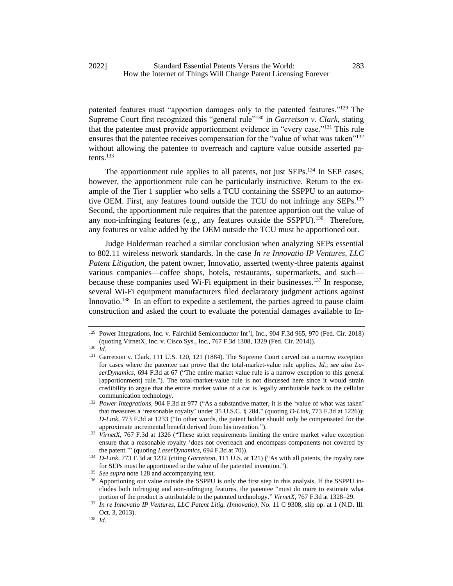patented features must "apportion damages only to the patented features."<sup>129</sup> The Supreme Court first recognized this "general rule"<sup>130</sup> in *Garretson v. Clark*, stating that the patentee must provide apportionment evidence in "every case."<sup>131</sup> This rule ensures that the patentee receives compensation for the "value of what was taken"<sup>132</sup> without allowing the patentee to overreach and capture value outside asserted patents. $133$ 

The apportionment rule applies to all patents, not just SEPs.<sup>134</sup> In SEP cases, however, the apportionment rule can be particularly instructive. Return to the example of the Tier 1 supplier who sells a TCU containing the SSPPU to an automotive OEM. First, any features found outside the TCU do not infringe any SEPs.<sup>135</sup> Second, the apportionment rule requires that the patentee apportion out the value of any non-infringing features (e.g., any features outside the SSPPU).<sup>136</sup> Therefore, any features or value added by the OEM outside the TCU must be apportioned out.

<span id="page-24-0"></span>Judge Holderman reached a similar conclusion when analyzing SEPs essential to 802.11 wireless network standards. In the case *In re Innovatio IP Ventures, LLC Patent Litigation*, the patent owner, Innovatio, asserted twenty-three patents against various companies—coffee shops, hotels, restaurants, supermarkets, and such because these companies used Wi-Fi equipment in their businesses.<sup>137</sup> In response, several Wi-Fi equipment manufacturers filed declaratory judgment actions against Innovatio.<sup>138</sup> In an effort to expedite a settlement, the parties agreed to pause claim construction and asked the court to evaluate the potential damages available to In-

<sup>129</sup> Power Integrations, Inc. v. Fairchild Semiconductor Int'l, Inc., 904 F.3d 965, 970 (Fed. Cir. 2018) (quoting VirnetX, Inc. v. Cisco Sys., Inc., 767 F.3d 1308, 1329 (Fed. Cir. 2014)).

<sup>130</sup> *Id.*

<sup>&</sup>lt;sup>131</sup> Garretson v. Clark, 111 U.S. 120, 121 (1884). The Supreme Court carved out a narrow exception for cases where the patentee can prove that the total-market-value rule applies. *Id.*; *see also LaserDynamics*, 694 F.3d at 67 ("The entire market value rule is a narrow exception to this general [apportionment] rule."). The total-market-value rule is not discussed here since it would strain credibility to argue that the entire market value of a car is legally attributable back to the cellular communication technology.

<sup>&</sup>lt;sup>132</sup> *Power Integrations*, 904 F.3d at 977 ("As a substantive matter, it is the 'value of what was taken' that measures a 'reasonable royalty' under 35 U.S.C. § 284." (quoting *D-Link*, 773 F.3d at 1226)); *D-Link*, 773 F.3d at 1233 ("In other words, the patent holder should only be compensated for the approximate incremental benefit derived from his invention.").

<sup>&</sup>lt;sup>133</sup> *VirnetX*, 767 F.3d at 1326 ("These strict requirements limiting the entire market value exception ensure that a reasonable royalty 'does not overreach and encompass components not covered by the patent.'" (quoting *LaserDynamics*, 694 F.3d at 70)).

<sup>134</sup> *D-Link*, 773 F.3d at 1232 (citing *Garretson*, 111 U.S. at 121) ("As with all patents, the royalty rate for SEPs must be apportioned to the value of the patented invention.").

<sup>&</sup>lt;sup>135</sup> *See supra* not[e 128](#page-23-1) and accompanying text.

<sup>&</sup>lt;sup>136</sup> Apportioning out value outside the SSPPU is only the first step in this analysis. If the SSPPU includes both infringing and non-infringing features, the patentee "must do more to estimate what portion of the product is attributable to the patented technology." *VirnetX*, 767 F.3d at 1328–29.

<sup>137</sup> *In re Innovatio IP Ventures, LLC Patent Litig. (Innovatio)*, No. 11 C 9308, slip op. at 1 (N.D. Ill. Oct. 3, 2013).

<sup>138</sup> *Id.*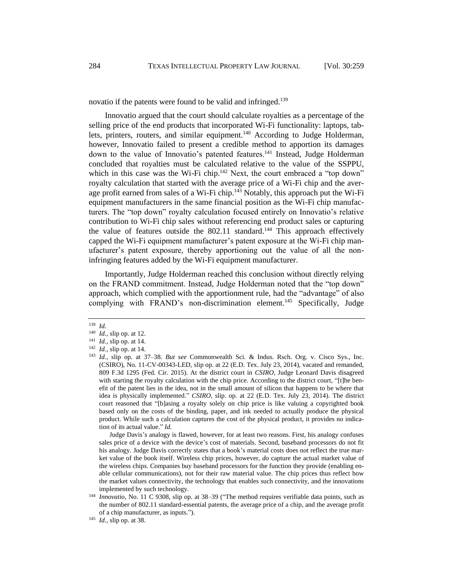novatio if the patents were found to be valid and infringed.<sup>139</sup>

Innovatio argued that the court should calculate royalties as a percentage of the selling price of the end products that incorporated Wi-Fi functionality: laptops, tablets, printers, routers, and similar equipment.<sup>140</sup> According to Judge Holderman, however, Innovatio failed to present a credible method to apportion its damages down to the value of Innovatio's patented features.<sup>141</sup> Instead, Judge Holderman concluded that royalties must be calculated relative to the value of the SSPPU, which in this case was the Wi-Fi chip.<sup>142</sup> Next, the court embraced a "top down" royalty calculation that started with the average price of a Wi-Fi chip and the average profit earned from sales of a Wi-Fi chip.<sup>143</sup> Notably, this approach put the Wi-Fi equipment manufacturers in the same financial position as the Wi-Fi chip manufacturers. The "top down" royalty calculation focused entirely on Innovatio's relative contribution to Wi-Fi chip sales without referencing end product sales or capturing the value of features outside the  $802.11$  standard.<sup>144</sup> This approach effectively capped the Wi-Fi equipment manufacturer's patent exposure at the Wi-Fi chip manufacturer's patent exposure, thereby apportioning out the value of all the noninfringing features added by the Wi-Fi equipment manufacturer.

Importantly, Judge Holderman reached this conclusion without directly relying on the FRAND commitment. Instead, Judge Holderman noted that the "top down" approach, which complied with the apportionment rule, had the "advantage" of also complying with FRAND's non-discrimination element.<sup>145</sup> Specifically, Judge

Judge Davis's analogy is flawed, however, for at least two reasons. First, his analogy confuses sales price of a device with the device's cost of materials. Second, baseband processors do not fit his analogy. Judge Davis correctly states that a book's material costs does not reflect the true market value of the book itself. Wireless chip prices, however, *do* capture the actual market value of the wireless chips. Companies buy baseband processors for the function they provide (enabling enable cellular communications), not for their raw material value. The chip prices thus reflect how the market values connectivity, the technology that enables such connectivity, and the innovations implemented by such technology.

<sup>139</sup> *Id.*

<sup>140</sup> *Id.*, slip op. at 12.

<sup>141</sup> *Id.*, slip op. at 14.

<sup>142</sup> *Id.*, slip op. at 14.

<sup>143</sup> *Id.*, slip op. at 37–38. *But see* Commonwealth Sci. & Indus. Rsch. Org. v. Cisco Sys., Inc. (CSIRO), No. 11-CV-00343-LED, slip op. at 22 (E.D. Tex. July 23, 2014), vacated and remanded, 809 F.3d 1295 (Fed. Cir. 2015). At the district court in *CSIRO,* Judge Leonard Davis disagreed with starting the royalty calculation with the chip price. According to the district court, "[t]he benefit of the patent lies in the idea, not in the small amount of silicon that happens to be where that idea is physically implemented." *CSIRO*, slip. op. at 22 (E.D. Tex. July 23, 2014)*.* The district court reasoned that "[b]asing a royalty solely on chip price is like valuing a copyrighted book based only on the costs of the binding, paper, and ink needed to actually produce the physical product. While such a calculation captures the cost of the physical product, it provides no indication of its actual value." *Id.*

<sup>144</sup> *Innovatio*, No. 11 C 9308, slip op. at 38–39 ("The method requires verifiable data points, such as the number of 802.11 standard-essential patents, the average price of a chip, and the average profit of a chip manufacturer, as inputs.").

<sup>145</sup> *Id.*, slip op. at 38.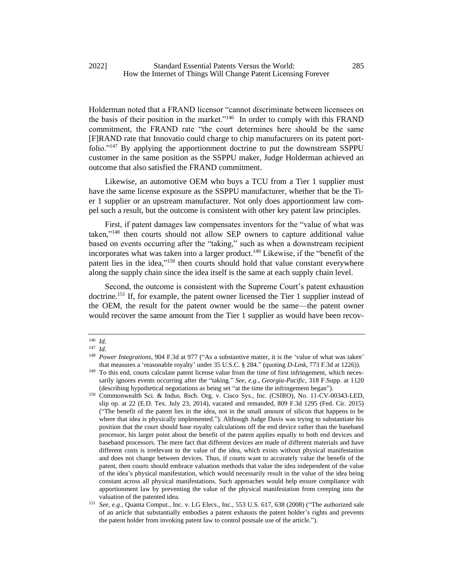Holderman noted that a FRAND licensor "cannot discriminate between licensees on the basis of their position in the market."<sup>146</sup> In order to comply with this FRAND commitment, the FRAND rate "the court determines here should be the same [F]RAND rate that Innovatio could charge to chip manufacturers on its patent portfolio."<sup>147</sup> By applying the apportionment doctrine to put the downstream SSPPU customer in the same position as the SSPPU maker, Judge Holderman achieved an outcome that also satisfied the FRAND commitment.

Likewise, an automotive OEM who buys a TCU from a Tier 1 supplier must have the same license exposure as the SSPPU manufacturer, whether that be the Tier 1 supplier or an upstream manufacturer. Not only does apportionment law compel such a result, but the outcome is consistent with other key patent law principles.

First, if patent damages law compensates inventors for the "value of what was taken,"<sup>148</sup> then courts should not allow SEP owners to capture additional value based on events occurring after the "taking," such as when a downstream recipient incorporates what was taken into a larger product.<sup>149</sup> Likewise, if the "benefit of the patent lies in the idea,"<sup>150</sup> then courts should hold that value constant everywhere along the supply chain since the idea itself is the same at each supply chain level.

Second, the outcome is consistent with the Supreme Court's patent exhaustion doctrine.<sup>151</sup> If, for example, the patent owner licensed the Tier 1 supplier instead of the OEM, the result for the patent owner would be the same—the patent owner would recover the same amount from the Tier 1 supplier as would have been recov-

<sup>146</sup> *Id.*

<sup>147</sup> *Id.*

<sup>148</sup> *Power Integrations*, 904 F.3d at 977 ("As a substantive matter, it is the 'value of what was taken' that measures a 'reasonable royalty' under 35 U.S.C. § 284." (quoting *D-Link*, 773 F.3d at 1226)).

<sup>&</sup>lt;sup>149</sup> To this end, courts calculate patent license value from the time of first infringement, which necessarily ignores events occurring after the "taking." *See, e.g.*, *Georgia-Pacific*, 318 F.Supp. at 1120 (describing hypothetical negotiations as being set "at the time the infringement began").

<sup>150</sup> Commonwealth Sci. & Indus. Rsch. Org. v. Cisco Sys., Inc. (CSIRO), No. 11-CV-00343-LED, slip op. at 22 (E.D. Tex. July 23, 2014), vacated and remanded, 809 F.3d 1295 (Fed. Cir. 2015) ("The benefit of the patent lies in the idea, not in the small amount of silicon that happens to be where that idea is physically implemented."). Although Judge Davis was trying to substantiate his position that the court should base royalty calculations off the end device rather than the baseband processor, his larger point about the benefit of the patent applies equally to both end devices and baseband processors. The mere fact that different devices are made of different materials and have different costs is irrelevant to the value of the idea, which exists without physical manifestation and does not change between devices. Thus, if courts want to accurately value the benefit of the patent, then courts should embrace valuation methods that value the idea independent of the value of the idea's physical manifestation, which would necessarily result in the value of the idea being constant across all physical manifestations. Such approaches would help ensure compliance with apportionment law by preventing the value of the physical manifestation from creeping into the valuation of the patented idea.

<sup>151</sup> *See, e.g.*, Quanta Comput., Inc. v. LG Elecs., Inc., 553 U.S. 617, 638 (2008) ("The authorized sale of an article that substantially embodies a patent exhausts the patent holder's rights and prevents the patent holder from invoking patent law to control postsale use of the article.").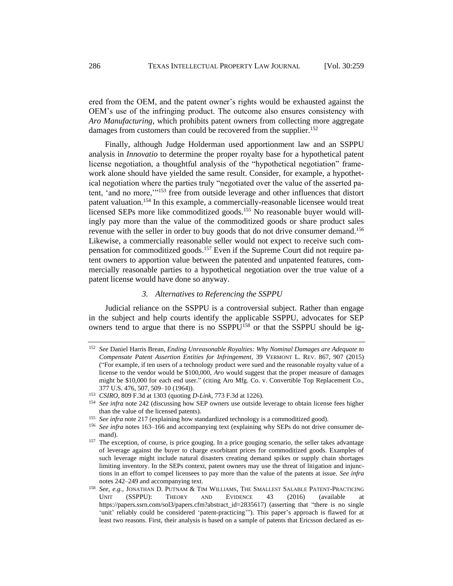ered from the OEM, and the patent owner's rights would be exhausted against the OEM's use of the infringing product. The outcome also ensures consistency with *Aro Manufacturing*, which prohibits patent owners from collecting more aggregate damages from customers than could be recovered from the supplier.<sup>152</sup>

Finally, although Judge Holderman used apportionment law and an SSPPU analysis in *Innovatio* to determine the proper royalty base for a hypothetical patent license negotiation, a thoughtful analysis of the "hypothetical negotiation" framework alone should have yielded the same result. Consider, for example, a hypothetical negotiation where the parties truly "negotiated over the value of the asserted patent, 'and no more,'"<sup>153</sup> free from outside leverage and other influences that distort patent valuation.<sup>154</sup> In this example, a commercially-reasonable licensee would treat licensed SEPs more like commoditized goods.<sup>155</sup> No reasonable buyer would willingly pay more than the value of the commoditized goods or share product sales revenue with the seller in order to buy goods that do not drive consumer demand.<sup>156</sup> Likewise, a commercially reasonable seller would not expect to receive such compensation for commoditized goods.<sup>157</sup> Even if the Supreme Court did not require patent owners to apportion value between the patented and unpatented features, commercially reasonable parties to a hypothetical negotiation over the true value of a patent license would have done so anyway.

#### <span id="page-27-0"></span>*3. Alternatives to Referencing the SSPPU*

Judicial reliance on the SSPPU is a controversial subject. Rather than engage in the subject and help courts identify the applicable SSPPU, advocates for SEP owners tend to argue that there is no SSPPU<sup>158</sup> or that the SSPPU should be ig-

<sup>152</sup> *See* Daniel Harris Brean, *Ending Unreasonable Royalties: Why Nominal Damages are Adequate to Compensate Patent Assertion Entities for Infringement*, 39 VERMONT L. REV. 867, 907 (2015) ("For example, if ten users of a technology product were sued and the reasonable royalty value of a license to the vendor would be \$100,000, *Aro* would suggest that the proper measure of damages might be \$10,000 for each end user." (citing Aro Mfg. Co. v. Convertible Top Replacement Co., 377 U.S. 476, 507, 509–10 (1964)).

<sup>153</sup> *CSIRO*, 809 F.3d at 1303 (quoting *D-Link*, 773 F.3d at 1226).

<sup>&</sup>lt;sup>154</sup> See infra note 242 (discussing how SEP owners use outside leverage to obtain license fees higher than the value of the licensed patents).

<sup>&</sup>lt;sup>155</sup> See infra note 217 (explaining how standardized technology is a commoditized good).

<sup>&</sup>lt;sup>156</sup> See infra notes 163-[166](#page-29-1) and accompanying text (explaining why SEPs do not drive consumer demand).

<sup>&</sup>lt;sup>157</sup> The exception, of course, is price gouging. In a price gouging scenario, the seller takes advantage of leverage against the buyer to charge exorbitant prices for commoditized goods. Examples of such leverage might include natural disasters creating demand spikes or supply chain shortages limiting inventory. In the SEPs context, patent owners may use the threat of litigation and injunctions in an effort to compel licensees to pay more than the value of the patents at issue. *See infra*  note[s 242](#page-43-0)[–249](#page-44-0) and accompanying text.

<sup>158</sup> *See, e.g.*, JONATHAN D. PUTNAM & TIM WILLIAMS, THE SMALLEST SALABLE PATENT-PRACTICING UNIT (SSPPU): THEORY AND EVIDENCE 43 (2016) (available at https://papers.ssrn.com/sol3/papers.cfm?abstract\_id=2835617) (asserting that "there is no single 'unit' reliably could be considered 'patent-practicing'"). This paper's approach is flawed for at least two reasons. First, their analysis is based on a sample of patents that Ericsson declared as es-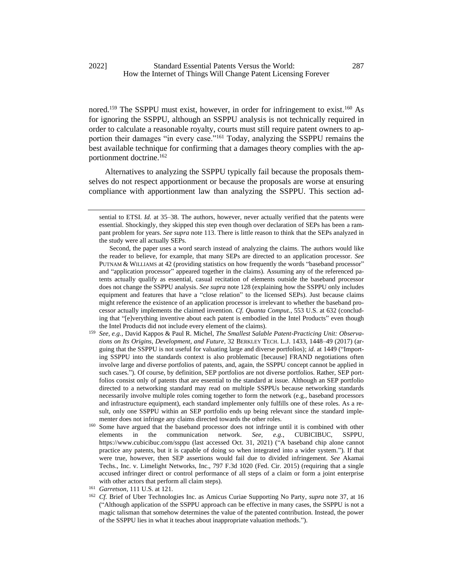nored.<sup>159</sup> The SSPPU must exist, however, in order for infringement to exist.<sup>160</sup> As for ignoring the SSPPU, although an SSPPU analysis is not technically required in order to calculate a reasonable royalty, courts must still require patent owners to apportion their damages "in every case."<sup>161</sup> Today, analyzing the SSPPU remains the best available technique for confirming that a damages theory complies with the apportionment doctrine.<sup>162</sup>

Alternatives to analyzing the SSPPU typically fail because the proposals themselves do not respect apportionment or because the proposals are worse at ensuring compliance with apportionment law than analyzing the SSPPU. This section ad-

- <sup>159</sup> *See, e.g.*, David Kappos & Paul R. Michel, *The Smallest Salable Patent-Practicing Unit: Observations on Its Origins, Development, and Future*, 32 BERKLEY TECH. L.J. 1433, 1448–49 (2017) (arguing that the SSPPU is not useful for valuating large and diverse portfolios); *id.* at 1449 ("Importing SSPPU into the standards context is also problematic [because] FRAND negotiations often involve large and diverse portfolios of patents, and, again, the SSPPU concept cannot be applied in such cases."). Of course, by definition, SEP portfolios are not diverse portfolios. Rather, SEP portfolios consist only of patents that are essential to the standard at issue. Although an SEP portfolio directed to a networking standard may read on multiple SSPPUs because networking standards necessarily involve multiple roles coming together to form the network (e.g., baseband processors and infrastructure equipment), each standard implementer only fulfills one of these roles. As a result, only one SSPPU within an SEP portfolio ends up being relevant since the standard implementer does not infringe any claims directed towards the other roles.
- <sup>160</sup> Some have argued that the baseband processor does not infringe until it is combined with other elements in the communication network. *See, e.g.*, CUBICIBUC, SSPPU, https://www.cubicibuc.com/ssppu (last accessed Oct. 31, 2021) ("A baseband chip alone cannot practice any patents, but it is capable of doing so when integrated into a wider system."). If that were true, however, then SEP assertions would fail due to divided infringement. *See* Akamai Techs., Inc. v. Limelight Networks, Inc., 797 F.3d 1020 (Fed. Cir. 2015) (requiring that a single accused infringer direct or control performance of all steps of a claim or form a joint enterprise with other actors that perform all claim steps).

sential to ETSI. *Id.* at 35–38. The authors, however, never actually verified that the patents were essential. Shockingly, they skipped this step even though over declaration of SEPs has been a rampant problem for years. *See supra* note 113. There is little reason to think that the SEPs analyzed in the study were all actually SEPs.

Second, the paper uses a word search instead of analyzing the claims. The authors would like the reader to believe, for example, that many SEPs are directed to an application processor. *See*  PUTNAM & WILLIAMS at 42 (providing statistics on how frequently the words "baseband processor" and "application processor" appeared together in the claims). Assuming any of the referenced patents actually qualify as essential, casual recitation of elements outside the baseband processor does not change the SSPPU analysis. *See supra* note 128 (explaining how the SSPPU only includes equipment and features that have a "close relation" to the licensed SEPs). Just because claims might reference the existence of an application processor is irrelevant to whether the baseband processor actually implements the claimed invention. *Cf. Quanta Comput.*, 553 U.S. at 632 (concluding that "[e]verything inventive about each patent is embodied in the Intel Products" even though the Intel Products did not include every element of the claims).

<sup>161</sup> *Garretson*, 111 U.S. at 121.

<sup>162</sup> *Cf.* Brief of Uber Technologies Inc. as Amicus Curiae Supporting No Party, *supra* note 37, at 16 ("Although application of the SSPPU approach can be effective in many cases, the SSPPU is not a magic talisman that somehow determines the value of the patented contribution. Instead, the power of the SSPPU lies in what it teaches about inappropriate valuation methods.").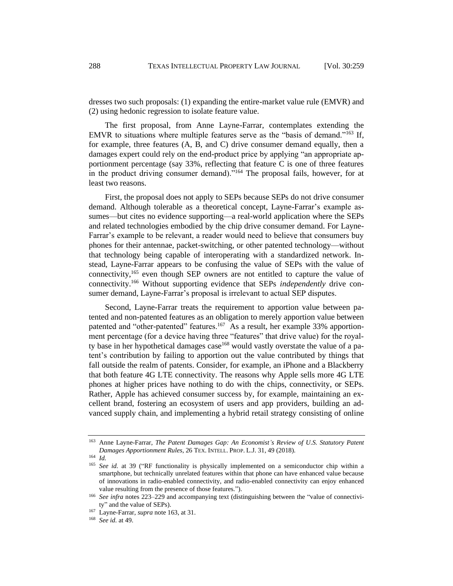dresses two such proposals: (1) expanding the entire-market value rule (EMVR) and (2) using hedonic regression to isolate feature value.

<span id="page-29-0"></span>The first proposal, from Anne Layne-Farrar, contemplates extending the EMVR to situations where multiple features serve as the "basis of demand."<sup>163</sup> If, for example, three features (A, B, and C) drive consumer demand equally, then a damages expert could rely on the end-product price by applying "an appropriate apportionment percentage (say 33%, reflecting that feature C is one of three features in the product driving consumer demand)."<sup>164</sup> The proposal fails, however, for at least two reasons.

First, the proposal does not apply to SEPs because SEPs do not drive consumer demand. Although tolerable as a theoretical concept, Layne-Farrar's example assumes—but cites no evidence supporting—a real-world application where the SEPs and related technologies embodied by the chip drive consumer demand. For Layne-Farrar's example to be relevant, a reader would need to believe that consumers buy phones for their antennae, packet-switching, or other patented technology—without that technology being capable of interoperating with a standardized network. Instead, Layne-Farrar appears to be confusing the value of SEPs with the value of connectivity,<sup>165</sup> even though SEP owners are not entitled to capture the value of connectivity.<sup>166</sup> Without supporting evidence that SEPs *independently* drive consumer demand, Layne-Farrar's proposal is irrelevant to actual SEP disputes.

<span id="page-29-1"></span>Second, Layne-Farrar treats the requirement to apportion value between patented and non-patented features as an obligation to merely apportion value between patented and "other-patented" features.<sup>167</sup> As a result, her example 33% apportionment percentage (for a device having three "features" that drive value) for the royalty base in her hypothetical damages case<sup>168</sup> would vastly overstate the value of a patent's contribution by failing to apportion out the value contributed by things that fall outside the realm of patents. Consider, for example, an iPhone and a Blackberry that both feature 4G LTE connectivity. The reasons why Apple sells more 4G LTE phones at higher prices have nothing to do with the chips, connectivity, or SEPs. Rather, Apple has achieved consumer success by, for example, maintaining an excellent brand, fostering an ecosystem of users and app providers, building an advanced supply chain, and implementing a hybrid retail strategy consisting of online

<sup>163</sup> Anne Layne-Farrar, *The Patent Damages Gap: An Economist's Review of U.S. Statutory Patent Damages Apportionment Rules*, 26 TEX. INTELL. PROP. L.J. 31, 49 (2018).

<sup>164</sup> *Id.*

<sup>165</sup> *See id.* at 39 ("RF functionality is physically implemented on a semiconductor chip within a smartphone, but technically unrelated features within that phone can have enhanced value because of innovations in radio-enabled connectivity, and radio-enabled connectivity can enjoy enhanced value resulting from the presence of those features.").

<sup>166</sup> *See infra* notes [223–](#page-39-0)[229](#page-41-0) and accompanying text (distinguishing between the "value of connectivity" and the value of SEPs).

<sup>167</sup> Layne-Farrar, *supra* not[e 163,](#page-29-0) at 31.

<sup>168</sup> *See id.* at 49.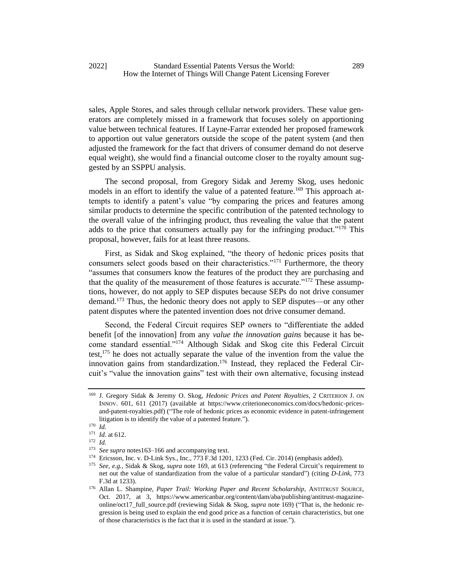sales, Apple Stores, and sales through cellular network providers. These value generators are completely missed in a framework that focuses solely on apportioning value between technical features. If Layne-Farrar extended her proposed framework to apportion out value generators outside the scope of the patent system (and then adjusted the framework for the fact that drivers of consumer demand do not deserve equal weight), she would find a financial outcome closer to the royalty amount suggested by an SSPPU analysis.

<span id="page-30-0"></span>The second proposal, from Gregory Sidak and Jeremy Skog, uses hedonic models in an effort to identify the value of a patented feature.<sup>169</sup> This approach attempts to identify a patent's value "by comparing the prices and features among similar products to determine the specific contribution of the patented technology to the overall value of the infringing product, thus revealing the value that the patent adds to the price that consumers actually pay for the infringing product."<sup>170</sup> This proposal, however, fails for at least three reasons.

First, as Sidak and Skog explained, "the theory of hedonic prices posits that consumers select goods based on their characteristics."<sup>171</sup> Furthermore, the theory "assumes that consumers know the features of the product they are purchasing and that the quality of the measurement of those features is accurate."<sup>172</sup> These assumptions, however, do not apply to SEP disputes because SEPs do not drive consumer demand.<sup>173</sup> Thus, the hedonic theory does not apply to SEP disputes—or any other patent disputes where the patented invention does not drive consumer demand.

Second, the Federal Circuit requires SEP owners to "differentiate the added benefit [of the innovation] from any *value the innovation gains* because it has become standard essential."<sup>174</sup> Although Sidak and Skog cite this Federal Circuit test,<sup>175</sup> he does not actually separate the value of the invention from the value the innovation gains from standardization.<sup>176</sup> Instead, they replaced the Federal Circuit's "value the innovation gains" test with their own alternative, focusing instead

<span id="page-30-1"></span><sup>169</sup> J. Gregory Sidak & Jeremy O. Skog, *Hedonic Prices and Patent Royalties*, 2 CRITERION J. ON INNOV. 601, 611 (2017) (available at https://www.criterioneconomics.com/docs/hedonic-pricesand-patent-royalties.pdf) ("The role of hedonic prices as economic evidence in patent-infringement litigation is to identify the value of a patented feature.").

<sup>170</sup> *Id.*

<sup>171</sup> *Id.* at 612.

<sup>172</sup> *Id.*

<sup>173</sup> *See supra* note[s163](#page-29-0)[–166](#page-29-1) and accompanying text.

<sup>174</sup> Ericsson, Inc. v. D-Link Sys., Inc., 773 F.3d 1201, 1233 (Fed. Cir. 2014) (emphasis added).

<sup>175</sup> *See, e.g.*, Sidak & Skog, *supra* note [169,](#page-30-0) at 613 (referencing "the Federal Circuit's requirement to net out the value of standardization from the value of a particular standard") (citing *D-Link*, 773 F.3d at 1233).

<sup>176</sup> Allan L. Shampine, *Paper Trail: Working Paper and Recent Scholarship*, ANTITRUST SOURCE, Oct. 2017, at 3, https://www.americanbar.org/content/dam/aba/publishing/antitrust-magazineonline/oct17\_full\_source.pdf (reviewing Sidak & Skog, *supra* not[e 169\)](#page-30-0) ("That is, the hedonic regression is being used to explain the end good price as a function of certain characteristics, but one of those characteristics is the fact that it is used in the standard at issue.").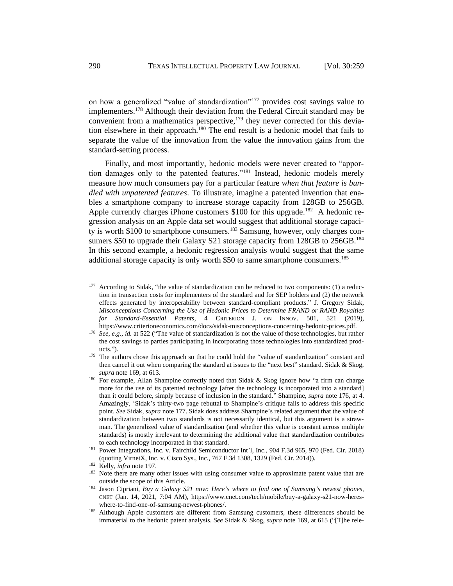<span id="page-31-0"></span>on how a generalized "value of standardization"<sup>177</sup> provides cost savings value to implementers.<sup>178</sup> Although their deviation from the Federal Circuit standard may be convenient from a mathematics perspective,<sup>179</sup> they never corrected for this deviation elsewhere in their approach.<sup>180</sup> The end result is a hedonic model that fails to separate the value of the innovation from the value the innovation gains from the standard-setting process.

Finally, and most importantly, hedonic models were never created to "apportion damages only to the patented features."<sup>181</sup> Instead, hedonic models merely measure how much consumers pay for a particular feature *when that feature is bundled with unpatented features*. To illustrate, imagine a patented invention that enables a smartphone company to increase storage capacity from 128GB to 256GB. Apple currently charges iPhone customers  $$100$  for this upgrade.<sup>182</sup> A hedonic regression analysis on an Apple data set would suggest that additional storage capacity is worth \$100 to smartphone consumers.<sup>183</sup> Samsung, however, only charges consumers \$50 to upgrade their Galaxy S21 storage capacity from 128GB to 256GB.<sup>184</sup> In this second example, a hedonic regression analysis would suggest that the same additional storage capacity is only worth \$50 to same smartphone consumers.<sup>185</sup>

<sup>&</sup>lt;sup>177</sup> According to Sidak, "the value of standardization can be reduced to two components: (1) a reduction in transaction costs for implementers of the standard and for SEP holders and (2) the network effects generated by interoperability between standard-compliant products." J. Gregory Sidak, *Misconceptions Concerning the Use of Hedonic Prices to Determine FRAND or RAND Royalties for Standard-Essential Patents*, 4 CRITERION J. ON INNOV. 501, 521 (2019), https://www.criterioneconomics.com/docs/sidak-misconceptions-concerning-hedonic-prices.pdf.

<sup>&</sup>lt;sup>178</sup> *See, e.g., id.* at 522 ("The value of standardization is not the value of those technologies, but rather the cost savings to parties participating in incorporating those technologies into standardized products.").

<sup>&</sup>lt;sup>179</sup> The authors chose this approach so that he could hold the "value of standardization" constant and then cancel it out when comparing the standard at issues to the "next best" standard. Sidak & Skog, *supra* not[e 169,](#page-30-0) at 613.

<sup>&</sup>lt;sup>180</sup> For example, Allan Shampine correctly noted that Sidak & Skog ignore how "a firm can charge more for the use of its patented technology [after the technology is incorporated into a standard] than it could before, simply because of inclusion in the standard." Shampine, *supra* note [176,](#page-30-1) at 4. Amazingly, 'Sidak's thirty-two page rebuttal to Shampine's critique fails to address this specific point. *See* Sidak, *supra* not[e 177.](#page-31-0) Sidak does address Shampine's related argument that the value of standardization between two standards is not necessarily identical, but this argument is a strawman. The generalized value of standardization (and whether this value is constant across multiple standards) is mostly irrelevant to determining the additional value that standardization contributes to each technology incorporated in that standard.

<sup>&</sup>lt;sup>181</sup> Power Integrations, Inc. v. Fairchild Semiconductor Int'l, Inc., 904 F.3d 965, 970 (Fed. Cir. 2018) (quoting VirnetX, Inc. v. Cisco Sys., Inc., 767 F.3d 1308, 1329 (Fed. Cir. 2014)).

<sup>182</sup> Kelly, *infra* note [197.](#page-34-0)

<sup>&</sup>lt;sup>183</sup> Note there are many other issues with using consumer value to approximate patent value that are outside the scope of this Article.

<sup>184</sup> Jason Cipriani, *Buy a Galaxy S21 now: Here's where to find one of Samsung's newest phones*, CNET (Jan. 14, 2021, 7:04 AM), https://www.cnet.com/tech/mobile/buy-a-galaxy-s21-now-hereswhere-to-find-one-of-samsung-newest-phones/.

<sup>&</sup>lt;sup>185</sup> Although Apple customers are different from Samsung customers, these differences should be immaterial to the hedonic patent analysis. *See* Sidak & Skog, *supra* note [169,](#page-30-0) at 615 ("[T]he rele-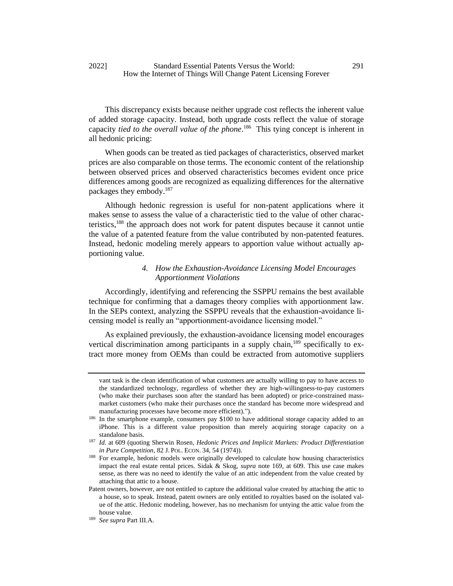This discrepancy exists because neither upgrade cost reflects the inherent value of added storage capacity. Instead, both upgrade costs reflect the value of storage capacity *tied to the overall value of the phone*. 186 This tying concept is inherent in all hedonic pricing:

When goods can be treated as tied packages of characteristics, observed market prices are also comparable on those terms. The economic content of the relationship between observed prices and observed characteristics becomes evident once price differences among goods are recognized as equalizing differences for the alternative packages they embody.<sup>187</sup>

Although hedonic regression is useful for non-patent applications where it makes sense to assess the value of a characteristic tied to the value of other characteristics,<sup>188</sup> the approach does not work for patent disputes because it cannot untie the value of a patented feature from the value contributed by non-patented features. Instead, hedonic modeling merely appears to apportion value without actually apportioning value.

## *4. How the Exhaustion-Avoidance Licensing Model Encourages Apportionment Violations*

Accordingly, identifying and referencing the SSPPU remains the best available technique for confirming that a damages theory complies with apportionment law. In the SEPs context, analyzing the SSPPU reveals that the exhaustion-avoidance licensing model is really an "apportionment-avoidance licensing model."

As explained previously, the exhaustion-avoidance licensing model encourages vertical discrimination among participants in a supply chain,<sup>189</sup> specifically to extract more money from OEMs than could be extracted from automotive suppliers

vant task is the clean identification of what customers are actually willing to pay to have access to the standardized technology, regardless of whether they are high-willingness-to-pay customers (who make their purchases soon after the standard has been adopted) or price-constrained massmarket customers (who make their purchases once the standard has become more widespread and manufacturing processes have become more efficient).").

<sup>&</sup>lt;sup>186</sup> In the smartphone example, consumers pay \$100 to have additional storage capacity added to an iPhone. This is a different value proposition than merely acquiring storage capacity on a standalone basis.

<sup>187</sup> *Id.* at 609 (quoting Sherwin Rosen, *Hedonic Prices and Implicit Markets: Product Differentiation in Pure Competition*, 82 J. POL. ECON. 34, 54 (1974)).

<sup>&</sup>lt;sup>188</sup> For example, hedonic models were originally developed to calculate how housing characteristics impact the real estate rental prices. Sidak & Skog, *supra* note [169,](#page-30-0) at 609. This use case makes sense, as there was no need to identify the value of an attic independent from the value created by attaching that attic to a house.

Patent owners, however, are not entitled to capture the additional value created by attaching the attic to a house, so to speak. Instead, patent owners are only entitled to royalties based on the isolated value of the attic. Hedonic modeling, however, has no mechanism for untying the attic value from the house value.

<sup>189</sup> *See supra* Part III.A.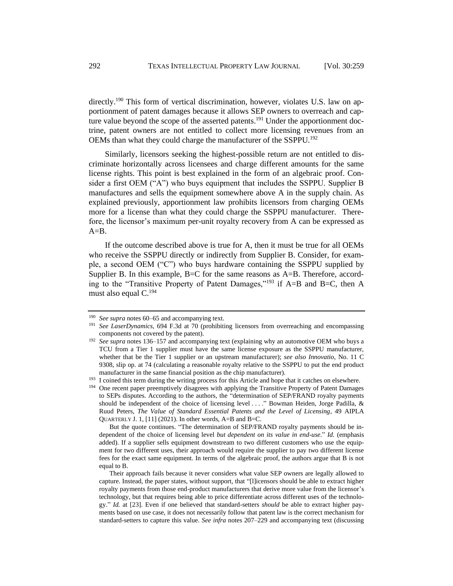directly.<sup>190</sup> This form of vertical discrimination, however, violates U.S. law on apportionment of patent damages because it allows SEP owners to overreach and capture value beyond the scope of the asserted patents.<sup>191</sup> Under the apportionment doctrine, patent owners are not entitled to collect more licensing revenues from an OEMs than what they could charge the manufacturer of the SSPPU.<sup>192</sup>

Similarly, licensors seeking the highest-possible return are not entitled to discriminate horizontally across licensees and charge different amounts for the same license rights. This point is best explained in the form of an algebraic proof. Consider a first OEM ("A") who buys equipment that includes the SSPPU. Supplier B manufactures and sells the equipment somewhere above A in the supply chain. As explained previously, apportionment law prohibits licensors from charging OEMs more for a license than what they could charge the SSPPU manufacturer. Therefore, the licensor's maximum per-unit royalty recovery from A can be expressed as  $A=B$ .

If the outcome described above is true for A, then it must be true for all OEMs who receive the SSPPU directly or indirectly from Supplier B. Consider, for example, a second OEM ("C") who buys hardware containing the SSPPU supplied by Supplier B. In this example, B=C for the same reasons as A=B. Therefore, according to the "Transitive Property of Patent Damages,"<sup>193</sup> if A=B and B=C, then A must also equal C.<sup>194</sup>

<sup>190</sup> *See supra* note[s 60](#page-10-1)[–65](#page-10-2) and accompanying text.

<sup>191</sup> *See LaserDynamics*, 694 F.3d at 70 (prohibiting licensors from overreaching and encompassing components not covered by the patent).

<sup>&</sup>lt;sup>192</sup> See supra notes [136](#page-24-0)[–157](#page-27-0) and accompanying text (explaining why an automotive OEM who buys a TCU from a Tier 1 supplier must have the same license exposure as the SSPPU manufacturer, whether that be the Tier 1 supplier or an upstream manufacturer); *see also Innovatio*, No. 11 C 9308, slip op. at 74 (calculating a reasonable royalty relative to the SSPPU to put the end product manufacturer in the same financial position as the chip manufacturer).

<sup>&</sup>lt;sup>193</sup> I coined this term during the writing process for this Article and hope that it catches on elsewhere.

<sup>&</sup>lt;sup>194</sup> One recent paper preemptively disagrees with applying the Transitive Property of Patent Damages to SEPs disputes. According to the authors, the "determination of SEP/FRAND royalty payments should be independent of the choice of licensing level . . . ." Bowman Heiden, Jorge Padilla, & Ruud Peters, *The Value of Standard Essential Patents and the Level of Licensing*, 49 AIPLA QUARTERLY J. 1, [11] (2021). In other words, A=B and B=C.

But the quote continues. "The determination of SEP/FRAND royalty payments should be independent of the choice of licensing level *but dependent on its value in end-use*." *Id.* (emphasis added). If a supplier sells equipment downstream to two different customers who use the equipment for two different uses, their approach would require the supplier to pay two different license fees for the exact same equipment. In terms of the algebraic proof, the authors argue that B is not equal to B.

Their approach fails because it never considers what value SEP owners are legally allowed to capture. Instead, the paper states, without support, that "[l]icensors should be able to extract higher royalty payments from those end-product manufacturers that derive more value from the licensor's technology, but that requires being able to price differentiate across different uses of the technology." *Id.* at [23]. Even if one believed that standard-setters *should* be able to extract higher payments based on use case, it does not necessarily follow that patent law is the correct mechanism for standard-setters to capture this value. *See infra* notes 207–229 and accompanying text (discussing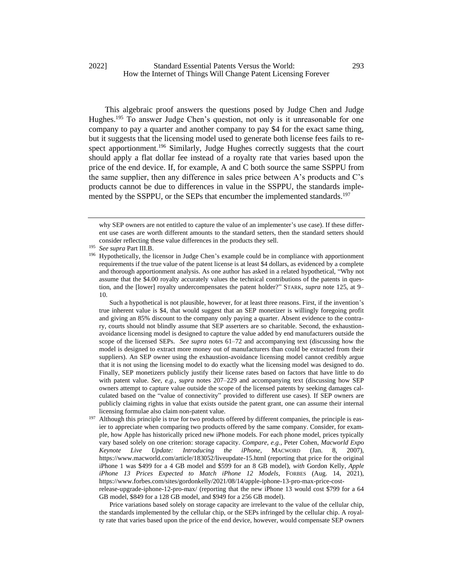This algebraic proof answers the questions posed by Judge Chen and Judge Hughes.<sup>195</sup> To answer Judge Chen's question, not only is it unreasonable for one company to pay a quarter and another company to pay \$4 for the exact same thing, but it suggests that the licensing model used to generate both license fees fails to respect apportionment.<sup>196</sup> Similarly, Judge Hughes correctly suggests that the court should apply a flat dollar fee instead of a royalty rate that varies based upon the price of the end device. If, for example, A and C both source the same SSPPU from the same supplier, then any difference in sales price between A's products and C's products cannot be due to differences in value in the SSPPU, the standards implemented by the SSPPU, or the SEPs that encumber the implemented standards.<sup>197</sup>

Such a hypothetical is not plausible, however, for at least three reasons. First, if the invention's true inherent value is \$4, that would suggest that an SEP monetizer is willingly foregoing profit and giving an 85% discount to the company only paying a quarter. Absent evidence to the contrary, courts should not blindly assume that SEP asserters are so charitable. Second, the exhaustionavoidance licensing model is designed to capture the value added by end manufacturers outside the scope of the licensed SEPs. *See supra* notes [61–](#page-10-0)72 and accompanying text (discussing how the model is designed to extract more money out of manufacturers than could be extracted from their suppliers). An SEP owner using the exhaustion-avoidance licensing model cannot credibly argue that it is not using the licensing model to do exactly what the licensing model was designed to do. Finally, SEP monetizers publicly justify their license rates based on factors that have little to do with patent value. *See, e.g.*, *supra* notes 207–229 and accompanying text (discussing how SEP owners attempt to capture value outside the scope of the licensed patents by seeking damages calculated based on the "value of connectivity" provided to different use cases). If SEP owners are publicly claiming rights in value that exists outside the patent grant, one can assume their internal licensing formulae also claim non-patent value.

Although this principle is true for two products offered by different companies, the principle is easier to appreciate when comparing two products offered by the same company. Consider, for example, how Apple has historically priced new iPhone models. For each phone model, prices typically vary based solely on one criterion: storage capacity. *Compare, e.g.*, Peter Cohen, *Macworld Expo Keynote Live Update: Introducing the iPhone*, MACWORD (Jan. 8, 2007), https://www.macworld.com/article/183052/liveupdate-15.html (reporting that price for the original iPhone 1 was \$499 for a 4 GB model and \$599 for an 8 GB model), *with* Gordon Kelly, *Apple iPhone 13 Prices Expected to Match iPhone 12 Models*, FORBES (Aug. 14, 2021), https://www.forbes.com/sites/gordonkelly/2021/08/14/apple-iphone-13-pro-max-price-costrelease-upgrade-iphone-12-pro-max/ (reporting that the new iPhone 13 would cost \$799 for a 64

GB model, \$849 for a 128 GB model, and \$949 for a 256 GB model).

Price variations based solely on storage capacity are irrelevant to the value of the cellular chip, the standards implemented by the cellular chip, or the SEPs infringed by the cellular chip. A royalty rate that varies based upon the price of the end device, however, would compensate SEP owners

<span id="page-34-0"></span>why SEP owners are not entitled to capture the value of an implementer's use case). If these different use cases are worth different amounts to the standard setters, then the standard setters should consider reflecting these value differences in the products they sell.

<sup>195</sup> *See supra* Part III.B.

<sup>&</sup>lt;sup>196</sup> Hypothetically, the licensor in Judge Chen's example could be in compliance with apportionment requirements if the true value of the patent license is at least \$4 dollars, as evidenced by a complete and thorough apportionment analysis. As one author has asked in a related hypothetical, "Why not assume that the \$4.00 royalty accurately values the technical contributions of the patents in question, and the [lower] royalty undercompensates the patent holder?" STARK, *supra* note 125, at 9– 10.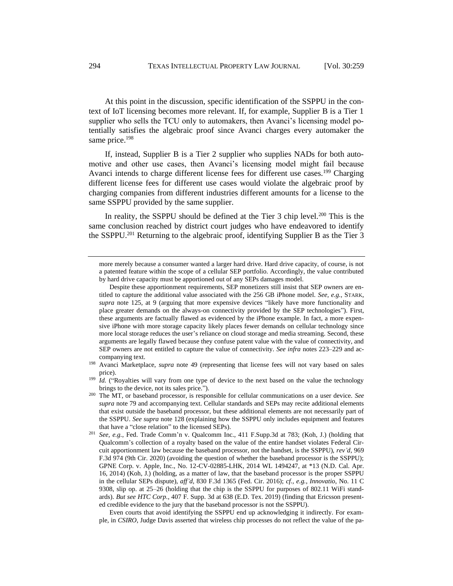At this point in the discussion, specific identification of the SSPPU in the context of IoT licensing becomes more relevant. If, for example, Supplier B is a Tier 1 supplier who sells the TCU only to automakers, then Avanci's licensing model potentially satisfies the algebraic proof since Avanci charges every automaker the same price.<sup>198</sup>

If, instead, Supplier B is a Tier 2 supplier who supplies NADs for both automotive and other use cases, then Avanci's licensing model might fail because Avanci intends to charge different license fees for different use cases.<sup>199</sup> Charging different license fees for different use cases would violate the algebraic proof by charging companies from different industries different amounts for a license to the same SSPPU provided by the same supplier.

In reality, the SSPPU should be defined at the Tier 3 chip level.<sup>200</sup> This is the same conclusion reached by district court judges who have endeavored to identify the SSPPU.<sup>201</sup> Returning to the algebraic proof, identifying Supplier B as the Tier 3

Even courts that avoid identifying the SSPPU end up acknowledging it indirectly. For example, in *CSIRO*, Judge Davis asserted that wireless chip processes do not reflect the value of the pa-

more merely because a consumer wanted a larger hard drive. Hard drive capacity, of course, is not a patented feature within the scope of a cellular SEP portfolio. Accordingly, the value contributed by hard drive capacity must be apportioned out of any SEPs damages model.

Despite these apportionment requirements, SEP monetizers still insist that SEP owners are entitled to capture the additional value associated with the 256 GB iPhone model. *See, e.g.*, STARK, *supra* note 125, at 9 (arguing that more expensive devices "likely have more functionality and place greater demands on the always-on connectivity provided by the SEP technologies"). First, these arguments are factually flawed as evidenced by the iPhone example. In fact, a more expensive iPhone with more storage capacity likely places fewer demands on cellular technology since more local storage reduces the user's reliance on cloud storage and media streaming. Second, these arguments are legally flawed because they confuse patent value with the value of connectivity, and SEP owners are not entitled to capture the value of connectivity. *See infra* notes 223–229 and accompanying text.

<sup>&</sup>lt;sup>198</sup> Avanci Marketplace, *supra* note [49](#page-8-1) (representing that license fees will not vary based on sales price).

<sup>&</sup>lt;sup>199</sup> *Id.* ("Royalties will vary from one type of device to the next based on the value the technology brings to the device, not its sales price.").

<sup>200</sup> The MT, or baseband processor, is responsible for cellular communications on a user device. *See supra* note [79](#page-12-3) and accompanying text. Cellular standards and SEPs may recite additional elements that exist outside the baseband processor, but these additional elements are not necessarily part of the SSPPU. *See supra* note [128](#page-23-1) (explaining how the SSPPU only includes equipment and features that have a "close relation" to the licensed SEPs).

<sup>201</sup> *See, e.g.*, Fed. Trade Comm'n v. Qualcomm Inc., 411 F.Supp.3d at 783; (Koh, J.) (holding that Qualcomm's collection of a royalty based on the value of the entire handset violates Federal Circuit apportionment law because the baseband processor, not the handset, is the SSPPU), *rev'd*, 969 F.3d 974 (9th Cir. 2020) (avoiding the question of whether the baseband processor is the SSPPU); GPNE Corp. v. Apple, Inc., No. 12-CV-02885-LHK, 2014 WL 1494247, at \*13 (N.D. Cal. Apr. 16, 2014) (Koh, J.) (holding, as a matter of law, that the baseband processor is the proper SSPPU in the cellular SEPs dispute), *aff'd*, 830 F.3d 1365 (Fed. Cir. 2016); *cf., e.g.*, *Innovatio*, No. 11 C 9308, slip op. at 25–26 (holding that the chip is the SSPPU for purposes of 802.11 WiFi standards). *But see HTC Corp.*, 407 F. Supp. 3d at 638 (E.D. Tex. 2019) (finding that Ericsson presented credible evidence to the jury that the baseband processor is not the SSPPU).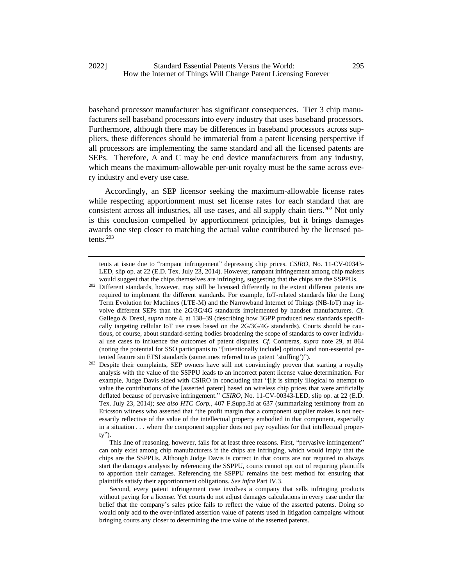baseband processor manufacturer has significant consequences. Tier 3 chip manufacturers sell baseband processors into every industry that uses baseband processors. Furthermore, although there may be differences in baseband processors across suppliers, these differences should be immaterial from a patent licensing perspective if all processors are implementing the same standard and all the licensed patents are SEPs. Therefore, A and C may be end device manufacturers from any industry, which means the maximum-allowable per-unit royalty must be the same across every industry and every use case.

Accordingly, an SEP licensor seeking the maximum-allowable license rates while respecting apportionment must set license rates for each standard that are consistent across all industries, all use cases, and all supply chain tiers.<sup>202</sup> Not only is this conclusion compelled by apportionment principles, but it brings damages awards one step closer to matching the actual value contributed by the licensed patents.<sup>203</sup>

<sup>202</sup> Different standards, however, may still be licensed differently to the extent different patents are required to implement the different standards. For example, IoT-related standards like the Long Term Evolution for Machines (LTE-M) and the Narrowband Internet of Things (NB-IoT) may involve different SEPs than the 2G/3G/4G standards implemented by handset manufacturers. *Cf.*  Gallego & Drexl, *supra* note [4,](#page-2-2) at 138–39 (describing how 3GPP produced new standards specifically targeting cellular IoT use cases based on the 2G/3G/4G standards). Courts should be cautious, of course, about standard-setting bodies broadening the scope of standards to cover individual use cases to influence the outcomes of patent disputes. *Cf.* Contreras, *supra* note [29,](#page-5-0) at 864 (noting the potential for SSO participants to "[intentionally include] optional and non-essential patented feature sin ETSI standards (sometimes referred to as patent 'stuffing')").

<sup>203</sup> Despite their complaints, SEP owners have still not convincingly proven that starting a royalty analysis with the value of the SSPPU leads to an incorrect patent license value determination. For example, Judge Davis sided with CSIRO in concluding that "[i]t is simply illogical to attempt to value the contributions of the [asserted patent] based on wireless chip prices that were artificially deflated because of pervasive infringement." *CSIRO*, No. 11-CV-00343-LED, slip op. at 22 (E.D. Tex. July 23, 2014); *see also HTC Corp.*, 407 F.Supp.3d at 637 (summarizing testimony from an Ericsson witness who asserted that "the profit margin that a component supplier makes is not necessarily reflective of the value of the intellectual property embodied in that component, especially in a situation . . . where the component supplier does not pay royalties for that intellectual property").

This line of reasoning, however, fails for at least three reasons. First, "pervasive infringement" can only exist among chip manufacturers if the chips are infringing, which would imply that the chips are the SSPPUs. Although Judge Davis is correct in that courts are not required to always start the damages analysis by referencing the SSPPU, courts cannot opt out of requiring plaintiffs to apportion their damages. Referencing the SSPPU remains the best method for ensuring that plaintiffs satisfy their apportionment obligations. *See infra* Part IV.3.

Second, every patent infringement case involves a company that sells infringing products without paying for a license. Yet courts do not adjust damages calculations in every case under the belief that the company's sales price fails to reflect the value of the asserted patents. Doing so would only add to the over-inflated assertion value of patents used in litigation campaigns without bringing courts any closer to determining the true value of the asserted patents.

tents at issue due to "rampant infringement" depressing chip prices. *CSIRO*, No. 11-CV-00343- LED, slip op. at 22 (E.D. Tex. July 23, 2014). However, rampant infringement among chip makers would suggest that the chips themselves are infringing, suggesting that the chips are the SSPPUs.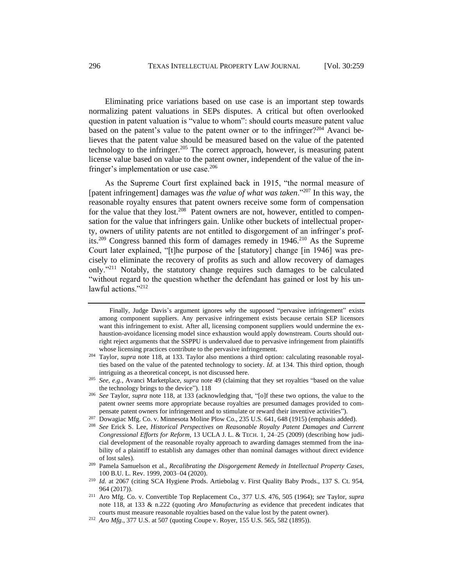Eliminating price variations based on use case is an important step towards normalizing patent valuations in SEPs disputes. A critical but often overlooked question in patent valuation is "value to whom": should courts measure patent value based on the patent's value to the patent owner or to the infringer?<sup>204</sup> Avanci believes that the patent value should be measured based on the value of the patented technology to the infringer.<sup>205</sup> The correct approach, however, is measuring patent license value based on value to the patent owner, independent of the value of the infringer's implementation or use case.<sup>206</sup>

<span id="page-37-1"></span><span id="page-37-0"></span>As the Supreme Court first explained back in 1915, "the normal measure of [patent infringement] damages was *the value of what was taken*."<sup>207</sup> In this way, the reasonable royalty ensures that patent owners receive some form of compensation for the value that they lost.<sup>208</sup> Patent owners are not, however, entitled to compensation for the value that infringers gain. Unlike other buckets of intellectual property, owners of utility patents are not entitled to disgorgement of an infringer's profits.<sup>209</sup> Congress banned this form of damages remedy in 1946.<sup>210</sup> As the Supreme Court later explained, "[t]he purpose of the [statutory] change [in 1946] was precisely to eliminate the recovery of profits as such and allow recovery of damages only."<sup>211</sup> Notably, the statutory change requires such damages to be calculated "without regard to the question whether the defendant has gained or lost by his unlawful actions."<sup>212</sup>

Finally, Judge Davis's argument ignores *why* the supposed "pervasive infringement" exists among component suppliers. Any pervasive infringement exists because certain SEP licensors want this infringement to exist. After all, licensing component suppliers would undermine the exhaustion-avoidance licensing model since exhaustion would apply downstream. Courts should outright reject arguments that the SSPPU is undervalued due to pervasive infringement from plaintiffs whose licensing practices contribute to the pervasive infringement.

<sup>204</sup> Taylor, *supra* note [118,](#page-20-0) at 133. Taylor also mentions a third option: calculating reasonable royalties based on the value of the patented technology to society. *Id.* at 134. This third option, though intriguing as a theoretical concept, is not discussed here.

<sup>205</sup> *See, e.g.*, Avanci Marketplace, *supra* not[e 49](#page-8-1) (claiming that they set royalties "based on the value the technology brings to the device")[. 118](#page-20-0)

<sup>206</sup> *See* Taylor, *supra* note [118,](#page-20-0) at 133 (acknowledging that, "[o]f these two options, the value to the patent owner seems more appropriate because royalties are presumed damages provided to compensate patent owners for infringement and to stimulate or reward their inventive activities").

<sup>&</sup>lt;sup>207</sup> Dowagiac Mfg. Co. v. Minnesota Moline Plow Co., 235 U.S. 641, 648 (1915) (emphasis added).

<sup>208</sup> *See* Erick S. Lee, *Historical Perspectives on Reasonable Royalty Patent Damages and Current Congressional Efforts for Reform*, 13 UCLA J. L. & TECH. 1, 24–25 (2009) (describing how judicial development of the reasonable royalty approach to awarding damages stemmed from the inability of a plaintiff to establish any damages other than nominal damages without direct evidence of lost sales).

<sup>209</sup> Pamela Samuelson et al., *Recalibrating the Disgorgement Remedy in Intellectual Property Cases*, 100 B.U. L. Rev. 1999, 2003–04 (2020).

<sup>210</sup> *Id.* at 2067 (citing SCA Hygiene Prods. Artiebolag v. First Quality Baby Prods., 137 S. Ct. 954, 964 (2017)).

<sup>211</sup> Aro Mfg. Co. v. Convertible Top Replacement Co., 377 U.S. 476, 505 (1964); *see* Taylor, *supra*  note [118,](#page-20-0) at 133 & n.222 (quoting *Aro Manufacturing* as evidence that precedent indicates that courts must measure reasonable royalties based on the value lost by the patent owner).

<sup>212</sup> *Aro Mfg.*, 377 U.S. at 507 (quoting Coupe v. Royer, 155 U.S. 565, 582 (1895)).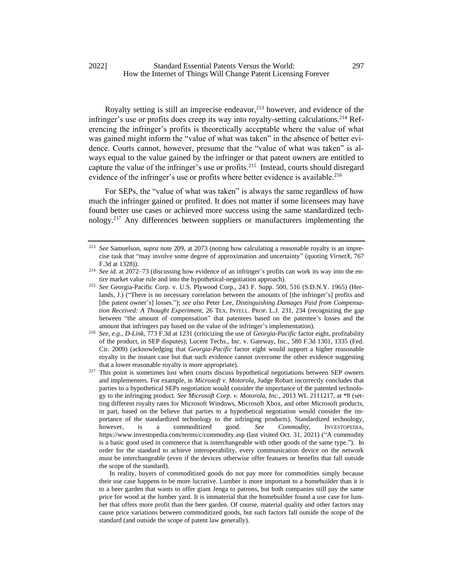Royalty setting is still an imprecise endeavor,<sup>213</sup> however, and evidence of the infringer's use or profits does creep its way into royalty-setting calculations.<sup>214</sup> Referencing the infringer's profits is theoretically acceptable where the value of what was gained might inform the "value of what was taken" in the absence of better evidence. Courts cannot, however, presume that the "value of what was taken" is always equal to the value gained by the infringer or that patent owners are entitled to capture the value of the infringer's use or profits.<sup>215</sup> Instead, courts should disregard evidence of the infringer's use or profits where better evidence is available.<sup>216</sup>

<span id="page-38-0"></span>For SEPs, the "value of what was taken" is always the same regardless of how much the infringer gained or profited. It does not matter if some licensees may have found better use cases or achieved more success using the same standardized technology.<sup>217</sup> Any differences between suppliers or manufacturers implementing the

<sup>213</sup> *See* Samuelson, *supra* note [209,](#page-37-0) at 2073 (noting how calculating a reasonable royalty is an imprecise task that "may involve some degree of approximation and uncertainty" (quoting *VirnetX*, 767 F.3d at 1328)).

<sup>214</sup> *See id.* at 2072–73 (discussing how evidence of an infringer's profits can work its way into the entire market value rule and into the hypothetical-negotiation approach).

<sup>215</sup> *See* Georgia-Pacific Corp. v. U.S. Plywood Corp., 243 F. Supp. 500, 516 (S.D.N.Y. 1965) (Herlands, J.) ("There is no necessary correlation between the amounts of [the infringer's] profits and [the patent owner's] losses."); *see also* Peter Lee, *Distinguishing Damages Paid from Compensation Received: A Thought Experiment*, 26 TEX. INTELL. PROP. L.J. 231, 234 (recognizing the gap between "the amount of compensation" that patentees based on the patentee's losses and the amount that infringers pay based on the value of the infringer's implementation).

<sup>216</sup> *See, e.g.*, *D-Link*, 773 F.3d at 1231 (criticizing the use of *Georgia-Pacific* factor eight, profitability of the product, in SEP disputes); Lucent Techs., Inc. v. Gateway, Inc., 580 F.3d 1301, 1335 (Fed. Cir. 2009) (acknowledging that *Georgia-Pacific* factor eight would support a higher reasonable royalty in the instant case but that such evidence cannot overcome the other evidence suggesting that a lower reasonable royalty is more appropriate).

<sup>&</sup>lt;sup>217</sup> This point is sometimes lost when courts discuss hypothetical negotiations between SEP owners and implementers. For example, in *Microsoft v. Motorola*, Judge Robart incorrectly concludes that parties to a hypothetical SEPs negotiation would consider the importance of the patented technology to the infringing product. *See Microsoft Corp. v. Motorola, Inc.*, 2013 WL 2111217, at \*8 (setting different royalty rates for Microsoft Windows, Microsoft Xbox, and other Microsoft products, in part, based on the believe that parties to a hypothetical negotiation would consider the importance of the standardized technology to the infringing products). Standardized technology, however, is a commoditized good. *See Commodity*, INVESTOPEDIA, https://www.investopedia.com/terms/c/commodity.asp (last visited Oct. 31, 2021) ("A commodity is a basic good used in commerce that is interchangeable with other goods of the same type."). In order for the standard to achieve interoperability, every communication device on the network must be interchangeable (even if the devices otherwise offer features or benefits that fall outside the scope of the standard).

In reality, buyers of commoditized goods do not pay more for commodities simply because their use case happens to be more lucrative. Lumber is more important to a homebuilder than it is to a beer garden that wants to offer giant Jenga to patrons, but both companies still pay the same price for wood at the lumber yard. It is immaterial that the homebuilder found a use case for lumber that offers more profit than the beer garden. Of course, material quality and other factors may cause price variations between commoditized goods, but such factors fall outside the scope of the standard (and outside the scope of patent law generally).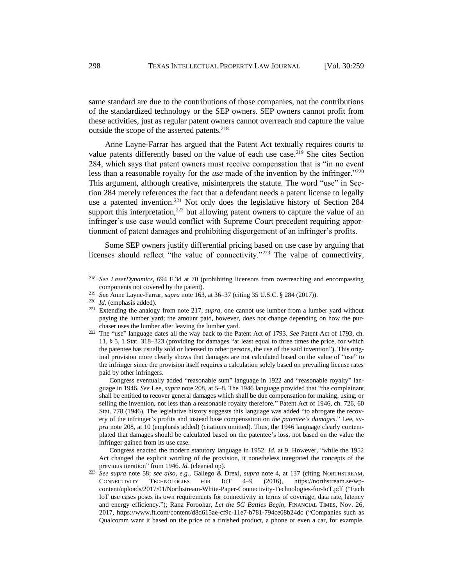same standard are due to the contributions of those companies, not the contributions of the standardized technology or the SEP owners. SEP owners cannot profit from these activities, just as regular patent owners cannot overreach and capture the value outside the scope of the asserted patents.<sup>218</sup>

Anne Layne-Farrar has argued that the Patent Act textually requires courts to value patents differently based on the value of each use case.<sup>219</sup> She cites Section 284, which says that patent owners must receive compensation that is "in no event less than a reasonable royalty for the *use* made of the invention by the infringer."<sup>220</sup> This argument, although creative, misinterprets the statute. The word "use" in Section 284 merely references the fact that a defendant needs a patent license to legally use a patented invention.<sup>221</sup> Not only does the legislative history of Section  $284$ support this interpretation,  $222$  but allowing patent owners to capture the value of an infringer's use case would conflict with Supreme Court precedent requiring apportionment of patent damages and prohibiting disgorgement of an infringer's profits.

<span id="page-39-0"></span>Some SEP owners justify differential pricing based on use case by arguing that licenses should reflect "the value of connectivity."<sup>223</sup> The value of connectivity,

Congress eventually added "reasonable sum" language in 1922 and "reasonable royalty" language in 1946. *See* Lee, *supra* not[e 208,](#page-37-1) at 5–8. The 1946 language provided that "the complainant shall be entitled to recover general damages which shall be due compensation for making, using, or selling the invention, not less than a reasonable royalty therefore." Patent Act of 1946, ch. 726, 60 Stat. 778 (1946). The legislative history suggests this language was added "to abrogate the recovery of the infringer's profits and instead base compensation on *the patentee's damages*." Lee, *supra* note [208,](#page-37-1) at 10 (emphasis added) (citations omitted). Thus, the 1946 language clearly contemplated that damages should be calculated based on the patentee's loss, not based on the value the infringer gained from its use case.

Congress enacted the modern statutory language in 1952. *Id.* at 9. However, "while the 1952 Act changed the explicit wording of the provision, it nonetheless integrated the concepts of the previous iteration" from 1946. *Id.* (cleaned up).

<sup>223</sup> *See supra* note [58;](#page-9-1) *see also, e.g.*, Gallego & Drexl, *supra* note [4,](#page-2-2) at 137 (citing NORTHSTREAM, CONNECTIVITY TECHNOLOGIES FOR IOT 4–9 (2016), https://northstream.se/wpcontent/uploads/2017/01/Northstream-White-Paper-Connectivity-Technologies-for-IoT.pdf ("Each IoT use cases poses its own requirements for connectivity in terms of coverage, data rate, latency and energy efficiency."); Rana Foroohar, *Let the 5G Battles Begin*, FINANCIAL TIMES, Nov. 26, 2017, https://www.ft.com/content/d8d615ae-cf9c-11e7-b781-794ce08b24dc ("Companies such as Qualcomm want it based on the price of a finished product, a phone or even a car, for example.

<sup>218</sup> *See LaserDynamics*, 694 F.3d at 70 (prohibiting licensors from overreaching and encompassing components not covered by the patent).

<sup>219</sup> *See* Anne Layne-Farrar, *supra* note [163,](#page-29-0) at 36–37 (citing 35 U.S.C. § 284 (2017)).

<sup>220</sup> *Id.* (emphasis added).

<sup>221</sup> Extending the analogy from note [217,](#page-38-0) *supra*, one cannot use lumber from a lumber yard without paying the lumber yard; the amount paid, however, does not change depending on how the purchaser uses the lumber after leaving the lumber yard.

<sup>222</sup> The "use" language dates all the way back to the Patent Act of 1793. *See* Patent Act of 1793, ch. 11, § 5, 1 Stat. 318–323 (providing for damages "at least equal to three times the price, for which the patentee has usually sold or licensed to other persons, the use of the said invention"). This original provision more clearly shows that damages are not calculated based on the value of "use" to the infringer since the provision itself requires a calculation solely based on prevailing license rates paid by other infringers.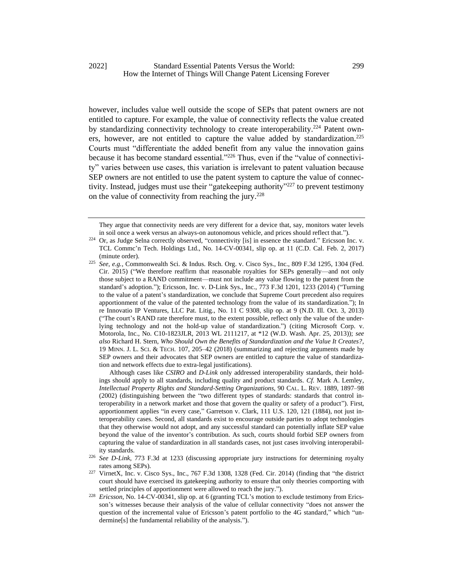however, includes value well outside the scope of SEPs that patent owners are not entitled to capture. For example, the value of connectivity reflects the value created by standardizing connectivity technology to create interoperability.<sup>224</sup> Patent owners, however, are not entitled to capture the value added by standardization.<sup>225</sup> Courts must "differentiate the added benefit from any value the innovation gains because it has become standard essential."<sup>226</sup> Thus, even if the "value of connectivity" varies between use cases, this variation is irrelevant to patent valuation because SEP owners are not entitled to use the patent system to capture the value of connectivity. Instead, judges must use their "gatekeeping authority"<sup>227</sup> to prevent testimony on the value of connectivity from reaching the jury.<sup>228</sup>

Although cases like *CSIRO* and *D-Link* only addressed interoperability standards, their holdings should apply to all standards, including quality and product standards. *Cf.* Mark A. Lemley, *Intellectual Property Rights and Standard-Setting Organizations*, 90 CAL. L. REV. 1889, 1897–98 (2002) (distinguishing between the "two different types of standards: standards that control interoperability in a network market and those that govern the quality or safety of a product"). First, apportionment applies "in every case," Garretson v. Clark, 111 U.S. 120, 121 (1884), not just interoperability cases. Second, all standards exist to encourage outside parties to adopt technologies that they otherwise would not adopt, and any successful standard can potentially inflate SEP value beyond the value of the inventor's contribution. As such, courts should forbid SEP owners from capturing the value of standardization in all standards cases, not just cases involving interoperability standards.

They argue that connectivity needs are very different for a device that, say, monitors water levels in soil once a week versus an always-on autonomous vehicle, and prices should reflect that.").

<sup>&</sup>lt;sup>224</sup> Or. as Judge Selna correctly observed, "connectivity [is] in essence the standard." Ericsson Inc. v. TCL Commc'n Tech. Holdings Ltd., No. 14-CV-00341, slip op. at 11 (C.D. Cal. Feb. 2, 2017) (minute order).

<sup>225</sup> *See, e.g.*, Commonwealth Sci. & Indus. Rsch. Org. v. Cisco Sys., Inc., 809 F.3d 1295, 1304 (Fed. Cir. 2015) ("We therefore reaffirm that reasonable royalties for SEPs generally—and not only those subject to a RAND commitment—must not include any value flowing to the patent from the standard's adoption."); Ericsson, Inc. v. D-Link Sys., Inc., 773 F.3d 1201, 1233 (2014) ("Turning to the value of a patent's standardization, we conclude that Supreme Court precedent also requires apportionment of the value of the patented technology from the value of its standardization."); In re Innovatio IP Ventures, LLC Pat. Litig., No. 11 C 9308, slip op. at 9 (N.D. Ill. Oct. 3, 2013) ("The court's RAND rate therefore must, to the extent possible, reflect only the value of the underlying technology and not the hold-up value of standardization.") (citing Microsoft Corp. v. Motorola, Inc., No. C10-1823JLR, 2013 WL 2111217, at \*12 (W.D. Wash. Apr. 25, 2013)); *see also* Richard H. Stern, *Who Should Own the Benefits of Standardization and the Value It Creates?*, 19 MINN. J. L. SCI. & TECH. 107, 205–42 (2018) (summarizing and rejecting arguments made by SEP owners and their advocates that SEP owners are entitled to capture the value of standardization and network effects due to extra-legal justifications).

<sup>226</sup> *See D-Link*, 773 F.3d at 1233 (discussing appropriate jury instructions for determining royalty rates among SEPs).

<sup>227</sup> VirnetX, Inc. v. Cisco Sys., Inc., 767 F.3d 1308, 1328 (Fed. Cir. 2014) (finding that "the district court should have exercised its gatekeeping authority to ensure that only theories comporting with settled principles of apportionment were allowed to reach the jury.").

<sup>&</sup>lt;sup>228</sup> *Ericsson*, No. 14-CV-00341, slip op. at 6 (granting TCL's motion to exclude testimony from Ericsson's witnesses because their analysis of the value of cellular connectivity "does not answer the question of the incremental value of Ericsson's patent portfolio to the 4G standard," which "undermine[s] the fundamental reliability of the analysis.").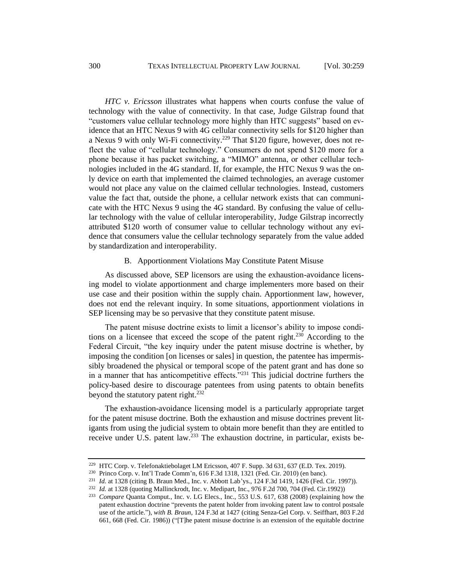<span id="page-41-0"></span>*HTC v. Ericsson* illustrates what happens when courts confuse the value of technology with the value of connectivity. In that case, Judge Gilstrap found that "customers value cellular technology more highly than HTC suggests" based on evidence that an HTC Nexus 9 with 4G cellular connectivity sells for \$120 higher than a Nexus 9 with only Wi-Fi connectivity.<sup>229</sup> That \$120 figure, however, does not reflect the value of "cellular technology." Consumers do not spend \$120 more for a phone because it has packet switching, a "MIMO" antenna, or other cellular technologies included in the 4G standard. If, for example, the HTC Nexus 9 was the only device on earth that implemented the claimed technologies, an average customer would not place any value on the claimed cellular technologies. Instead, customers value the fact that, outside the phone, a cellular network exists that can communicate with the HTC Nexus 9 using the 4G standard. By confusing the value of cellular technology with the value of cellular interoperability, Judge Gilstrap incorrectly attributed \$120 worth of consumer value to cellular technology without any evidence that consumers value the cellular technology separately from the value added by standardization and interoperability.

#### B. Apportionment Violations May Constitute Patent Misuse

As discussed above, SEP licensors are using the exhaustion-avoidance licensing model to violate apportionment and charge implementers more based on their use case and their position within the supply chain. Apportionment law, however, does not end the relevant inquiry. In some situations, apportionment violations in SEP licensing may be so pervasive that they constitute patent misuse.

The patent misuse doctrine exists to limit a licensor's ability to impose conditions on a licensee that exceed the scope of the patent right.<sup>230</sup> According to the Federal Circuit, "the key inquiry under the patent misuse doctrine is whether, by imposing the condition [on licenses or sales] in question, the patentee has impermissibly broadened the physical or temporal scope of the patent grant and has done so in a manner that has anticompetitive effects."<sup>231</sup> This judicial doctrine furthers the policy-based desire to discourage patentees from using patents to obtain benefits beyond the statutory patent right.<sup>232</sup>

The exhaustion-avoidance licensing model is a particularly appropriate target for the patent misuse doctrine. Both the exhaustion and misuse doctrines prevent litigants from using the judicial system to obtain more benefit than they are entitled to receive under U.S. patent law.<sup>233</sup> The exhaustion doctrine, in particular, exists be-

<sup>229</sup> HTC Corp. v. Telefonaktiebolaget LM Ericsson, 407 F. Supp. 3d 631, 637 (E.D. Tex. 2019).

<sup>230</sup> Princo Corp. v. Int'l Trade Comm'n, 616 F.3d 1318, 1321 (Fed. Cir. 2010) (en banc).

<sup>&</sup>lt;sup>231</sup> *Id.* at 1328 (citing B. Braun Med., Inc. v. Abbott Lab'ys., 124 F.3d 1419, 1426 (Fed. Cir. 1997)).

<sup>232</sup> *Id.* at 1328 (quoting Mallinckrodt, Inc. v. Medipart, Inc., 976 F.2d 700, 704 (Fed. Cir.1992))

<sup>233</sup> *Compare* Quanta Comput., Inc. v. LG Elecs., Inc., 553 U.S. 617, 638 (2008) (explaining how the patent exhaustion doctrine "prevents the patent holder from invoking patent law to control postsale use of the article."), *with B. Braun*, 124 F.3d at 1427 (citing Senza-Gel Corp. v. Seiffhart, 803 F.2d 661, 668 (Fed. Cir. 1986)) ("[T]he patent misuse doctrine is an extension of the equitable doctrine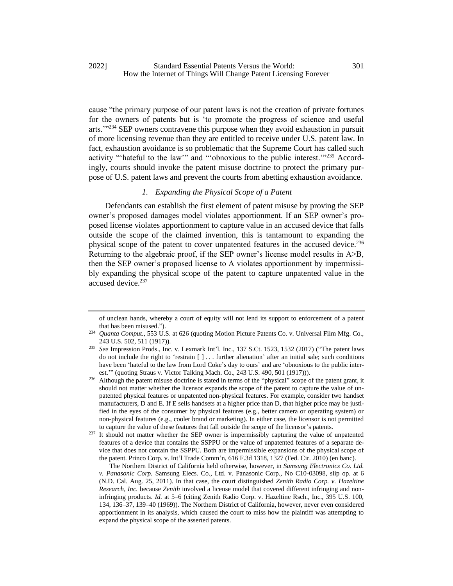cause "the primary purpose of our patent laws is not the creation of private fortunes for the owners of patents but is 'to promote the progress of science and useful arts.'"<sup>234</sup> SEP owners contravene this purpose when they avoid exhaustion in pursuit of more licensing revenue than they are entitled to receive under U.S. patent law. In fact, exhaustion avoidance is so problematic that the Supreme Court has called such activity "'hateful to the law'" and "'obnoxious to the public interest.'"<sup>235</sup> Accordingly, courts should invoke the patent misuse doctrine to protect the primary purpose of U.S. patent laws and prevent the courts from abetting exhaustion avoidance.

## *1. Expanding the Physical Scope of a Patent*

Defendants can establish the first element of patent misuse by proving the SEP owner's proposed damages model violates apportionment. If an SEP owner's proposed license violates apportionment to capture value in an accused device that falls outside the scope of the claimed invention, this is tantamount to expanding the physical scope of the patent to cover unpatented features in the accused device.<sup>236</sup> Returning to the algebraic proof, if the SEP owner's license model results in A>B, then the SEP owner's proposed license to A violates apportionment by impermissibly expanding the physical scope of the patent to capture unpatented value in the accused device.<sup>237</sup>

of unclean hands, whereby a court of equity will not lend its support to enforcement of a patent that has been misused.").

<sup>234</sup> *Quanta Comput.*, 553 U.S. at 626 (quoting Motion Picture Patents Co. v. Universal Film Mfg. Co., 243 U.S. 502, 511 (1917)).

<sup>235</sup> *See* Impression Prods., Inc. v. Lexmark Int'l. Inc., 137 S.Ct. 1523, 1532 (2017) ("The patent laws do not include the right to 'restrain  $[ ] \dots ]$  further alienation' after an initial sale; such conditions have been 'hateful to the law from Lord Coke's day to ours' and are 'obnoxious to the public interest.'" (quoting Straus v. Victor Talking Mach. Co., 243 U.S. 490, 501 (1917))).

<sup>&</sup>lt;sup>236</sup> Although the patent misuse doctrine is stated in terms of the "physical" scope of the patent grant, it should not matter whether the licensor expands the scope of the patent to capture the value of unpatented physical features or unpatented non-physical features. For example, consider two handset manufacturers, D and E. If E sells handsets at a higher price than D, that higher price may be justified in the eyes of the consumer by physical features (e.g., better camera or operating system) or non-physical features (e.g., cooler brand or marketing). In either case, the licensor is not permitted to capture the value of these features that fall outside the scope of the licensor's patents.

<sup>&</sup>lt;sup>237</sup> It should not matter whether the SEP owner is impermissibly capturing the value of unpatented features of a device that contains the SSPPU or the value of unpatented features of a separate device that does not contain the SSPPU. Both are impermissible expansions of the physical scope of the patent. Princo Corp. v. Int'l Trade Comm'n, 616 F.3d 1318, 1327 (Fed. Cir. 2010) (en banc).

The Northern District of California held otherwise, however, in *Samsung Electronics Co. Ltd. v. Panasonic Corp.* Samsung Elecs. Co., Ltd. v. Panasonic Corp., No C10-03098, slip op. at 6 (N.D. Cal. Aug. 25, 2011). In that case, the court distinguished *Zenith Radio Corp. v. Hazeltine Research, Inc.* because *Zenith* involved a license model that covered different infringing and noninfringing products. *Id.* at 5–6 (citing Zenith Radio Corp. v. Hazeltine Rsch., Inc., 395 U.S. 100, 134, 136–37, 139–40 (1969)). The Northern District of California, however, never even considered apportionment in its analysis, which caused the court to miss how the plaintiff was attempting to expand the physical scope of the asserted patents.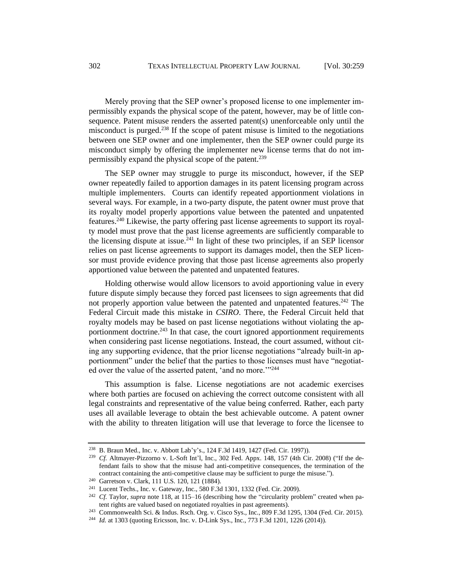Merely proving that the SEP owner's proposed license to one implementer impermissibly expands the physical scope of the patent, however, may be of little consequence. Patent misuse renders the asserted patent(s) unenforceable only until the misconduct is purged.<sup>238</sup> If the scope of patent misuse is limited to the negotiations between one SEP owner and one implementer, then the SEP owner could purge its misconduct simply by offering the implementer new license terms that do not impermissibly expand the physical scope of the patent.<sup>239</sup>

The SEP owner may struggle to purge its misconduct, however, if the SEP owner repeatedly failed to apportion damages in its patent licensing program across multiple implementers. Courts can identify repeated apportionment violations in several ways. For example, in a two-party dispute, the patent owner must prove that its royalty model properly apportions value between the patented and unpatented features.<sup>240</sup> Likewise, the party offering past license agreements to support its royalty model must prove that the past license agreements are sufficiently comparable to the licensing dispute at issue.<sup>241</sup> In light of these two principles, if an SEP licensor relies on past license agreements to support its damages model, then the SEP licensor must provide evidence proving that those past license agreements also properly apportioned value between the patented and unpatented features.

<span id="page-43-0"></span>Holding otherwise would allow licensors to avoid apportioning value in every future dispute simply because they forced past licensees to sign agreements that did not properly apportion value between the patented and unpatented features.<sup>242</sup> The Federal Circuit made this mistake in *CSIRO*. There, the Federal Circuit held that royalty models may be based on past license negotiations without violating the apportionment doctrine.<sup>243</sup> In that case, the court ignored apportionment requirements when considering past license negotiations. Instead, the court assumed, without citing any supporting evidence, that the prior license negotiations "already built-in apportionment" under the belief that the parties to those licenses must have "negotiated over the value of the asserted patent, 'and no more.'"<sup>244</sup>

This assumption is false. License negotiations are not academic exercises where both parties are focused on achieving the correct outcome consistent with all legal constraints and representative of the value being conferred. Rather, each party uses all available leverage to obtain the best achievable outcome. A patent owner with the ability to threaten litigation will use that leverage to force the licensee to

<sup>238</sup> B. Braun Med., Inc. v. Abbott Lab'y's., 124 F.3d 1419, 1427 (Fed. Cir. 1997)).

<sup>&</sup>lt;sup>239</sup> *Cf.* Altmayer-Pizzorno v. L-Soft Int'l, Inc., 302 Fed. Appx. 148, 157 (4th Cir. 2008) ("If the defendant fails to show that the misuse had anti-competitive consequences, the termination of the contract containing the anti-competitive clause may be sufficient to purge the misuse.").

<sup>240</sup> Garretson v. Clark, 111 U.S. 120, 121 (1884).

<sup>241</sup> Lucent Techs., Inc. v. Gateway, Inc., 580 F.3d 1301, 1332 (Fed. Cir. 2009).

<sup>&</sup>lt;sup>242</sup> *Cf.* Taylor, *supra* not[e 118,](#page-20-0) at 115–16 (describing how the "circularity problem" created when patent rights are valued based on negotiated royalties in past agreements).

<sup>243</sup> Commonwealth Sci. & Indus. Rsch. Org. v. Cisco Sys., Inc., 809 F.3d 1295, 1304 (Fed. Cir. 2015).

<sup>244</sup> *Id.* at 1303 (quoting Ericsson, Inc. v. D-Link Sys., Inc., 773 F.3d 1201, 1226 (2014)).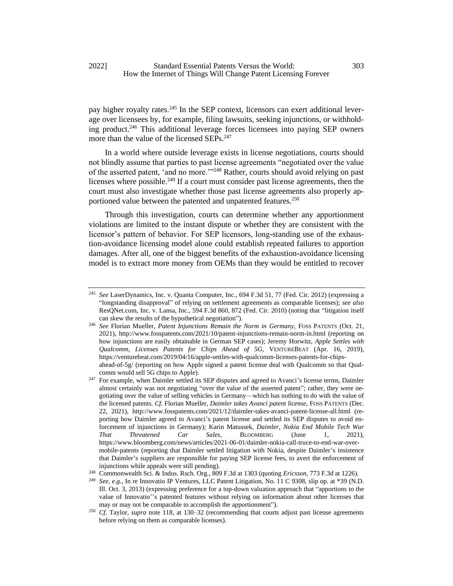<span id="page-44-1"></span>pay higher royalty rates.<sup>245</sup> In the SEP context, licensors can exert additional leverage over licensees by, for example, filing lawsuits, seeking injunctions, or withholding product.<sup>246</sup> This additional leverage forces licensees into paying SEP owners more than the value of the licensed SEPs.<sup>247</sup>

<span id="page-44-0"></span>In a world where outside leverage exists in license negotiations, courts should not blindly assume that parties to past license agreements "negotiated over the value of the asserted patent, 'and no more.'"<sup>248</sup> Rather, courts should avoid relying on past licenses where possible.<sup>249</sup> If a court must consider past license agreements, then the court must also investigate whether those past license agreements also properly apportioned value between the patented and unpatented features.<sup>250</sup>

<span id="page-44-2"></span>Through this investigation, courts can determine whether any apportionment violations are limited to the instant dispute or whether they are consistent with the licensor's pattern of behavior. For SEP licensors, long-standing use of the exhaustion-avoidance licensing model alone could establish repeated failures to apportion damages. After all, one of the biggest benefits of the exhaustion-avoidance licensing model is to extract more money from OEMs than they would be entitled to recover

<sup>245</sup> *See* LaserDynamics, Inc. v. Quanta Computer, Inc., 694 F.3d 51, 77 (Fed. Cir. 2012) (expressing a "longstanding disapproval" of relying on settlement agreements as comparable licenses); *see also* ResQNet.com, Inc. v. Lansa, Inc., 594 F.3d 860, 872 (Fed. Cir. 2010) (noting that "litigation itself can skew the results of the hypothetical negotiation").

<sup>246</sup> *See* Florian Mueller, *Patent Injunctions Remain the Norm in Germany*, FOSS PATENTS (Oct. 21, 2021), http://www.fosspatents.com/2021/10/patent-injunctions-remain-norm-in.html (reporting on how injunctions are easily obtainable in German SEP cases); Jeremy Horwitz, *Apple Settles with Qualcomm, Licenses Patents for Chips Ahead of 5G*, VENTUREBEAT (Apr. 16, 2019), https://venturebeat.com/2019/04/16/apple-settles-with-qualcomm-licenses-patents-for-chipsahead-of-5g/ (reporting on how Apple signed a patent license deal with Qualcomm so that Qualcomm would sell 5G chips to Apple).

<sup>&</sup>lt;sup>247</sup> For example, when Daimler settled its SEP disputes and agreed to Avanci's license terms, Daimler almost certainly was not negotiating "over the value of the asserted patent"; rather, they were negotiating over the value of selling vehicles in Germany—which has nothing to do with the value of the licensed patents. *Cf.* Florian Mueller, *Daimler takes Avanci patent license*, FOSS PATENTS (Dec. 22, 2021), http://www.fosspatents.com/2021/12/daimler-takes-avanci-patent-license-all.html (reporting how Daimler agreed to Avanci's patent license and settled its SEP disputes to avoid enforcement of injunctions in Germany); Karin Matussek, *Daimler, Nokia End Mobile Tech War That Threatened Car Sales*, BLOOMBERG (June 1, 2021), https://www.bloomberg.com/news/articles/2021-06-01/daimler-nokia-call-truce-to-end-war-overmobile-patents (reporting that Daimler settled litigation with Nokia, despite Daimler's insistence that Daimler's suppliers are responsible for paying SEP license fees, to avert the enforcement of injunctions while appeals were still pending).

<sup>248</sup> Commonwealth Sci. & Indus. Rsch. Org., 809 F.3d at 1303 (quoting *Ericsson*, 773 F.3d at 1226).

<sup>249</sup> *See, e.g.*, In re Innovatio IP Ventures, LLC Patent Litigation, No. 11 C 9308, slip op. at \*39 (N.D. Ill. Oct. 3, 2013) (expressing preference for a top-down valuation approach that "apportions to the value of Innovatio''s patented features without relying on information about other licenses that may or may not be comparable to accomplish the apportionment").

<sup>250</sup> *Cf.* Taylor, *supra* note [118,](#page-20-0) at 130–32 (recommending that courts adjust past license agreements before relying on them as comparable licenses).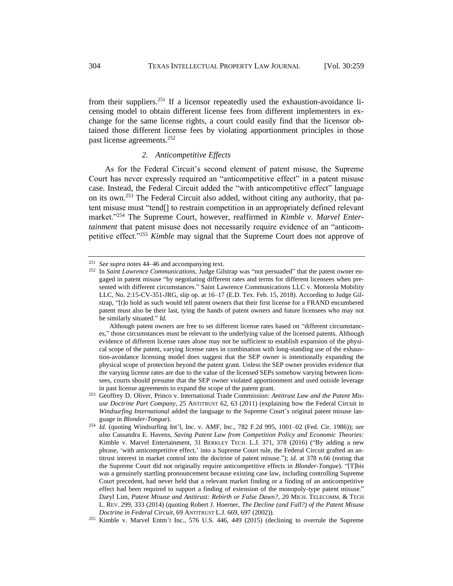from their suppliers.<sup>251</sup> If a licensor repeatedly used the exhaustion-avoidance licensing model to obtain different license fees from different implementers in exchange for the same license rights, a court could easily find that the licensor obtained those different license fees by violating apportionment principles in those past license agreements.<sup>252</sup>

## *2. Anticompetitive Effects*

<span id="page-45-0"></span>As for the Federal Circuit's second element of patent misuse, the Supreme Court has never expressly required an "anticompetitive effect" in a patent misuse case. Instead, the Federal Circuit added the "with anticompetitive effect" language on its own.<sup>253</sup> The Federal Circuit also added, without citing any authority, that patent misuse must "tend[] to restrain competition in an appropriately defined relevant market."<sup>254</sup> The Supreme Court, however, reaffirmed in *Kimble v. Marvel Entertainment* that patent misuse does not necessarily require evidence of an "anticompetitive effect."<sup>255</sup> *Kimble* may signal that the Supreme Court does not approve of

<sup>251</sup> *See supra* note[s 44](#page-8-2)[–46](#page-8-0) and accompanying text.

<sup>252</sup> In *Saint Lawrence Communications*, Judge Gilstrap was "not persuaded" that the patent owner engaged in patent misuse "by negotiating different rates and terms for different licensees when presented with different circumstances." Saint Lawrence Communications LLC v. Motorola Mobility LLC, No. 2:15-CV-351-JRG, slip op. at 16–17 (E.D. Tex. Feb. 15, 2018). According to Judge Gilstrap, "[t]o hold as such would tell patent owners that their first license for a FRAND encumbered patent must also be their last, tying the hands of patent owners and future licensees who may not be similarly situated." *Id.*

Although patent owners are free to set different license rates based on "different circumstances," those circumstances must be relevant to the underlying value of the licensed patents. Although evidence of different license rates alone may not be sufficient to establish expansion of the physical scope of the patent, varying license rates in combination with long-standing use of the exhaustion-avoidance licensing model does suggest that the SEP owner is intentionally expanding the physical scope of protection beyond the patent grant. Unless the SEP owner provides evidence that the varying license rates are due to the value of the licensed SEPs somehow varying between licensees, courts should presume that the SEP owner violated apportionment and used outside leverage in past license agreements to expand the scope of the patent grant.

<sup>253</sup> Geoffrey D. Oliver, Princo v. International Trade Commission: *Antitrust Law and the Patent Misuse Doctrine Part Company*, 25 ANTITRUST 62, 63 (2011) (explaining how the Federal Circuit in *Windsurfing International* added the language to the Supreme Court's original patent misuse language in *Blonder-Tongue*).

<sup>254</sup> *Id.* (quoting Windsurfing Int'l, Inc. v. AMF, Inc., 782 F.2d 995, 1001–02 (Fed. Cir. 1986)); *see also* Cassandra E. Havens, *Saving Patent Law from Competition Policy and Economic Theories:*  Kimble v. Marvel Entertainment, 31 BERKLEY TECH. L.J. 371, 378 (2016) ("By adding a new phrase, 'with anticompetitive effect,' into a Supreme Court rule, the Federal Circuit grafted an antitrust interest in market control into the doctrine of patent misuse."); *id.* at 378 n.66 (noting that the Supreme Court did not originally require anticompetitive effects in *Blonder-Tongue*). "[T]his was a genuinely startling pronouncement because existing case law, including controlling Supreme Court precedent, had never held that a relevant market finding or a finding of an anticompetitive effect had been required to support a finding of extension of the monopoly-type patent misuse." Daryl Lim, *Patent Misuse and Antitrust: Rebirth or False Dawn?*, 20 MICH. TELECOMM. & TECH L. REV. 299, 333 (2014) (quoting Robert J. Hoerner, *The Decline (and Fall?) of the Patent Misuse Doctrine in Federal Circuit*, 69 ANTITRUST L.J. 669, 697 (2002)).

<sup>255</sup> Kimble v. Marvel Entm't Inc., 576 U.S. 446, 449 (2015) (declining to overrule the Supreme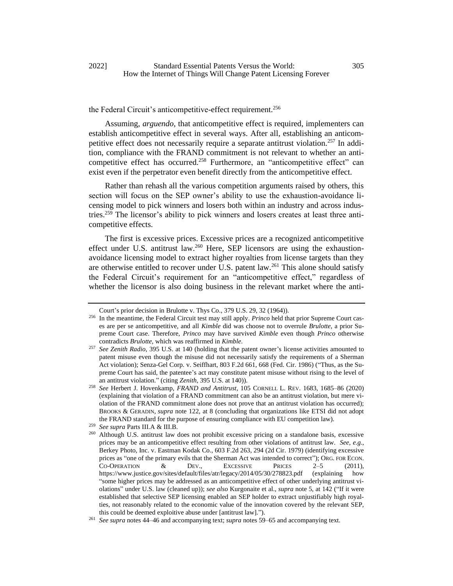## the Federal Circuit's anticompetitive-effect requirement.<sup>256</sup>

Assuming, *arguendo*, that anticompetitive effect is required, implementers can establish anticompetitive effect in several ways. After all, establishing an anticompetitive effect does not necessarily require a separate antitrust violation.<sup>257</sup> In addition, compliance with the FRAND commitment is not relevant to whether an anticompetitive effect has occurred.<sup>258</sup> Furthermore, an "anticompetitive effect" can exist even if the perpetrator even benefit directly from the anticompetitive effect.

Rather than rehash all the various competition arguments raised by others, this section will focus on the SEP owner's ability to use the exhaustion-avoidance licensing model to pick winners and losers both within an industry and across industries.<sup>259</sup> The licensor's ability to pick winners and losers creates at least three anticompetitive effects.

The first is excessive prices. Excessive prices are a recognized anticompetitive effect under U.S. antitrust law.<sup>260</sup> Here, SEP licensors are using the exhaustionavoidance licensing model to extract higher royalties from license targets than they are otherwise entitled to recover under U.S. patent law.<sup>261</sup> This alone should satisfy the Federal Circuit's requirement for an "anticompetitive effect," regardless of whether the licensor is also doing business in the relevant market where the anti-

Court's prior decision in Brulotte v. Thys Co., 379 U.S. 29, 32 (1964)).

<sup>256</sup> In the meantime, the Federal Circuit test may still apply. *Princo* held that prior Supreme Court cases are per se anticompetitive, and all *Kimble* did was choose not to overrule *Brulotte*, a prior Supreme Court case. Therefore, *Princo* may have survived *Kimble* even though *Princo* otherwise contradicts *Brulotte*, which was reaffirmed in *Kimble*.

<sup>257</sup> *See Zenith Radio*, 395 U.S. at 140 (holding that the patent owner's license activities amounted to patent misuse even though the misuse did not necessarily satisfy the requirements of a Sherman Act violation); Senza-Gel Corp. v. Seiffhart, 803 F.2d 661, 668 (Fed. Cir. 1986) ("Thus, as the Supreme Court has said, the patentee's act may constitute patent misuse without rising to the level of an antitrust violation." (citing *Zenith*, 395 U.S. at 140)).

<sup>258</sup> *See* Herbert J. Hovenkamp, *FRAND and Antitrust*, 105 CORNELL L. REV. 1683, 1685–86 (2020) (explaining that violation of a FRAND commitment can also be an antitrust violation, but mere violation of the FRAND commitment alone does not prove that an antitrust violation has occurred); BROOKS & GERADIN, *supra* note [122,](#page-21-0) at 8 (concluding that organizations like ETSI did not adopt the FRAND standard for the purpose of ensuring compliance with EU competition law).

<sup>259</sup> *See supra* Parts III.A & III.B.

<sup>&</sup>lt;sup>260</sup> Although U.S. antitrust law does not prohibit excessive pricing on a standalone basis, excessive prices may be an anticompetitive effect resulting from other violations of antitrust law. *See, e.g.*, Berkey Photo, Inc. v. Eastman Kodak Co., 603 F.2d 263, 294 (2d Cir. 1979) (identifying excessive prices as "one of the primary evils that the Sherman Act was intended to correct"); ORG. FOR ECON. CO-OPERATION & DEV., EXCESSIVE PRICES 2–5 (2011), https://www.justice.gov/sites/default/files/atr/legacy/2014/05/30/278823.pdf (explaining how "some higher prices may be addressed as an anticompetitive effect of other underlying antitrust violations" under U.S. law (cleaned up)); *see also* Kurgonaite et al., *supra* note [5,](#page-2-0) at 142 ("If it were established that selective SEP licensing enabled an SEP holder to extract unjustifiably high royalties, not reasonably related to the economic value of the innovation covered by the relevant SEP, this could be deemed exploitive abuse under [antitrust law].").

<sup>261</sup> *See supra* note[s 44](#page-8-2)[–46](#page-8-0) and accompanying text; *supra* notes 59[–65](#page-10-2) and accompanying text.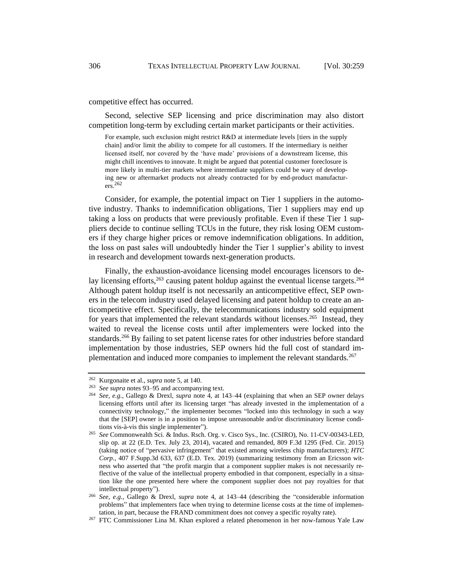competitive effect has occurred.

Second, selective SEP licensing and price discrimination may also distort competition long-term by excluding certain market participants or their activities.

For example, such exclusion might restrict R&D at intermediate levels [tiers in the supply chain] and/or limit the ability to compete for all customers. If the intermediary is neither licensed itself, nor covered by the 'have made' provisions of a downstream license, this might chill incentives to innovate. It might be argued that potential customer foreclosure is more likely in multi-tier markets where intermediate suppliers could be wary of developing new or aftermarket products not already contracted for by end-product manufactur $ers.<sup>262</sup>$ 

Consider, for example, the potential impact on Tier 1 suppliers in the automotive industry. Thanks to indemnification obligations, Tier 1 suppliers may end up taking a loss on products that were previously profitable. Even if these Tier 1 suppliers decide to continue selling TCUs in the future, they risk losing OEM customers if they charge higher prices or remove indemnification obligations. In addition, the loss on past sales will undoubtedly hinder the Tier 1 supplier's ability to invest in research and development towards next-generation products.

Finally, the exhaustion-avoidance licensing model encourages licensors to delay licensing efforts,  $263$  causing patent holdup against the eventual license targets.  $264$ Although patent holdup itself is not necessarily an anticompetitive effect, SEP owners in the telecom industry used delayed licensing and patent holdup to create an anticompetitive effect. Specifically, the telecommunications industry sold equipment for years that implemented the relevant standards without licenses.<sup>265</sup> Instead, they waited to reveal the license costs until after implementers were locked into the standards.<sup>266</sup> By failing to set patent license rates for other industries before standard implementation by those industries, SEP owners hid the full cost of standard implementation and induced more companies to implement the relevant standards.<sup>267</sup>

<span id="page-47-0"></span><sup>262</sup> Kurgonaite et al., *supra* not[e 5,](#page-2-0) at 140.

<sup>263</sup> *See supra* notes 93–95 and accompanying text.

<sup>264</sup> *See, e.g.*, Gallego & Drexl, *supra* note [4,](#page-2-2) at 143–44 (explaining that when an SEP owner delays licensing efforts until after its licensing target "has already invested in the implementation of a connectivity technology," the implementer becomes "locked into this technology in such a way that the [SEP] owner is in a position to impose unreasonable and/or discriminatory license conditions vis-à-vis this single implementer").

<sup>265</sup> *See* Commonwealth Sci. & Indus. Rsch. Org. v. Cisco Sys., Inc. (CSIRO), No. 11-CV-00343-LED, slip op. at 22 (E.D. Tex. July 23, 2014), vacated and remanded, 809 F.3d 1295 (Fed. Cir. 2015) (taking notice of "pervasive infringement" that existed among wireless chip manufacturers); *HTC Corp.*, 407 F.Supp.3d 633, 637 (E.D. Tex. 2019) (summarizing testimony from an Ericsson witness who asserted that "the profit margin that a component supplier makes is not necessarily reflective of the value of the intellectual property embodied in that component, especially in a situation like the one presented here where the component supplier does not pay royalties for that intellectual property").

<sup>266</sup> *See, e.g.*, Gallego & Drexl, *supra* note [4,](#page-2-2) at 143–44 (describing the "considerable information problems" that implementers face when trying to determine license costs at the time of implementation, in part, because the FRAND commitment does not convey a specific royalty rate).

<sup>267</sup> FTC Commissioner Lina M. Khan explored a related phenomenon in her now-famous Yale Law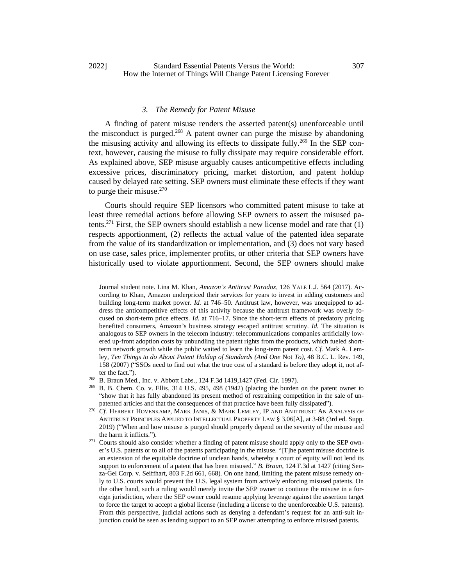## *3. The Remedy for Patent Misuse*

A finding of patent misuse renders the asserted patent(s) unenforceable until the misconduct is purged.<sup>268</sup> A patent owner can purge the misuse by abandoning the misusing activity and allowing its effects to dissipate fully.<sup>269</sup> In the SEP context, however, causing the misuse to fully dissipate may require considerable effort. As explained above, SEP misuse arguably causes anticompetitive effects including excessive prices, discriminatory pricing, market distortion, and patent holdup caused by delayed rate setting. SEP owners must eliminate these effects if they want to purge their misuse. $270$ 

Courts should require SEP licensors who committed patent misuse to take at least three remedial actions before allowing SEP owners to assert the misused patents.<sup>271</sup> First, the SEP owners should establish a new license model and rate that  $(1)$ respects apportionment, (2) reflects the actual value of the patented idea separate from the value of its standardization or implementation, and (3) does not vary based on use case, sales price, implementer profits, or other criteria that SEP owners have historically used to violate apportionment. Second, the SEP owners should make

Journal student note. Lina M. Khan, *Amazon's Antitrust Paradox*, 126 YALE L.J. 564 (2017). According to Khan, Amazon underpriced their services for years to invest in adding customers and building long-term market power. *Id.* at 746–50. Antitrust law, however, was unequipped to address the anticompetitive effects of this activity because the antitrust framework was overly focused on short-term price effects. *Id.* at 716–17. Since the short-term effects of predatory pricing benefited consumers, Amazon's business strategy escaped antitrust scrutiny. *Id.* The situation is analogous to SEP owners in the telecom industry: telecommunications companies artificially lowered up-front adoption costs by unbundling the patent rights from the products, which fueled shortterm network growth while the public waited to learn the long-term patent cost. *Cf.* Mark A. Lemley, *Ten Things to do About Patent Holdup of Standards (And One* Not *To)*, 48 B.C. L. Rev. 149, 158 (2007) ("SSOs need to find out what the true cost of a standard is before they adopt it, not after the fact.").

<sup>268</sup> B. Braun Med., Inc. v. Abbott Labs*.*, 124 F.3d 1419,1427 (Fed. Cir. 1997).

 $^{269}$  B. B. Chem. Co. v. Ellis, 314 U.S. 495, 498 (1942) (placing the burden on the patent owner to "show that it has fully abandoned its present method of restraining competition in the sale of unpatented articles and that the consequences of that practice have been fully dissipated").

<sup>&</sup>lt;sup>270</sup> *Cf.* HERBERT HOVENKAMP, MARK JANIS, & MARK LEMLEY, IP AND ANTITRUST: AN ANALYSIS OF ANTITRUST PRINCIPLES APPLIED TO INTELLECTUAL PROPERTY LAW § 3.06[A], at 3-88 (3rd ed. Supp. 2019) ("When and how misuse is purged should properly depend on the severity of the misuse and the harm it inflicts.").

<sup>&</sup>lt;sup>271</sup> Courts should also consider whether a finding of patent misuse should apply only to the SEP owner's U.S. patents or to all of the patents participating in the misuse. "[T]he patent misuse doctrine is an extension of the equitable doctrine of unclean hands, whereby a court of equity will not lend its support to enforcement of a patent that has been misused." *B. Braun*, 124 F.3d at 1427 (citing Senza-Gel Corp. v. Seiffhart, 803 F.2d 661, 668). On one hand, limiting the patent misuse remedy only to U.S. courts would prevent the U.S. legal system from actively enforcing misused patents. On the other hand, such a ruling would merely invite the SEP owner to continue the misuse in a foreign jurisdiction, where the SEP owner could resume applying leverage against the assertion target to force the target to accept a global license (including a license to the unenforceable U.S. patents). From this perspective, judicial actions such as denying a defendant's request for an anti-suit injunction could be seen as lending support to an SEP owner attempting to enforce misused patents.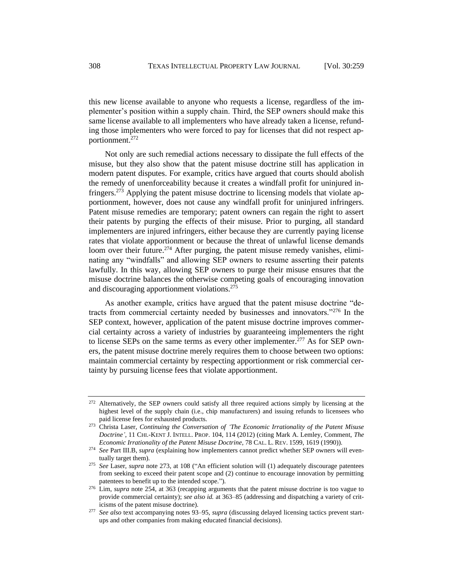this new license available to anyone who requests a license, regardless of the implementer's position within a supply chain. Third, the SEP owners should make this same license available to all implementers who have already taken a license, refunding those implementers who were forced to pay for licenses that did not respect apportionment.<sup>272</sup>

<span id="page-49-0"></span>Not only are such remedial actions necessary to dissipate the full effects of the misuse, but they also show that the patent misuse doctrine still has application in modern patent disputes. For example, critics have argued that courts should abolish the remedy of unenforceability because it creates a windfall profit for uninjured infringers.<sup>273</sup> Applying the patent misuse doctrine to licensing models that violate apportionment, however, does not cause any windfall profit for uninjured infringers. Patent misuse remedies are temporary; patent owners can regain the right to assert their patents by purging the effects of their misuse. Prior to purging, all standard implementers are injured infringers, either because they are currently paying license rates that violate apportionment or because the threat of unlawful license demands loom over their future.<sup>274</sup> After purging, the patent misuse remedy vanishes, eliminating any "windfalls" and allowing SEP owners to resume asserting their patents lawfully. In this way, allowing SEP owners to purge their misuse ensures that the misuse doctrine balances the otherwise competing goals of encouraging innovation and discouraging apportionment violations.<sup>275</sup>

As another example, critics have argued that the patent misuse doctrine "detracts from commercial certainty needed by businesses and innovators."<sup>276</sup> In the SEP context, however, application of the patent misuse doctrine improves commercial certainty across a variety of industries by guaranteeing implementers the right to license SEPs on the same terms as every other implementer.<sup>277</sup> As for SEP owners, the patent misuse doctrine merely requires them to choose between two options: maintain commercial certainty by respecting apportionment or risk commercial certainty by pursuing license fees that violate apportionment.

<sup>&</sup>lt;sup>272</sup> Alternatively, the SEP owners could satisfy all three required actions simply by licensing at the highest level of the supply chain (i.e., chip manufacturers) and issuing refunds to licensees who paid license fees for exhausted products.

<sup>273</sup> Christa Laser, *Continuing the Conversation of 'The Economic Irrationality of the Patent Misuse Doctrine'*, 11 CHI.-KENT J. INTELL. PROP. 104, 114 (2012) (citing Mark A. Lemley, Comment, *The Economic Irrationality of the Patent Misuse Doctrine*, 78 CAL. L. REV. 1599, 1619 (1990)).

<sup>274</sup> *See* Part III.B, *supra* (explaining how implementers cannot predict whether SEP owners will eventually target them).

<sup>275</sup> *See* Laser, *supra* note [273,](#page-49-0) at 108 ("An efficient solution will (1) adequately discourage patentees from seeking to exceed their patent scope and (2) continue to encourage innovation by permitting patentees to benefit up to the intended scope.").

<sup>&</sup>lt;sup>276</sup> Lim, *supra* note [254,](#page-45-0) at 363 (recapping arguments that the patent misuse doctrine is too vague to provide commercial certainty); *see also id.* at 363–85 (addressing and dispatching a variety of criticisms of the patent misuse doctrine).

<sup>277</sup> *See also* text accompanying notes 93–95, *supra* (discussing delayed licensing tactics prevent startups and other companies from making educated financial decisions).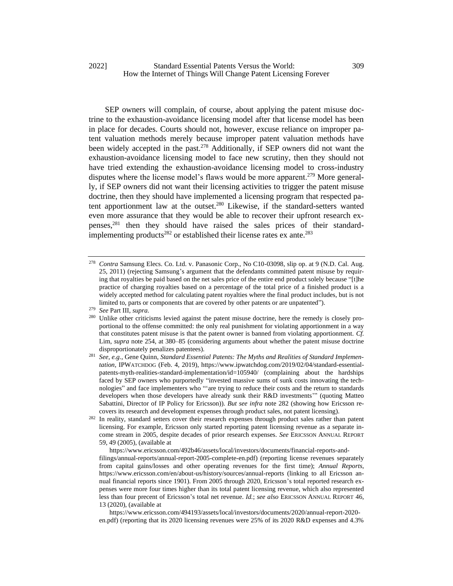#### 2022] Standard Essential Patents Versus the World: 309 How the Internet of Things Will Change Patent Licensing Forever

SEP owners will complain, of course, about applying the patent misuse doctrine to the exhaustion-avoidance licensing model after that license model has been in place for decades. Courts should not, however, excuse reliance on improper patent valuation methods merely because improper patent valuation methods have been widely accepted in the past.<sup>278</sup> Additionally, if SEP owners did not want the exhaustion-avoidance licensing model to face new scrutiny, then they should not have tried extending the exhaustion-avoidance licensing model to cross-industry disputes where the license model's flaws would be more apparent.<sup>279</sup> More generally, if SEP owners did not want their licensing activities to trigger the patent misuse doctrine, then they should have implemented a licensing program that respected patent apportionment law at the outset.<sup>280</sup> Likewise, if the standard-setters wanted even more assurance that they would be able to recover their upfront research expenses,<sup>281</sup> then they should have raised the sales prices of their standardimplementing products<sup>282</sup> or established their license rates ex ante.<sup>283</sup>

<span id="page-50-0"></span><sup>278</sup> *Contra* Samsung Elecs. Co. Ltd. v. Panasonic Corp., No C10-03098, slip op. at 9 (N.D. Cal. Aug. 25, 2011) (rejecting Samsung's argument that the defendants committed patent misuse by requiring that royalties be paid based on the net sales price of the entire end product solely because "[t]he practice of charging royalties based on a percentage of the total price of a finished product is a widely accepted method for calculating patent royalties where the final product includes, but is not limited to, parts or components that are covered by other patents or are unpatented").

<sup>279</sup> *See* Part III, *supra*.

<sup>&</sup>lt;sup>280</sup> Unlike other criticisms levied against the patent misuse doctrine, here the remedy is closely proportional to the offense committed: the only real punishment for violating apportionment in a way that constitutes patent misuse is that the patent owner is banned from violating apportionment. *Cf.*  Lim, *supra* note [254,](#page-45-0) at 380–85 (considering arguments about whether the patent misuse doctrine disproportionately penalizes patentees).

See, e.g., Gene Quinn, *Standard Essential Patents: The Myths and Realities of Standard Implementation,* IPWATCHDOG (Feb. 4, 2019), https://www.ipwatchdog.com/2019/02/04/standard-essentialpatents-myth-realities-standard-implementation/id=105940/ (complaining about the hardships faced by SEP owners who purportedly "invested massive sums of sunk costs innovating the technologies" and face implementers who "'are trying to reduce their costs and the return to standards developers when those developers have already sunk their R&D investments'" (quoting Matteo Sabattini, Director of IP Policy for Ericsson)). *But see infra* note [282](#page-50-0) (showing how Ericsson recovers its research and development expenses through product sales, not patent licensing).

<sup>&</sup>lt;sup>282</sup> In reality, standard setters cover their research expenses through product sales rather than patent licensing. For example, Ericsson only started reporting patent licensing revenue as a separate income stream in 2005, despite decades of prior research expenses. *See* ERICSSON ANNUAL REPORT 59, 49 (2005), (available at

https://www.ericsson.com/492b46/assets/local/investors/documents/financial-reports-andfilings/annual-reports/annual-report-2005-complete-en.pdf) (reporting license revenues separately from capital gains/losses and other operating revenues for the first time); *Annual Reports*, https://www.ericsson.com/en/about-us/history/sources/annual-reports (linking to all Ericsson annual financial reports since 1901). From 2005 through 2020, Ericsson's total reported research expenses were more four times higher than its total patent licensing revenue, which also represented less than four precent of Ericsson's total net revenue. *Id.*; *see also* ERICSSON ANNUAL REPORT 46, 13 (2020), (available at

https://www.ericsson.com/494193/assets/local/investors/documents/2020/annual-report-2020 en.pdf) (reporting that its 2020 licensing revenues were 25% of its 2020 R&D expenses and 4.3%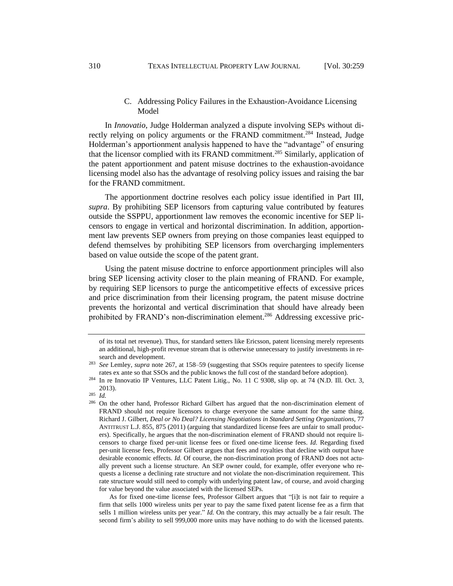## C. Addressing Policy Failures in the Exhaustion-Avoidance Licensing Model

In *Innovatio*, Judge Holderman analyzed a dispute involving SEPs without directly relying on policy arguments or the FRAND commitment.<sup>284</sup> Instead, Judge Holderman's apportionment analysis happened to have the "advantage" of ensuring that the licensor complied with its FRAND commitment.<sup>285</sup> Similarly, application of the patent apportionment and patent misuse doctrines to the exhaustion-avoidance licensing model also has the advantage of resolving policy issues and raising the bar for the FRAND commitment.

The apportionment doctrine resolves each policy issue identified in Part III, *supra*. By prohibiting SEP licensors from capturing value contributed by features outside the SSPPU, apportionment law removes the economic incentive for SEP licensors to engage in vertical and horizontal discrimination. In addition, apportionment law prevents SEP owners from preying on those companies least equipped to defend themselves by prohibiting SEP licensors from overcharging implementers based on value outside the scope of the patent grant.

Using the patent misuse doctrine to enforce apportionment principles will also bring SEP licensing activity closer to the plain meaning of FRAND. For example, by requiring SEP licensors to purge the anticompetitive effects of excessive prices and price discrimination from their licensing program, the patent misuse doctrine prevents the horizontal and vertical discrimination that should have already been prohibited by FRAND's non-discrimination element.<sup>286</sup> Addressing excessive pric-

As for fixed one-time license fees, Professor Gilbert argues that "[i]t is not fair to require a firm that sells 1000 wireless units per year to pay the same fixed patent license fee as a firm that sells 1 million wireless units per year." *Id.* On the contrary, this may actually be a fair result. The second firm's ability to sell 999,000 more units may have nothing to do with the licensed patents.

of its total net revenue). Thus, for standard setters like Ericsson, patent licensing merely represents an additional, high-profit revenue stream that is otherwise unnecessary to justify investments in research and development.

<sup>283</sup> *See* Lemley, *supra* note [267,](#page-47-0) at 158–59 (suggesting that SSOs require patentees to specify license rates ex ante so that SSOs and the public knows the full cost of the standard before adoption).

<sup>&</sup>lt;sup>284</sup> In re Innovatio IP Ventures, LLC Patent Litig., No. 11 C 9308, slip op. at 74 (N.D. Ill. Oct. 3, 2013).

<sup>285</sup> *Id.*

<sup>&</sup>lt;sup>286</sup> On the other hand, Professor Richard Gilbert has argued that the non-discrimination element of FRAND should not require licensors to charge everyone the same amount for the same thing. Richard J. Gilbert, *Deal or No Deal? Licensing Negotiations in Standard Setting Organizations*, 77 ANTITRUST L.J. 855, 875 (2011) (arguing that standardized license fees are unfair to small producers). Specifically, he argues that the non-discrimination element of FRAND should not require licensors to charge fixed per-unit license fees or fixed one-time license fees. *Id.* Regarding fixed per-unit license fees, Professor Gilbert argues that fees and royalties that decline with output have desirable economic effects. *Id.* Of course, the non-discrimination prong of FRAND does not actually prevent such a license structure. An SEP owner could, for example, offer everyone who requests a license a declining rate structure and not violate the non-discrimination requirement. This rate structure would still need to comply with underlying patent law, of course, and avoid charging for value beyond the value associated with the licensed SEPs.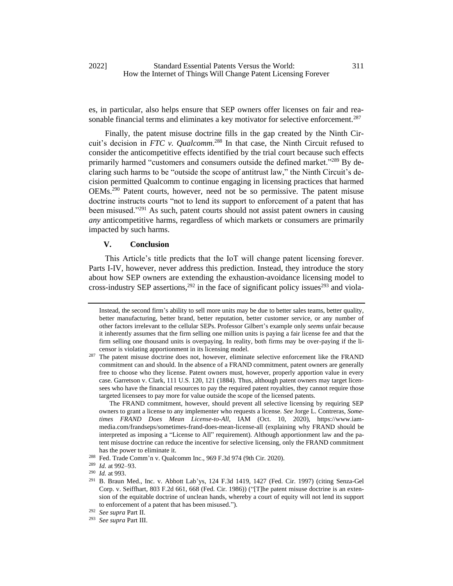es, in particular, also helps ensure that SEP owners offer licenses on fair and reasonable financial terms and eliminates a key motivator for selective enforcement.<sup>287</sup>

Finally, the patent misuse doctrine fills in the gap created by the Ninth Circuit's decision in *FTC v. Qualcomm*. <sup>288</sup> In that case, the Ninth Circuit refused to consider the anticompetitive effects identified by the trial court because such effects primarily harmed "customers and consumers outside the defined market."<sup>289</sup> By declaring such harms to be "outside the scope of antitrust law," the Ninth Circuit's decision permitted Qualcomm to continue engaging in licensing practices that harmed OEMs.<sup>290</sup> Patent courts, however, need not be so permissive. The patent misuse doctrine instructs courts "not to lend its support to enforcement of a patent that has been misused."<sup>291</sup> As such, patent courts should not assist patent owners in causing *any* anticompetitive harms, regardless of which markets or consumers are primarily impacted by such harms.

## **V. Conclusion**

This Article's title predicts that the IoT will change patent licensing forever. Parts I-IV, however, never address this prediction. Instead, they introduce the story about how SEP owners are extending the exhaustion-avoidance licensing model to cross-industry SEP assertions,  $292$  in the face of significant policy issues  $293$  and viola-

The FRAND commitment, however, should prevent all selective licensing by requiring SEP owners to grant a license to any implementer who requests a license. *See* Jorge L. Contreras, *Sometimes FRAND Does Mean License-to-All*, IAM (Oct. 10, 2020), https://www.iammedia.com/frandseps/sometimes-frand-does-mean-license-all (explaining why FRAND should be interpreted as imposing a "License to All" requirement). Although apportionment law and the patent misuse doctrine can reduce the incentive for selective licensing, only the FRAND commitment has the power to eliminate it.

Instead, the second firm's ability to sell more units may be due to better sales teams, better quality, better manufacturing, better brand, better reputation, better customer service, or any number of other factors irrelevant to the cellular SEPs. Professor Gilbert's example only *seems* unfair because it inherently assumes that the firm selling one million units is paying a fair license fee and that the firm selling one thousand units is overpaying. In reality, both firms may be over-paying if the licensor is violating apportionment in its licensing model.

<sup>&</sup>lt;sup>287</sup> The patent misuse doctrine does not, however, eliminate selective enforcement like the FRAND commitment can and should. In the absence of a FRAND commitment, patent owners are generally free to choose who they license. Patent owners must, however, properly apportion value in every case. Garretson v. Clark, 111 U.S. 120, 121 (1884). Thus, although patent owners may target licensees who have the financial resources to pay the required patent royalties, they cannot require those targeted licensees to pay more for value outside the scope of the licensed patents.

<sup>288</sup> Fed. Trade Comm'n v. Qualcomm Inc., 969 F.3d 974 (9th Cir. 2020).

<sup>289</sup> *Id.* at 992–93.

<sup>290</sup> *Id.* at 993.

<sup>291</sup> B. Braun Med., Inc. v. Abbott Lab'ys, 124 F.3d 1419, 1427 (Fed. Cir. 1997) (citing Senza-Gel Corp. v. Seiffhart, 803 F.2d 661, 668 (Fed. Cir. 1986)) ("[T]he patent misuse doctrine is an extension of the equitable doctrine of unclean hands, whereby a court of equity will not lend its support to enforcement of a patent that has been misused.").

<sup>292</sup> *See supra* Part II.

<sup>293</sup> *See supra* Part III.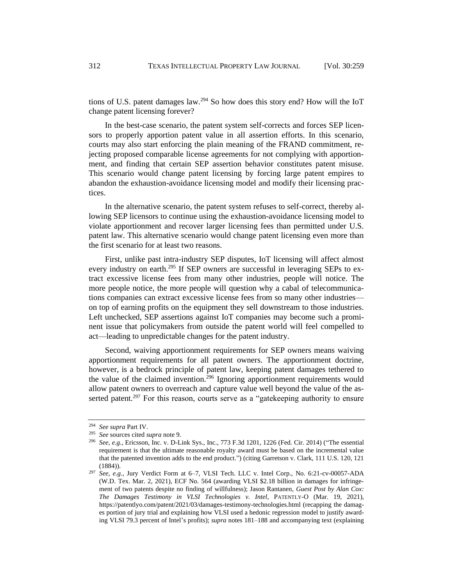tions of U.S. patent damages law.<sup>294</sup> So how does this story end? How will the IoT change patent licensing forever?

In the best-case scenario, the patent system self-corrects and forces SEP licensors to properly apportion patent value in all assertion efforts. In this scenario, courts may also start enforcing the plain meaning of the FRAND commitment, rejecting proposed comparable license agreements for not complying with apportionment, and finding that certain SEP assertion behavior constitutes patent misuse. This scenario would change patent licensing by forcing large patent empires to abandon the exhaustion-avoidance licensing model and modify their licensing practices.

In the alternative scenario, the patent system refuses to self-correct, thereby allowing SEP licensors to continue using the exhaustion-avoidance licensing model to violate apportionment and recover larger licensing fees than permitted under U.S. patent law. This alternative scenario would change patent licensing even more than the first scenario for at least two reasons.

First, unlike past intra-industry SEP disputes, IoT licensing will affect almost every industry on earth.<sup>295</sup> If SEP owners are successful in leveraging SEPs to extract excessive license fees from many other industries, people will notice. The more people notice, the more people will question why a cabal of telecommunications companies can extract excessive license fees from so many other industries on top of earning profits on the equipment they sell downstream to those industries. Left unchecked, SEP assertions against IoT companies may become such a prominent issue that policymakers from outside the patent world will feel compelled to act—leading to unpredictable changes for the patent industry.

Second, waiving apportionment requirements for SEP owners means waiving apportionment requirements for all patent owners. The apportionment doctrine, however, is a bedrock principle of patent law, keeping patent damages tethered to the value of the claimed invention.<sup>296</sup> Ignoring apportionment requirements would allow patent owners to overreach and capture value well beyond the value of the asserted patent.<sup>297</sup> For this reason, courts serve as a "gatekeeping authority to ensure

<sup>294</sup> *See supra* Part IV.

<sup>295</sup> *See* sources cited *supra* note 9.

<sup>296</sup> *See, e.g.*, Ericsson, Inc. v. D-Link Sys., Inc., 773 F.3d 1201, 1226 (Fed. Cir. 2014) ("The essential requirement is that the ultimate reasonable royalty award must be based on the incremental value that the patented invention adds to the end product.") (citing Garretson v. Clark, 111 U.S. 120, 121 (1884)).

<sup>297</sup> *See, e.g.*, Jury Verdict Form at 6–7, VLSI Tech. LLC v. Intel Corp., No. 6:21-cv-00057-ADA (W.D. Tex. Mar. 2, 2021), ECF No. 564 (awarding VLSI \$2.18 billion in damages for infringement of two patents despite no finding of willfulness); Jason Rantanen, *Guest Post by Alan Cox: The Damages Testimony in VLSI Technologies v. Intel*, PATENTLY-O (Mar. 19, 2021), https://patentlyo.com/patent/2021/03/damages-testimony-technologies.html (recapping the damages portion of jury trial and explaining how VLSI used a hedonic regression model to justify awarding VLSI 79.3 percent of Intel's profits); *supra* notes 181–188 and accompanying text (explaining